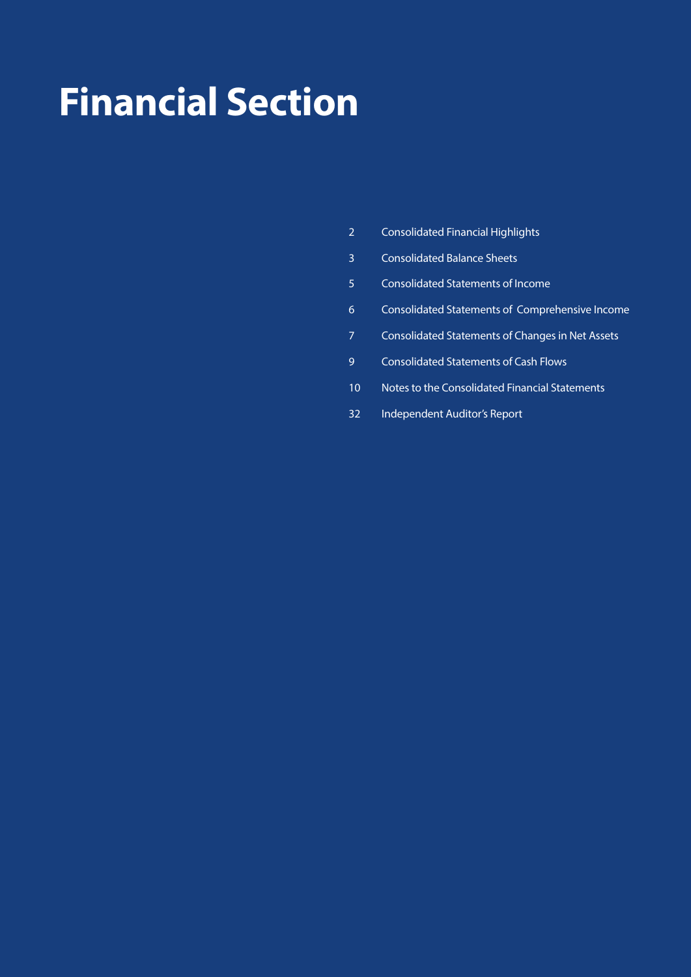# **Financial Section**

- Consolidated Financial Highlights
- Consolidated Balance Sheets
- Consolidated Statements of Income
- Consolidated Statements of Comprehensive Income
- Consolidated Statements of Changes in Net Assets
- Consolidated Statements of Cash Flows
- Notes to the Consolidated Financial Statements
- Independent Auditor's Report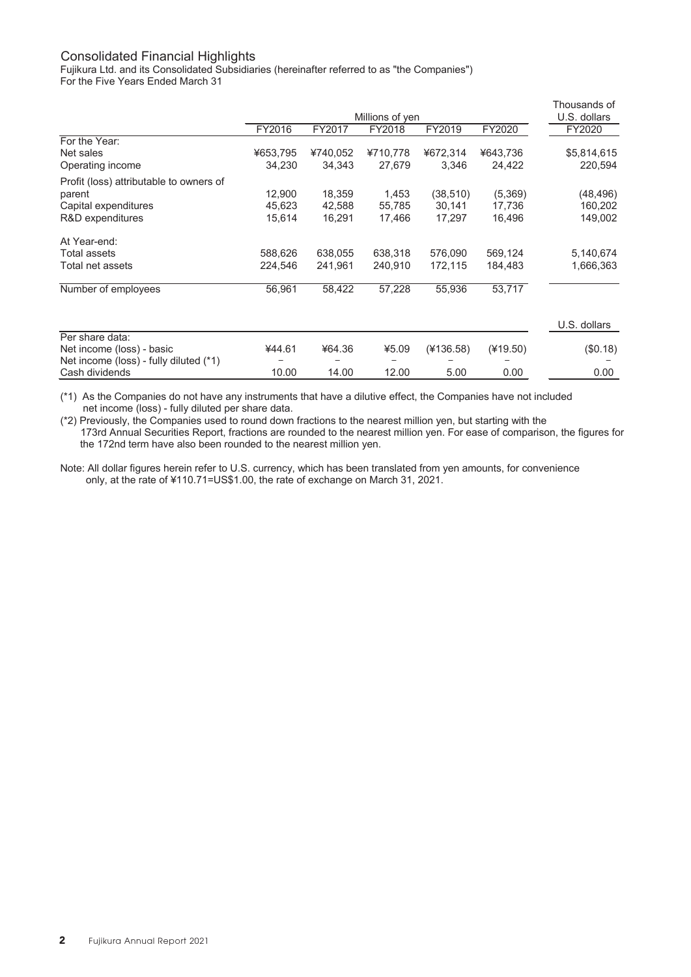### Consolidated Financial Highlights

Fujikura Ltd. and its Consolidated Subsidiaries (hereinafter referred to as "the Companies") For the Five Years Ended March 31

|                                         |          |          |                 |             |            | Thousands of |
|-----------------------------------------|----------|----------|-----------------|-------------|------------|--------------|
|                                         |          |          | Millions of yen |             |            | U.S. dollars |
|                                         | FY2016   | FY2017   | FY2018          | FY2019      | FY2020     | FY2020       |
| For the Year:                           |          |          |                 |             |            |              |
| Net sales                               | ¥653,795 | ¥740,052 | ¥710,778        | ¥672,314    | ¥643,736   | \$5,814,615  |
| Operating income                        | 34,230   | 34,343   | 27,679          | 3,346       | 24,422     | 220,594      |
| Profit (loss) attributable to owners of |          |          |                 |             |            |              |
| parent                                  | 12,900   | 18,359   | 1,453           | (38, 510)   | (5,369)    | (48, 496)    |
| Capital expenditures                    | 45,623   | 42,588   | 55,785          | 30,141      | 17,736     | 160,202      |
| R&D expenditures                        | 15,614   | 16,291   | 17,466          | 17,297      | 16,496     | 149,002      |
| At Year-end:                            |          |          |                 |             |            |              |
| Total assets                            | 588,626  | 638,055  | 638,318         | 576,090     | 569,124    | 5,140,674    |
| Total net assets                        | 224.546  | 241,961  | 240,910         | 172,115     | 184,483    | 1,666,363    |
| Number of employees                     | 56,961   | 58,422   | 57,228          | 55,936      | 53,717     |              |
|                                         |          |          |                 |             |            | U.S. dollars |
| Per share data:                         |          |          |                 |             |            |              |
| Net income (loss) - basic               | ¥44.61   | ¥64.36   | ¥5.09           | $(*136.58)$ | $(*19.50)$ | (\$0.18)     |
| Net income (loss) - fully diluted (*1)  |          |          |                 |             |            |              |
| Cash dividends                          | 10.00    | 14.00    | 12.00           | 5.00        | 0.00       | 0.00         |

(\*1) As the Companies do not have any instruments that have a dilutive effect, the Companies have not included net income (loss) - fully diluted per share data.

(\*2) Previously, the Companies used to round down fractions to the nearest million yen, but starting with the 173rd Annual Securities Report, fractions are rounded to the nearest million yen. For ease of comparison, the figures for the 172nd term have also been rounded to the nearest million yen.

Note: All dollar figures herein refer to U.S. currency, which has been translated from yen amounts, for convenience only, at the rate of ¥110.71=US\$1.00, the rate of exchange on March 31, 2021.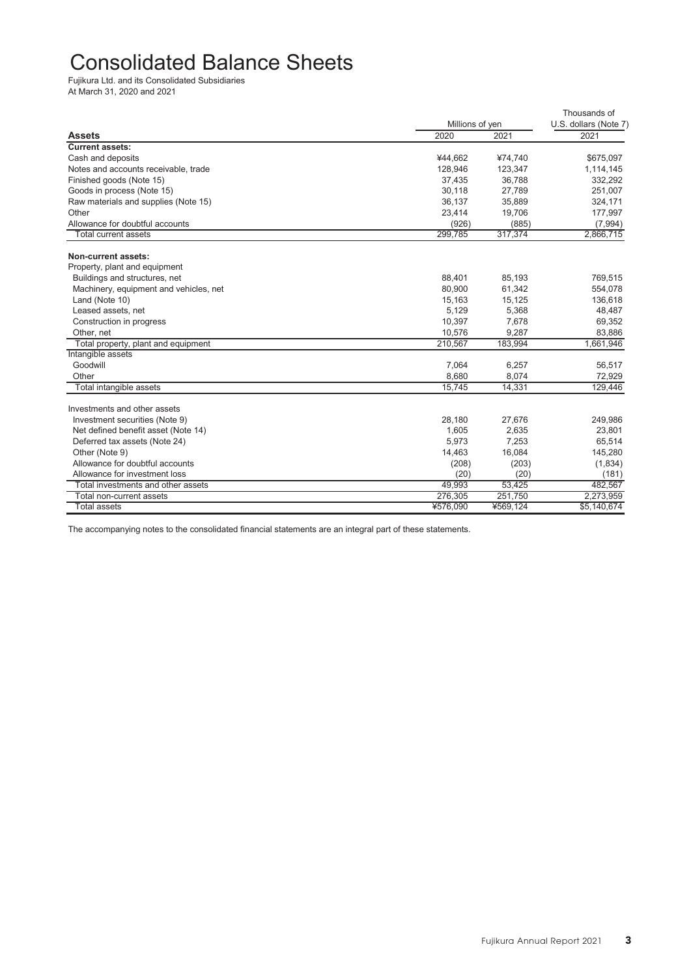## Consolidated Balance Sheets

Fujikura Ltd. and its Consolidated Subsidiaries At March 31, 2020 and 2021

|                                        |          |                 | Thousands of |  |
|----------------------------------------|----------|-----------------|--------------|--|
|                                        |          | Millions of yen |              |  |
| <b>Assets</b>                          | 2020     | 2021            | 2021         |  |
| <b>Current assets:</b>                 |          |                 |              |  |
| Cash and deposits                      | ¥44,662  | ¥74,740         | \$675,097    |  |
| Notes and accounts receivable, trade   | 128,946  | 123,347         | 1,114,145    |  |
| Finished goods (Note 15)               | 37,435   | 36,788          | 332,292      |  |
| Goods in process (Note 15)             | 30,118   | 27,789          | 251,007      |  |
| Raw materials and supplies (Note 15)   | 36,137   | 35,889          | 324,171      |  |
| Other                                  | 23,414   | 19,706          | 177,997      |  |
| Allowance for doubtful accounts        | (926)    | (885)           | (7,994)      |  |
| <b>Total current assets</b>            | 299,785  | 317,374         | 2,866,715    |  |
| Non-current assets:                    |          |                 |              |  |
| Property, plant and equipment          |          |                 |              |  |
| Buildings and structures, net          | 88,401   | 85,193          | 769,515      |  |
| Machinery, equipment and vehicles, net | 80,900   | 61,342          | 554,078      |  |
| Land (Note 10)                         | 15,163   | 15,125          | 136,618      |  |
| Leased assets, net                     | 5,129    | 5,368           | 48,487       |  |
| Construction in progress               | 10,397   | 7,678           | 69,352       |  |
| Other, net                             | 10,576   | 9,287           | 83,886       |  |
| Total property, plant and equipment    | 210,567  | 183,994         | 1,661,946    |  |
| Intangible assets                      |          |                 |              |  |
| Goodwill                               | 7,064    | 6,257           | 56,517       |  |
| Other                                  | 8,680    | 8,074           | 72,929       |  |
| Total intangible assets                | 15,745   | 14,331          | 129,446      |  |
| Investments and other assets           |          |                 |              |  |
| Investment securities (Note 9)         | 28,180   | 27,676          | 249,986      |  |
| Net defined benefit asset (Note 14)    | 1,605    | 2,635           | 23,801       |  |
| Deferred tax assets (Note 24)          | 5,973    | 7,253           | 65,514       |  |
| Other (Note 9)                         | 14,463   | 16,084          | 145,280      |  |
| Allowance for doubtful accounts        | (208)    | (203)           | (1,834)      |  |
| Allowance for investment loss          | (20)     | (20)            | (181)        |  |
| Total investments and other assets     | 49,993   | 53,425          | 482,567      |  |
| Total non-current assets               | 276,305  | 251,750         | 2,273,959    |  |
| Total assets                           | ¥576,090 | ¥569,124        | \$5,140,674  |  |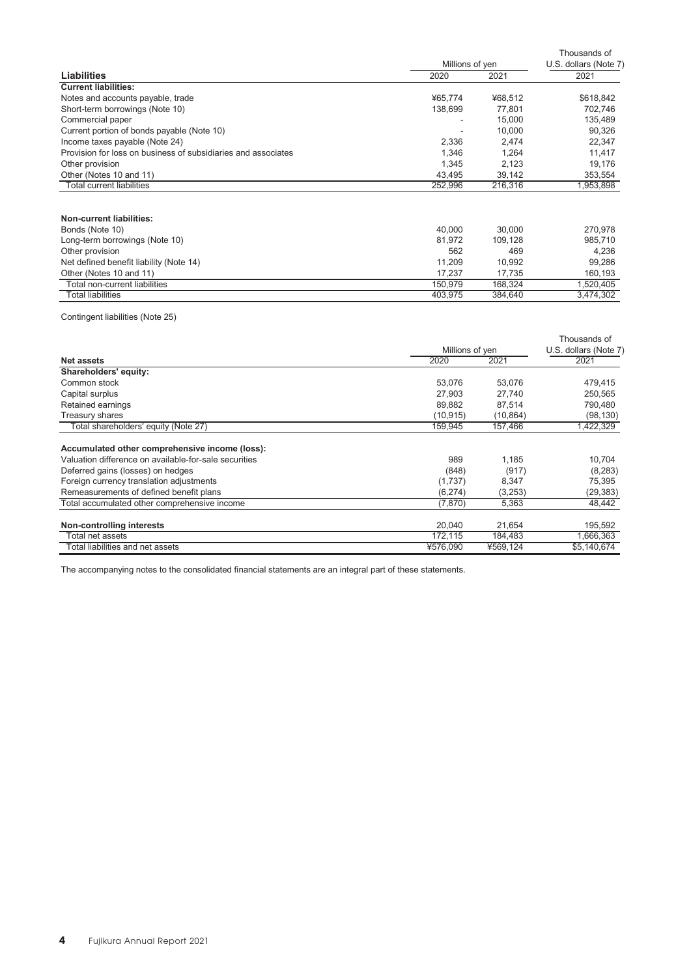|                                                               |         | Thousands of    |           |  |
|---------------------------------------------------------------|---------|-----------------|-----------|--|
|                                                               |         | Millions of yen |           |  |
| <b>Liabilities</b>                                            | 2020    | 2021            | 2021      |  |
| <b>Current liabilities:</b>                                   |         |                 |           |  |
| Notes and accounts payable, trade                             | ¥65,774 | ¥68,512         | \$618,842 |  |
| Short-term borrowings (Note 10)                               | 138,699 | 77,801          | 702,746   |  |
| Commercial paper                                              |         | 15,000          | 135,489   |  |
| Current portion of bonds payable (Note 10)                    |         | 10.000          | 90,326    |  |
| Income taxes payable (Note 24)                                | 2,336   | 2,474           | 22,347    |  |
| Provision for loss on business of subsidiaries and associates | 1,346   | 1,264           | 11,417    |  |
| Other provision                                               | 1,345   | 2,123           | 19,176    |  |
| Other (Notes 10 and 11)                                       | 43,495  | 39,142          | 353,554   |  |
| <b>Total current liabilities</b>                              | 252,996 | 216,316         | 1,953,898 |  |
| Non-current liabilities:                                      |         |                 |           |  |
| Bonds (Note 10)                                               | 40,000  | 30,000          | 270,978   |  |
| Long-term borrowings (Note 10)                                | 81,972  | 109,128         | 985,710   |  |
| Other provision                                               | 562     | 469             | 4,236     |  |
| Net defined benefit liability (Note 14)                       | 11,209  | 10,992          | 99,286    |  |
| Other (Notes 10 and 11)                                       | 17,237  | 17,735          | 160,193   |  |
| Total non-current liabilities                                 | 150,979 | 168,324         | 1,520,405 |  |
| <b>Total liabilities</b>                                      | 403,975 | 384,640         | 3,474,302 |  |

Contingent liabilities (Note 25)

|                                                       |          |                 | Thousands of |  |
|-------------------------------------------------------|----------|-----------------|--------------|--|
|                                                       |          | Millions of yen |              |  |
| <b>Net assets</b>                                     | 2020     | 2021            | 2021         |  |
| Shareholders' equity:                                 |          |                 |              |  |
| Common stock                                          | 53,076   | 53,076          | 479,415      |  |
| Capital surplus                                       | 27,903   | 27,740          | 250,565      |  |
| Retained earnings                                     | 89,882   | 87,514          | 790,480      |  |
| Treasury shares                                       | (10,915) | (10, 864)       | (98, 130)    |  |
| Total shareholders' equity (Note 27)                  | 159,945  | 157,466         | 1,422,329    |  |
| Accumulated other comprehensive income (loss):        |          |                 |              |  |
| Valuation difference on available-for-sale securities | 989      | 1.185           | 10,704       |  |
| Deferred gains (losses) on hedges                     | (848)    | (917)           | (8, 283)     |  |
| Foreign currency translation adjustments              | (1,737)  | 8,347           | 75,395       |  |
| Remeasurements of defined benefit plans               | (6,274)  | (3,253)         | (29, 383)    |  |
| Total accumulated other comprehensive income          | (7,870)  | 5,363           | 48,442       |  |
| Non-controlling interests                             | 20.040   | 21.654          | 195,592      |  |
| Total net assets                                      | 172,115  | 184.483         | 1,666,363    |  |
| Total liabilities and net assets                      | ¥576,090 | ¥569,124        | \$5,140,674  |  |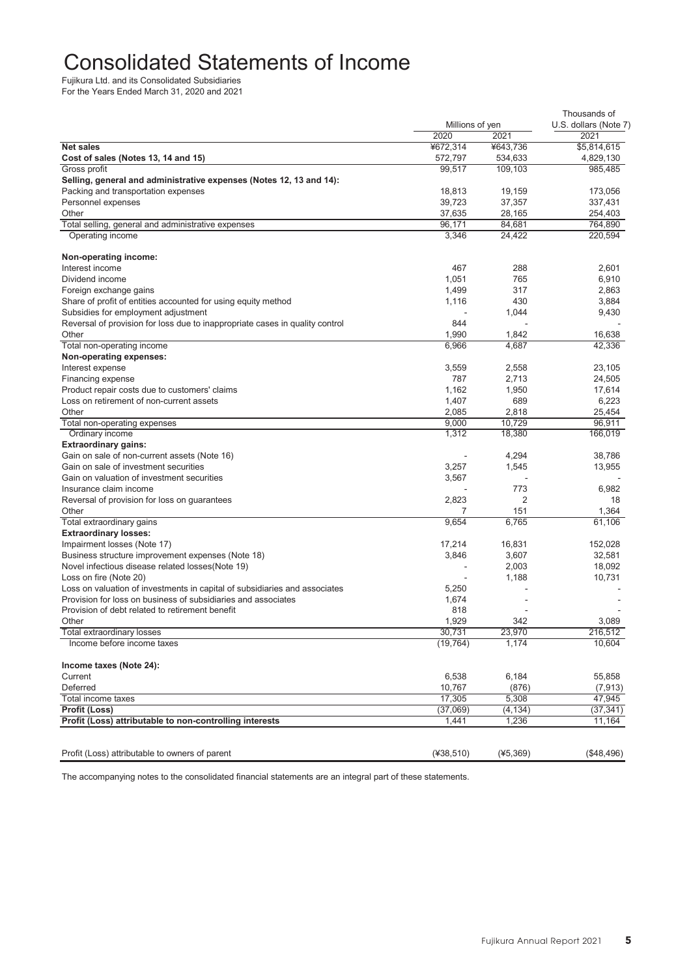# Consolidated Statements of Income

Fujikura Ltd. and its Consolidated Subsidiaries For the Years Ended March 31, 2020 and 2021

|                                                                              |                 |                 | Thousands of          |  |
|------------------------------------------------------------------------------|-----------------|-----------------|-----------------------|--|
|                                                                              | Millions of yen |                 | U.S. dollars (Note 7) |  |
|                                                                              | 2020            | 2021            | 2021                  |  |
| <b>Net sales</b>                                                             | ¥672,314        | ¥643,736        | \$5,814,615           |  |
| Cost of sales (Notes 13, 14 and 15)                                          | 572,797         | 534,633         | 4,829,130             |  |
| Gross profit                                                                 | 99,517          | 109.103         | 985,485               |  |
| Selling, general and administrative expenses (Notes 12, 13 and 14):          |                 |                 |                       |  |
| Packing and transportation expenses                                          | 18,813          | 19,159          | 173,056               |  |
| Personnel expenses                                                           | 39,723          | 37,357          | 337,431               |  |
| Other                                                                        | 37,635          | 28,165          | 254,403               |  |
| Total selling, general and administrative expenses                           | 96,171          | 84,681          | 764,890               |  |
| Operating income                                                             | 3,346           | 24,422          | 220,594               |  |
| Non-operating income:                                                        |                 |                 |                       |  |
| Interest income                                                              | 467             | 288             | 2,601                 |  |
| Dividend income                                                              | 1,051           | 765             | 6,910                 |  |
| Foreign exchange gains                                                       | 1,499           | 317             | 2,863                 |  |
| Share of profit of entities accounted for using equity method                | 1,116           | 430             | 3,884                 |  |
| Subsidies for employment adjustment                                          |                 | 1,044           | 9,430                 |  |
| Reversal of provision for loss due to inappropriate cases in quality control | 844             |                 |                       |  |
| Other                                                                        | 1,990           | 1,842           | 16,638                |  |
| Total non-operating income                                                   | 6,966           | 4,687           | 42,336                |  |
| Non-operating expenses:                                                      |                 |                 |                       |  |
| Interest expense                                                             | 3,559           | 2,558           | 23,105                |  |
| Financing expense                                                            | 787             | 2,713           | 24,505                |  |
| Product repair costs due to customers' claims                                | 1,162           | 1,950           | 17,614                |  |
| Loss on retirement of non-current assets                                     | 1,407           | 689             | 6,223                 |  |
| Other                                                                        | 2,085           | 2,818           | 25,454                |  |
| Total non-operating expenses                                                 | 9,000           | 10.729          | 96,911                |  |
| Ordinary income                                                              | 1,312           | 18,380          | 166,019               |  |
| <b>Extraordinary gains:</b>                                                  |                 |                 |                       |  |
| Gain on sale of non-current assets (Note 16)                                 |                 | 4,294           | 38,786                |  |
| Gain on sale of investment securities                                        | 3,257           | 1,545           | 13,955                |  |
| Gain on valuation of investment securities                                   | 3,567           |                 |                       |  |
| Insurance claim income                                                       |                 | 773             | 6,982                 |  |
| Reversal of provision for loss on guarantees                                 | 2,823           | 2               | 18                    |  |
| Other                                                                        | 7               | 151             | 1,364                 |  |
| Total extraordinary gains                                                    | 9,654           | 6,765           | 61,106                |  |
| <b>Extraordinary losses:</b>                                                 |                 |                 |                       |  |
| Impairment losses (Note 17)                                                  | 17,214          | 16,831          | 152,028               |  |
| Business structure improvement expenses (Note 18)                            | 3,846           | 3,607           | 32,581                |  |
| Novel infectious disease related losses (Note 19)                            |                 | 2,003           | 18,092                |  |
| Loss on fire (Note 20)                                                       |                 | 1,188           | 10,731                |  |
| Loss on valuation of investments in capital of subsidiaries and associates   | 5,250           |                 |                       |  |
| Provision for loss on business of subsidiaries and associates                | 1,674           |                 |                       |  |
| Provision of debt related to retirement benefit                              | 818             |                 |                       |  |
| Other                                                                        | 1,929           | 342             | 3,089                 |  |
| Total extraordinary losses                                                   | 30,731          |                 |                       |  |
| Income before income taxes                                                   | (19, 764)       | 23,970<br>1,174 | 216,512<br>10,604     |  |
|                                                                              |                 |                 |                       |  |
| Income taxes (Note 24):                                                      |                 |                 |                       |  |
| Current                                                                      | 6,538           | 6,184           | 55,858                |  |
| Deferred                                                                     | 10,767          | (876)           | (7, 913)              |  |
| Total income taxes                                                           | 17,305          | 5,308           | 47,945                |  |
| Profit (Loss)                                                                | (37,069)        | (4, 134)        | (37,341)              |  |
| Profit (Loss) attributable to non-controlling interests                      | 1,441           | 1,236           | 11,164                |  |
|                                                                              |                 |                 |                       |  |
| Profit (Loss) attributable to owners of parent                               | $(*38,510)$     | $(*5,369)$      | (\$48,496)            |  |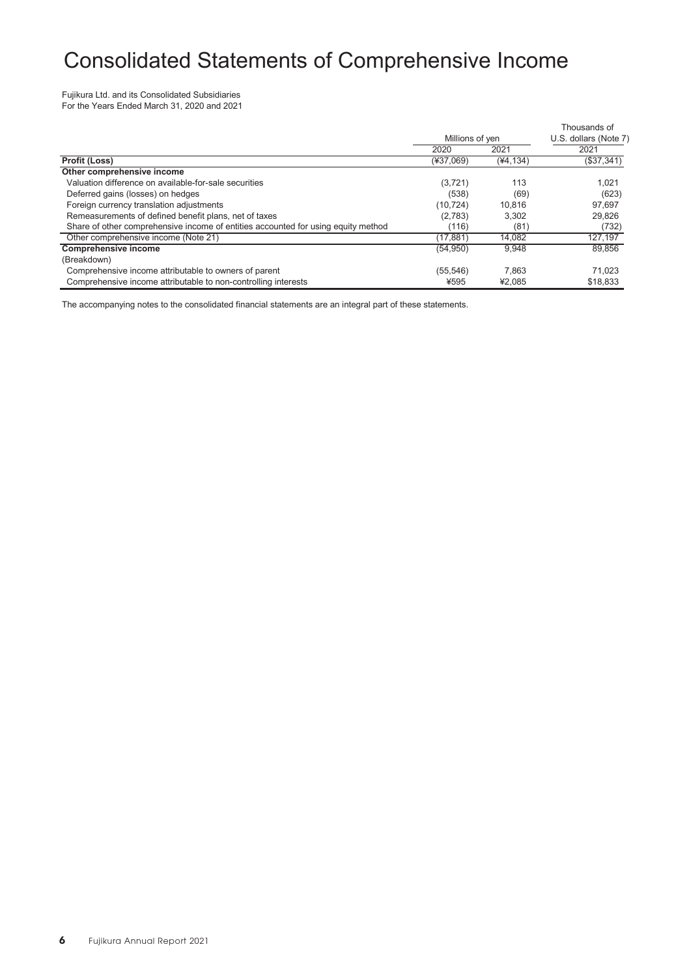## Consolidated Statements of Comprehensive Income

Fujikura Ltd. and its Consolidated Subsidiaries For the Years Ended March 31, 2020 and 2021

Thousands of Millions of yen U.S. dollars (Note 7) 2020 2021 2021<br>(¥37,069) (¥4,134) (\$37,341) **Profit (Loss)** (¥37,069) (¥4,134) (\$37,341) **Other comprehensive income** Valuation difference on available-for-sale securities (3,721) 113 1,021 Deferred gains (losses) on hedges (538) (69) (623) Foreign currency translation adjustments<br>
Remeasurements of defined benefit plans, net of taxes<br>
29,826 29,826 97,697<br>
29,826 Remeasurements of defined benefit plans, net of taxes Share of other comprehensive income of entities accounted for using equity method (116) (81) (732)<br>Other comprehensive income (Note 21) (17.881) (17.881) (1892 127,197 Other comprehensive income (Note 21) (17,881) 14,082 127,197<br>
Comprehensive income (Seteral According of the Seteral According of the Seteral According of the Seteral According of the Seteral According of the Seteral Accor **Comprehensive income** (54,950) 9,948 (Breakdown) Comprehensive income attributable to owners of parent (55,546) (55,546) 7,863 71,023<br>Comprehensive income attributable to non-controlling interests (55,546) 42,085 42,085 \$18,833 Comprehensive income attributable to non-controlling interests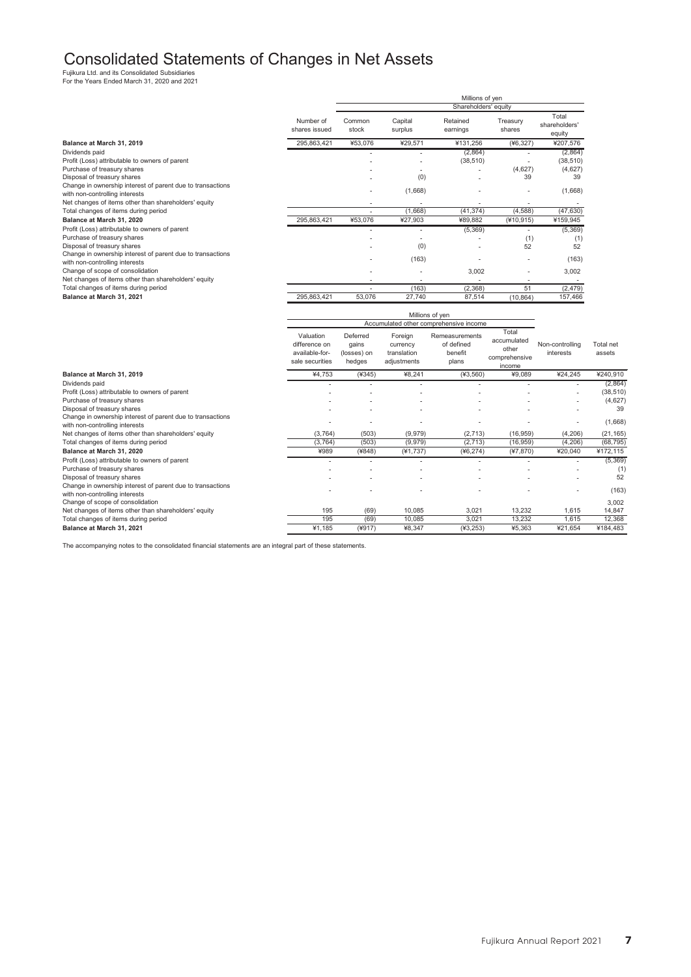# Consolidated Statements of Changes in Net Assets Fujikura Ltd. and its Consolidated Subsidiaries For the Years Ended March 31, 2020 and 2021

|                                                                                              |                            | Millions of yen          |                    |                      |                    |                                  |  |
|----------------------------------------------------------------------------------------------|----------------------------|--------------------------|--------------------|----------------------|--------------------|----------------------------------|--|
|                                                                                              | Shareholders' equity       |                          |                    |                      |                    |                                  |  |
|                                                                                              | Number of<br>shares issued | Common<br>stock          | Capital<br>surplus | Retained<br>earnings | Treasury<br>shares | Total<br>shareholders'<br>equity |  |
| Balance at March 31, 2019                                                                    | 295,863,421                | ¥53,076                  | ¥29,571            | ¥131,256             | (46, 327)          | ¥207,576                         |  |
| Dividends paid                                                                               |                            |                          |                    | (2,864)              |                    | (2,864)                          |  |
| Profit (Loss) attributable to owners of parent                                               |                            |                          |                    | (38, 510)            |                    | (38, 510)                        |  |
| Purchase of treasury shares                                                                  |                            |                          |                    |                      | (4,627)            | (4,627)                          |  |
| Disposal of treasury shares                                                                  |                            |                          | (0)                |                      | 39                 | 39                               |  |
| Change in ownership interest of parent due to transactions<br>with non-controlling interests |                            |                          | (1,668)            |                      |                    | (1,668)                          |  |
| Net changes of items other than shareholders' equity                                         |                            | $\overline{\phantom{a}}$ |                    |                      |                    |                                  |  |
| Total changes of items during period                                                         |                            |                          | (1,668)            | (41, 374)            | (4,588)            | (47, 630)                        |  |
| Balance at March 31, 2020                                                                    | 295,863,421                | ¥53,076                  | ¥27,903            | ¥89,882              | $(*10,915)$        | ¥159,945                         |  |
| Profit (Loss) attributable to owners of parent                                               |                            | $\overline{\phantom{a}}$ |                    | (5,369)              |                    | (5,369)                          |  |
| Purchase of treasury shares                                                                  |                            |                          |                    |                      | (1)                | (1)                              |  |
| Disposal of treasury shares                                                                  |                            |                          | (0)                |                      | 52                 | 52                               |  |
| Change in ownership interest of parent due to transactions<br>with non-controlling interests |                            |                          | (163)              |                      |                    | (163)                            |  |
| Change of scope of consolidation                                                             |                            |                          |                    | 3,002                |                    | 3,002                            |  |
| Net changes of items other than shareholders' equity                                         |                            |                          |                    |                      |                    |                                  |  |
| Total changes of items during period                                                         |                            |                          | (163)              | (2,368)              | 51                 | (2, 479)                         |  |
| Balance at March 31, 2021                                                                    | 295,863,421                | 53,076                   | 27,740             | 87,514               | (10, 864)          | 157,466                          |  |

|                                                                                              | Millions of yen<br>Accumulated other comprehensive income       |                                            |                                                   |                                                  |                                                          |                              |                     |
|----------------------------------------------------------------------------------------------|-----------------------------------------------------------------|--------------------------------------------|---------------------------------------------------|--------------------------------------------------|----------------------------------------------------------|------------------------------|---------------------|
|                                                                                              | Valuation<br>difference on<br>available-for-<br>sale securities | Deferred<br>gains<br>(losses) on<br>hedges | Foreign<br>currency<br>translation<br>adjustments | Remeasurements<br>of defined<br>benefit<br>plans | Total<br>accumulated<br>other<br>comprehensive<br>income | Non-controlling<br>interests | Total net<br>assets |
| Balance at March 31, 2019                                                                    | ¥4,753                                                          | $(*345)$                                   | ¥8,241                                            | (43, 560)                                        | ¥9,089                                                   | ¥24,245                      | ¥240,910            |
| Dividends paid                                                                               | ٠                                                               |                                            | ٠                                                 |                                                  |                                                          | ٠                            | (2,864)             |
| Profit (Loss) attributable to owners of parent                                               |                                                                 |                                            |                                                   |                                                  |                                                          |                              | (38, 510)           |
| Purchase of treasury shares                                                                  |                                                                 |                                            |                                                   |                                                  |                                                          | ۰                            | (4,627)             |
| Disposal of treasury shares                                                                  |                                                                 |                                            |                                                   |                                                  |                                                          | ۰                            | 39                  |
| Change in ownership interest of parent due to transactions<br>with non-controlling interests |                                                                 |                                            |                                                   |                                                  |                                                          | ٠                            | (1,668)             |
| Net changes of items other than shareholders' equity                                         | (3,764)                                                         | (503)                                      | (9,979)                                           | (2,713)                                          | (16, 959)                                                | (4,206)                      | (21, 165)           |
| Total changes of items during period                                                         | (3,764)                                                         | (503)                                      | (9,979)                                           | (2,713)                                          | (16, 959)                                                | (4,206)                      | (68, 795)           |
| Balance at March 31, 2020                                                                    | ¥989                                                            | (4848)                                     | (41,737)                                          | (46, 274)                                        | (47, 870)                                                | ¥20,040                      | ¥172,115            |
| Profit (Loss) attributable to owners of parent                                               |                                                                 |                                            | ٠                                                 |                                                  |                                                          | ٠                            | (5,369)             |
| Purchase of treasury shares                                                                  |                                                                 |                                            |                                                   |                                                  |                                                          |                              | (1)                 |
| Disposal of treasury shares                                                                  |                                                                 |                                            | ٠                                                 |                                                  |                                                          |                              | 52                  |
| Change in ownership interest of parent due to transactions<br>with non-controlling interests |                                                                 |                                            |                                                   |                                                  |                                                          | ٠                            | (163)               |
| Change of scope of consolidation                                                             |                                                                 |                                            |                                                   |                                                  |                                                          |                              | 3,002               |
| Net changes of items other than shareholders' equity                                         | 195                                                             | (69)                                       | 10,085                                            | 3,021                                            | 13,232                                                   | 1,615                        | 14,847              |
| Total changes of items during period                                                         | 195                                                             | (69)                                       | 10,085                                            | 3,021                                            | 13,232                                                   | 1,615                        | 12,368              |
| Balance at March 31, 2021                                                                    | ¥1,185                                                          | (¥917)                                     | ¥8,347                                            | $(*3,253)$                                       | ¥5,363                                                   | ¥21,654                      | ¥184,483            |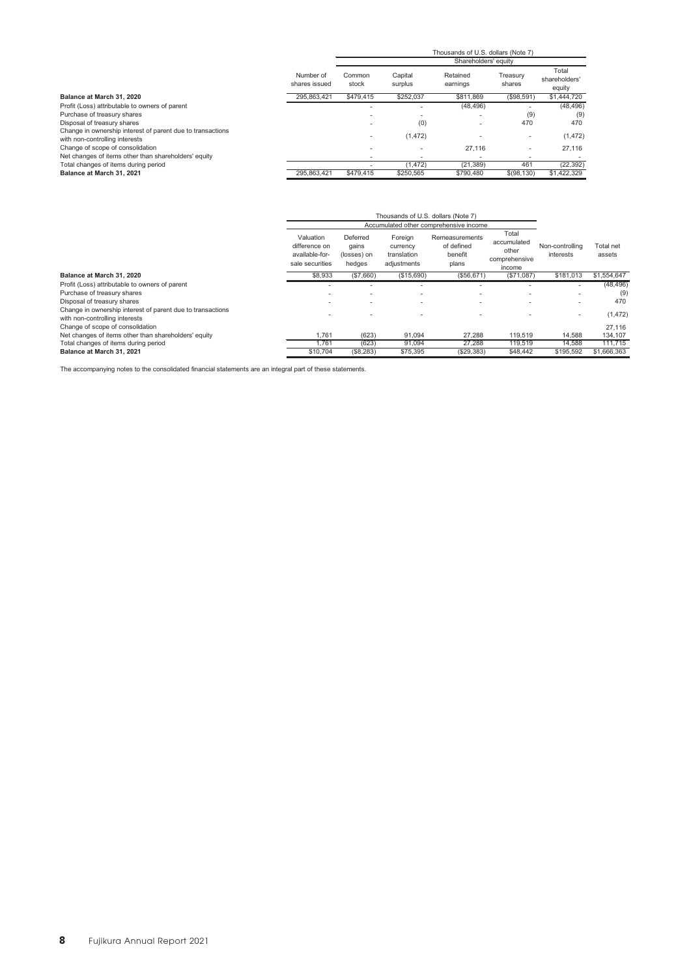|                                                                                              |                            | Thousands of U.S. dollars (Note 7)<br>Shareholders' equity |                    |                      |                    |                                  |
|----------------------------------------------------------------------------------------------|----------------------------|------------------------------------------------------------|--------------------|----------------------|--------------------|----------------------------------|
|                                                                                              | Number of<br>shares issued | Common<br>stock                                            | Capital<br>surplus | Retained<br>earnings | Treasury<br>shares | Total<br>shareholders'<br>equity |
| Balance at March 31, 2020                                                                    | 295.863.421                | \$479,415                                                  | \$252,037          | \$811.869            | (\$98,591)         | \$1,444,720                      |
| Profit (Loss) attributable to owners of parent                                               |                            | ۰                                                          |                    | (48, 496)            |                    | (48, 496)                        |
| Purchase of treasury shares                                                                  |                            |                                                            |                    |                      | (9)                | (9)                              |
| Disposal of treasury shares                                                                  |                            |                                                            | (0)                | ۰                    | 470                | 470                              |
| Change in ownership interest of parent due to transactions<br>with non-controlling interests |                            | ۰                                                          | (1, 472)           |                      |                    | (1, 472)                         |
| Change of scope of consolidation                                                             |                            |                                                            |                    | 27.116               |                    | 27.116                           |
| Net changes of items other than shareholders' equity                                         |                            |                                                            |                    | ٠                    |                    |                                  |
| Total changes of items during period                                                         |                            |                                                            | (1,472)            | (21, 389)            | 461                | (22, 392)                        |
| Balance at March 31, 2021                                                                    | 295.863.421                | \$479.415                                                  | \$250.565          | \$790.480            | \$(98, 130)        | \$1,422,329                      |

|                                                                                              | Thousands of U.S. dollars (Note 7)                              |                                            |                                                   |                                                  |                                                          |                              |                     |
|----------------------------------------------------------------------------------------------|-----------------------------------------------------------------|--------------------------------------------|---------------------------------------------------|--------------------------------------------------|----------------------------------------------------------|------------------------------|---------------------|
|                                                                                              |                                                                 | Accumulated other comprehensive income     |                                                   |                                                  |                                                          |                              |                     |
|                                                                                              | Valuation<br>difference on<br>available-for-<br>sale securities | Deferred<br>gains<br>(losses) on<br>hedges | Foreign<br>currency<br>translation<br>adjustments | Remeasurements<br>of defined<br>benefit<br>plans | Total<br>accumulated<br>other<br>comprehensive<br>income | Non-controlling<br>interests | Total net<br>assets |
| Balance at March 31, 2020                                                                    | \$8,933                                                         | (\$7,660)                                  | (\$15,690)                                        | (\$56,671)                                       | (\$71,087)                                               | \$181,013                    | \$1,554,647         |
| Profit (Loss) attributable to owners of parent                                               | ۰                                                               |                                            | ۰                                                 |                                                  |                                                          |                              | (48, 496)           |
| Purchase of treasury shares                                                                  |                                                                 |                                            |                                                   |                                                  |                                                          |                              | (9)                 |
| Disposal of treasury shares                                                                  |                                                                 |                                            | ۰                                                 |                                                  |                                                          |                              | 470                 |
| Change in ownership interest of parent due to transactions<br>with non-controlling interests |                                                                 |                                            | ٠                                                 |                                                  |                                                          | ٠                            | (1, 472)            |
| Change of scope of consolidation                                                             |                                                                 |                                            |                                                   |                                                  |                                                          |                              | 27.116              |
| Net changes of items other than shareholders' equity                                         | 1.761                                                           | (623)                                      | 91.094                                            | 27.288                                           | 119.519                                                  | 14.588                       | 134,107             |
| Total changes of items during period                                                         | 1.761                                                           | (623)                                      | 91,094                                            | 27,288                                           | 119,519                                                  | 14,588                       | 111,715             |
| Balance at March 31, 2021                                                                    | \$10,704                                                        | (\$8,283)                                  | \$75,395                                          | ( \$29, 383)                                     | \$48,442                                                 | \$195,592                    | \$1,666,363         |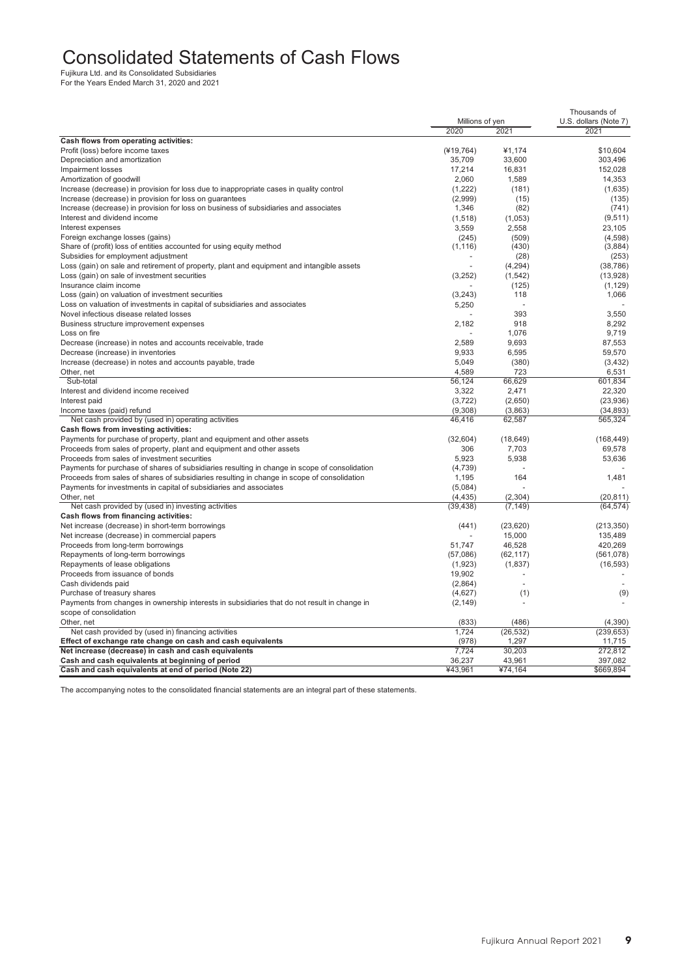### Consolidated Statements of Cash Flows

Fujikura Ltd. and its Consolidated Subsidiaries

For the Years Ended March 31, 2020 and 2021

|                                                                                               |                 |           | Thousands of          |  |
|-----------------------------------------------------------------------------------------------|-----------------|-----------|-----------------------|--|
|                                                                                               | Millions of yen |           | U.S. dollars (Note 7) |  |
|                                                                                               | 2020            | 2021      | 2021                  |  |
| Cash flows from operating activities:<br>Profit (loss) before income taxes                    | (419, 764)      | ¥1,174    | \$10,604              |  |
| Depreciation and amortization                                                                 | 35.709          | 33.600    | 303.496               |  |
| <b>Impairment losses</b>                                                                      | 17,214          | 16,831    | 152,028               |  |
|                                                                                               |                 |           |                       |  |
| Amortization of goodwill                                                                      | 2,060           | 1,589     | 14,353                |  |
| Increase (decrease) in provision for loss due to inappropriate cases in quality control       | (1,222)         | (181)     | (1,635)               |  |
| Increase (decrease) in provision for loss on guarantees                                       | (2,999)         | (15)      | (135)                 |  |
| Increase (decrease) in provision for loss on business of subsidiaries and associates          | 1,346           | (82)      | (741)                 |  |
| Interest and dividend income                                                                  | (1, 518)        | (1,053)   | (9, 511)              |  |
| Interest expenses                                                                             | 3,559           | 2,558     | 23.105                |  |
| Foreign exchange losses (gains)                                                               | (245)           | (509)     | (4,598)               |  |
| Share of (profit) loss of entities accounted for using equity method                          | (1, 116)        | (430)     | (3,884)               |  |
| Subsidies for employment adjustment                                                           |                 | (28)      | (253)                 |  |
| Loss (gain) on sale and retirement of property, plant and equipment and intangible assets     |                 | (4,294)   | (38, 786)             |  |
| Loss (gain) on sale of investment securities                                                  | (3,252)         | (1, 542)  | (13,928)              |  |
| Insurance claim income                                                                        |                 | (125)     | (1, 129)              |  |
| Loss (gain) on valuation of investment securities                                             | (3,243)         | 118       | 1,066                 |  |
| Loss on valuation of investments in capital of subsidiaries and associates                    | 5,250           |           |                       |  |
| Novel infectious disease related losses                                                       |                 | 393       | 3,550                 |  |
| Business structure improvement expenses                                                       | 2,182           | 918       | 8,292                 |  |
| Loss on fire                                                                                  |                 | 1,076     | 9,719                 |  |
| Decrease (increase) in notes and accounts receivable, trade                                   | 2,589           | 9,693     | 87,553                |  |
| Decrease (increase) in inventories                                                            | 9,933           | 6,595     | 59,570                |  |
| Increase (decrease) in notes and accounts payable, trade                                      | 5,049           | (380)     | (3,432)               |  |
| Other, net                                                                                    | 4,589           | 723       | 6,531                 |  |
| Sub-total                                                                                     | 56.124          | 66,629    | 601,834               |  |
| Interest and dividend income received                                                         | 3,322           | 2,471     | 22.320                |  |
| Interest paid                                                                                 | (3, 722)        | (2,650)   | (23,936)              |  |
| Income taxes (paid) refund                                                                    | (9,308)         | (3,863)   | (34, 893)             |  |
| Net cash provided by (used in) operating activities                                           | 46,416          | 62,587    | 565,324               |  |
| Cash flows from investing activities:                                                         |                 |           |                       |  |
| Payments for purchase of property, plant and equipment and other assets                       | (32, 604)       | (18, 649) | (168, 449)            |  |
| Proceeds from sales of property, plant and equipment and other assets                         | 306             | 7,703     | 69,578                |  |
| Proceeds from sales of investment securities                                                  | 5,923           | 5,938     | 53,636                |  |
| Payments for purchase of shares of subsidiaries resulting in change in scope of consolidation | (4,739)         |           |                       |  |
| Proceeds from sales of shares of subsidiaries resulting in change in scope of consolidation   | 1,195           | 164       | 1,481                 |  |
| Payments for investments in capital of subsidiaries and associates                            | (5,084)         |           |                       |  |
| Other, net                                                                                    | (4, 435)        | (2,304)   | (20, 811)             |  |
| Net cash provided by (used in) investing activities                                           | (39, 438)       | (7, 149)  | (64, 574)             |  |
| Cash flows from financing activities:                                                         |                 |           |                       |  |
| Net increase (decrease) in short-term borrowings                                              | (441)           | (23, 620) | (213, 350)            |  |
|                                                                                               |                 | 15,000    |                       |  |
| Net increase (decrease) in commercial papers                                                  | 51,747          | 46,528    | 135,489<br>420,269    |  |
| Proceeds from long-term borrowings                                                            |                 |           |                       |  |
| Repayments of long-term borrowings                                                            | (57,086)        | (62, 117) | (561,078)             |  |
| Repayments of lease obligations                                                               | (1,923)         | (1,837)   | (16, 593)             |  |
| Proceeds from issuance of bonds                                                               | 19,902          |           |                       |  |
| Cash dividends paid                                                                           | (2,864)         |           |                       |  |
| Purchase of treasury shares                                                                   | (4,627)         | (1)       | (9)                   |  |
| Payments from changes in ownership interests in subsidiaries that do not result in change in  | (2, 149)        |           |                       |  |
| scope of consolidation                                                                        |                 |           |                       |  |
| Other, net                                                                                    | (833)           | (486)     | (4, 390)              |  |
| Net cash provided by (used in) financing activities                                           | 1,724           | (26, 532) | (239, 653)            |  |
| Effect of exchange rate change on cash and cash equivalents                                   | (978)           | 1,297     | 11,715                |  |
| Net increase (decrease) in cash and cash equivalents                                          | 7,724           | 30,203    | 272.812               |  |
| Cash and cash equivalents at beginning of period                                              | 36,237          | 43,961    | 397,082               |  |
| Cash and cash equivalents at end of period (Note 22)                                          | ¥43,961         | ¥74,164   | \$669,894             |  |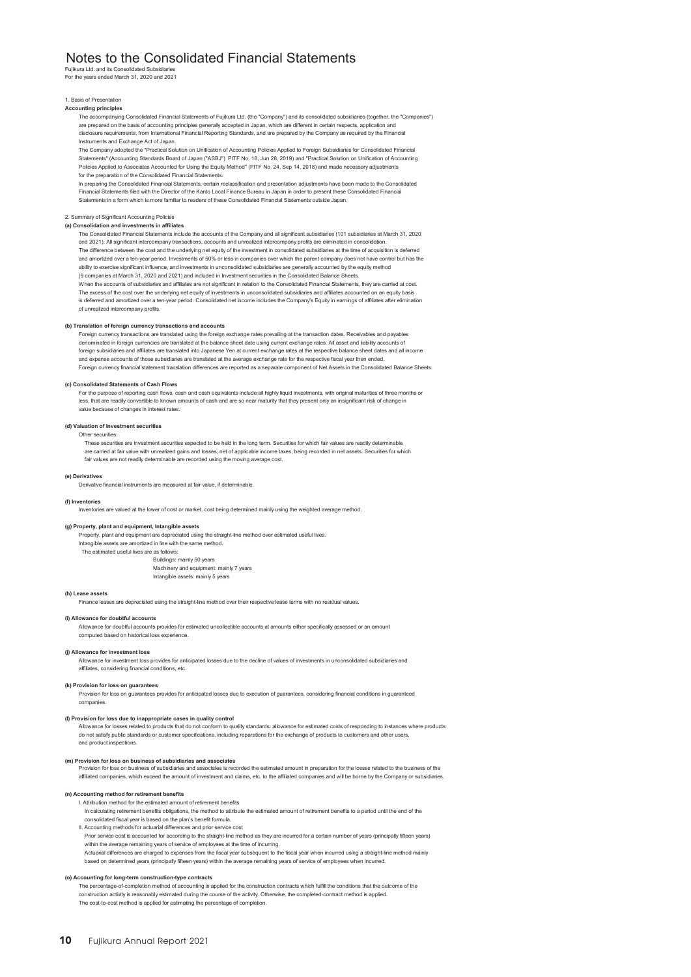### Notes to the Consolidated Financial Statements

Fujikura Ltd. and its Consolidated Subsidiari For the years ended March 31, 2020 and 2021

#### 1. Basis of Presentation **Accounting principles**

The accompanying Consolidated Financial Statements of Fujikura Ltd. (the "Company") and its consolidated subsidiaries (together, the "Companies") are prepared on the basis of accounting principles generally accepted in Japan, which are different in certain respects, application and disclosure requirements, from International Financial Reporting Standards, and are prepared by the Company as required by the Financial Instruments and Exchange Act of Japan.

The Company adopted the "Practical Solution on Unification of Accounting Policies Applied to Foreign Subsidiaries for Consolidated Financial Statements" (Accounting Standards Board of Japan ("ASBJ") PITF No. 18, Jun 28, 2019) and "Practical Solution on Unification of Accounting<br>Policies Applied to Associates Accounted for Using the Equity Method" (PITF No. 24, for the preparation of the Consolidated Financial Statements.

In preparing the Consolidated Financial Statements, certain reclassification and presentation adjustments have been made to the Consolidated Financial Statements filed with the Director of the Kanto Local Finance Bureau in Japan in order to present these Consolidated Financial Statements in a form which is more familiar to readers of these Consolidated Financial Statements outside Japan.

#### 2. Summary of Significant Accounting Policies

#### **(a) Consolidation and investments in affiliates**

The Consolidated Financial Statements include the accounts of the Company and all significant subsidiaries (101 subsidiaries at March 31, 2020 and 2021). All significant intercompany transactions, accounts and unrealized intercompany profits are eliminated in consolidation. The difference between the cost and the underlying net equity of the investment in consolidated subsidiaries at the time of acquisition is deferred and amortized over a ten-year period. Investments of 50% or less in companies over which the parent company does not have control but has the ability to exercise significant influence, and investments in unconsolidated subsidiaries are generally accounted by the equity method (9 companies at March 31, 2020 and 2021) and included in Investment securities in the Consolidated Balance Sheets. When the accounts of subsidiaries and affiliates are not significant in relation to the Consolidated Financial Statements, they are carried at cost. The excess of the cost over the underlying net equity of investments in unconsolidated subsidiaries and affiliates accounted on an equity basis is deferred and amortized over a ten-year period. Consolidated net income includes the Company's Equity in earnings of affiliates after elimination of unrealized intercompany profits.

#### (b) Translation of foreign currency transactions and acco

Foreign currency transactions are translated using the foreign exchange rates prevailing at the transaction dates. Receivables and payables denominated in foreign currencies are translated at the balance sheet date using current exchange rates. All asset and liability accounts of foreign subsidiaries and affiliates are translated into Japanese Yen at current exchange rates at the respective balance sheet dates and all income<br>and expense accounts of those subsidiaries are translated at the average e Foreign currency financial statement translation differences are reported as a separate component of Net Assets in the Consolidated Balance Sheets.

#### **(c) Consolidated Statements of Cash Flows**

For the purpose of reporting cash flows, cash and cash equivalents include all highly liquid investments, with original maturities of three months or<br>less, that are readily convertible to known amounts of cash and are so n value because of changes in interest rates.

#### **(d) Valuation of Investment securities**

Other securities: ..... -------------<br>These securities are investment securities expected to be held in the long term. Securities for which fair values are readily dete are carried at fair value with unrealized gains and losses, net of applicable income taxes, being recorded in net assets. Securities for which fair values are not readily determinable are recorded using the moving average cost.

#### **(e) Derivatives**

Derivative financial instruments are measured at fair value, if determinable

#### **(f) Inventories**

Inventories are valued at the lower of cost or market, cost being determined mainly using the weighted average method.

#### **(g) Property, plant and equipment, Intangible assets**

Property, plant and equipment are depreciated using the straight-line method over estimated useful lives. Intangible assets are amortized in line with the same method. The estimated useful lives are as follows:

> Buildings: mainly 50 years Machinery and equipment: mainly 7 years Intangible assets: mainly 5 years

#### **(h) Lease assets**

Finance leases are depreciated using the straight-line method over their respective lease terms with no residual values.

#### **(i) Allowance for doubtful accounts**

Allowance for doubtful accounts provides for estimated uncollectible accounts at amounts either specifically assessed or an amount computed based on historical loss experience.

#### **(j) Allowance for investment loss**

Allowance for investment loss provides for anticipated losses due to the decline of values of investments in unconsolidated subsidiaries and affiliates, considering financial conditions, etc.

#### **(k) Provision for loss on guarantees**

Provision for loss on guarantees provides for anticipated losses due to execution of guarantees, considering financial conditions in guaranteed companies.

(I) Provision for loss due to inappropriate cases in quality control<br>Allowance for losses related to products that do not conform to quality standards: allowance for estimated costs of responding to instances where product do not satisfy public standards or customer specifications, including reparations for the exchange of products to customers and other users and product inspections.

#### **(m) Provision for loss on business of subsidiaries and associates**

Provision for loss on business of subsidiaries and associates is recorded the estimated amount in preparation for the losses related to the business of the affiliated companies, which exceed the amount of investment and claims, etc. to the affiliated companies and will be borne by the Company or subsidiaries.

#### **(n) Accounting method for retirement benefits**

I. Attribution method for the estimated amount of retirement benefits

- In calculating retirement benefits obligations, the method to attribute the estimated amount of retirement benefits to a period until the end of the consolidated fiscal year is based on the plan's benefit formula.
- II. Accounting methods for actuarial differences and prior service cost
- Prior service cost is accounted for according to the straight-line method as they are incurred for a certain number of years (principally fifteen years) within the average remaining years of service of employees at the time of incurring.

 Actuarial differences are charged to expenses from the fiscal year subsequent to the fiscal year when incurred using a straight-line method mainly based on determined years (principally fifteen years) within the average remaining years of service of employees when incurred.

#### **(o) Accounting for long-term construction-type contracts**

The percentage-of-completion method of accounting is applied for the construction contracts which fulfill the conditions that the outcome of the construction activity is reasonably estimated during the course of the activity. Otherwise, the completed-contract method is applied. The cost-to-cost method is applied for estimating the percentage of completion.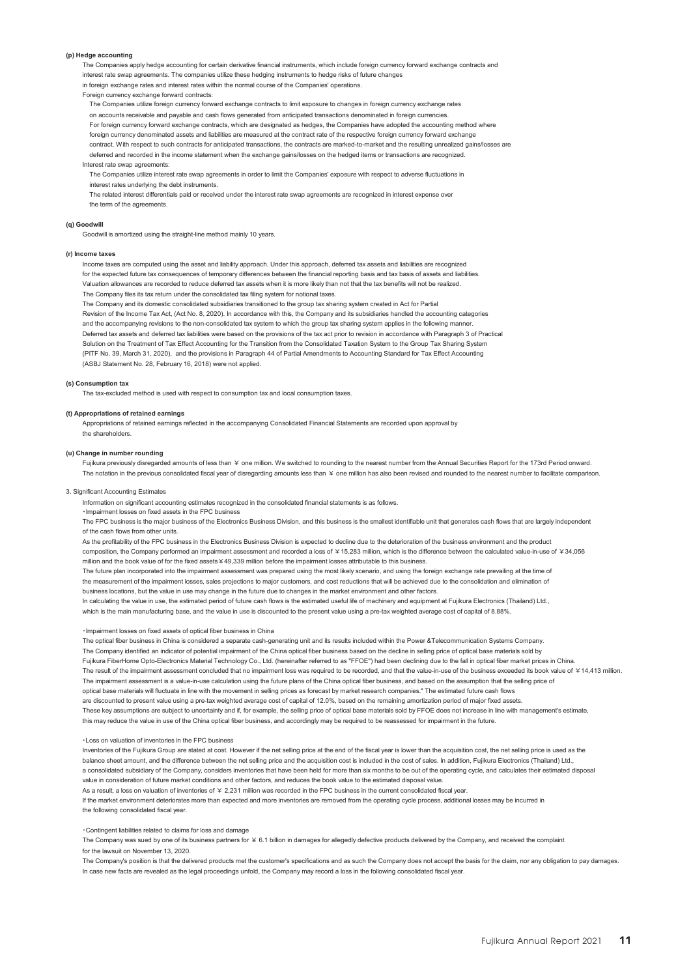#### **(p) Hedge accounting**

The Companies apply hedge accounting for certain derivative financial instruments, which include foreign currency forward exchange contracts and interest rate swap agreements. The companies utilize these hedging instruments to hedge risks of future changes

- in foreign exchange rates and interest rates within the normal course of the Companies' operations
- Foreign currency exchange forward contracts:

 The Companies utilize foreign currency forward exchange contracts to limit exposure to changes in foreign currency exchange rates on accounts receivable and payable and cash flows generated from anticipated transactions denominated in foreign currencies. For foreign currency forward exchange contracts, which are designated as hedges, the Companies have adopted the accounting method where foreign currency denominated assets and liabilities are measured at the contract rate of the respective foreign currency forward exchange contract. With respect to such contracts for anticipated transactions, the contracts are marked-to-market and the resulting unrealized gains/losses are deferred and recorded in the income statement when the exchange gains/losses on the hedged items or transactions are recognized.

Interest rate swap agreements: The Companies utilize interest rate swap agreements in order to limit the Companies' exposure with respect to adverse fluctuations in interest rates underlying the debt instruments.

 The related interest differentials paid or received under the interest rate swap agreements are recognized in interest expense over the term of the agreements.

#### **(q) Goodwill**

Goodwill is amortized using the straight-line method mainly 10 years.

#### **(r) Income taxes**

Income taxes are computed using the asset and liability approach. Under this approach, deferred tax assets and liabilities are recognized for the expected future tax consequences of temporary differences between the financial reporting basis and tax basis of assets and liabilities. Valuation allowances are recorded to reduce deferred tax assets when it is more likely than not that the tax benefits will not be realized. The Company files its tax return under the consolidated tax filing system for notional taxes. The Company and its domestic consolidated subsidiaries transitioned to the group tax sharing system created in Act for Partial

Revision of the Income Tax Act, (Act No. 8, 2020). In accordance with this, the Company and its subsidiaries handled the accounting categories and the accompanying revisions to the non-consolidated tax system to which the group tax sharing system applies in the following manner. Deferred tax assets and deferred tax liabilities were based on the provisions of the tax act prior to revision in accordance with Paragraph 3 of Practical Solution on the Treatment of Tax Effect Accounting for the Transition from the Consolidated Taxation System to the Group Tax Sharing System (PITF No. 39, March 31, 2020), and the provisions in Paragraph 44 of Partial Amendments to Accounting Standard for Tax Effect Accounting (ASBJ Statement No. 28, February 16, 2018) were not applied.

#### **(s) Consumption tax**

The tax-excluded method is used with respect to consumption tax and local consumption taxes.

#### **(t) Appropriations of retained earnings**

Appropriations of retained earnings reflected in the accompanying Consolidated Financial Statements are recorded upon approval by the shareholders.

#### **(u) Change in number rounding**

Fujikura previously disregarded amounts of less than ¥ one million. We switched to rounding to the nearest number from the Annual Securities Report for the 173rd Period onward. The notation in the previous consolidated fiscal year of disregarding amounts less than ¥ one million has also been revised and rounded to the nearest number to facilitate comparison.

#### 3. Significant Accounting Estimates

Information on significant accounting estimates recognized in the consolidated financial statements is as follows.

・Impairment losses on fixed assets in the FPC business

The FPC business is the major business of the Electronics Business Division, and this business is the smallest identifiable unit that generates cash flows that are largely independent of the cash flows from other units.

As the profitability of the FPC business in the Electronics Business Division is expected to decline due to the deterioration of the business environment and the product composition, the Company performed an impairment assessment and recorded a loss of ¥15,283 million, which is the difference between the calculated value-in-use of ¥34,056 million and the book value of for the fixed assets¥49,339 million before the impairment losses attributable to this business.

The future plan incorporated into the impairment assessment was prepared using the most likely scenario, and using the foreign exchange rate prevailing at the time of the measurement of the impairment losses, sales projections to major customers, and cost reductions that will be achieved due to the consolidation and elimination of business locations, but the value in use may change in the future due to changes in the market environment and other factors.

In calculating the value in use, the estimated period of future cash flows is the estimated useful life of machinery and equipment at Fujikura Electronics (Thailand) Ltd., which is the main manufacturing base, and the value in use is discounted to the present value using a pre-tax weighted average cost of capital of 8.88%

#### ・Impairment losses on fixed assets of optical fiber business in China

The optical fiber business in China is considered a separate cash-generating unit and its results included within the Power &Telecommunication Systems Company. The Company identified an indicator of potential impairment of the China optical fiber business based on the decline in selling price of optical base materials sold by Fujikura FiberHome Opto-Electronics Material Technology Co., Ltd. (hereinafter referred to as "FFOE") had been declining due to the fall in optical fiber market prices in China. The result of the impairment assessment concluded that no impairment loss was required to be recorded, and that the value-in-use of the business exceeded its book value of ¥14,413 million. The impairment assessment is a value-in-use calculation using the future plans of the China optical fiber business, and based on the assumption that the selling price of optical base materials will fluctuate in line with the movement in selling prices as forecast by market research companies." The estimated future cash flows are discounted to present value using a pre-tax weighted average cost of capital of 12.0%, based on the remaining amortization period of major fixed assets. These key assumptions are subject to uncertainty and if, for example, the selling price of optical base materials sold by FFOE does not increase in line with management's estimate, this may reduce the value in use of the China optical fiber business, and accordingly may be required to be reassessed for impairment in the future.

#### ・Loss on valuation of inventories in the FPC business

Inventories of the Fujikura Group are stated at cost. However if the net selling price at the end of the fiscal year is lower than the acquisition cost, the net selling price is used as the balance sheet amount, and the difference between the net selling price and the acquisition cost is included in the cost of sales. In addition, Fujikura Electronics (Thailand) Ltd. a consolidated subsidiary of the Company, considers inventories that have been held for more than six months to be out of the operating cycle, and calculates their estimated disposal value in consideration of future market conditions and other factors, and reduces the book value to the estimated disposal value.

As a result, a loss on valuation of inventories of ¥ 2,231 million was recorded in the FPC business in the current consolidated fiscal year.

If the market environment deteriorates more than expected and more inventories are removed from the operating cycle process, additional losses may be incurred in the following consolidated fiscal year.

#### ・Contingent liabilities related to claims for loss and damage

The Company was sued by one of its business partners for ¥ 6.1 billion in damages for allegedly defective products delivered by the Company, and received the complaint for the lawsuit on November 13, 2020.

The Company's position is that the delivered products met the customer's specifications and as such the Company does not accept the basis for the claim, nor any obligation to pay damages. In case new facts are revealed as the legal proceedings unfold, the Company may record a loss in the following consolidated fiscal year.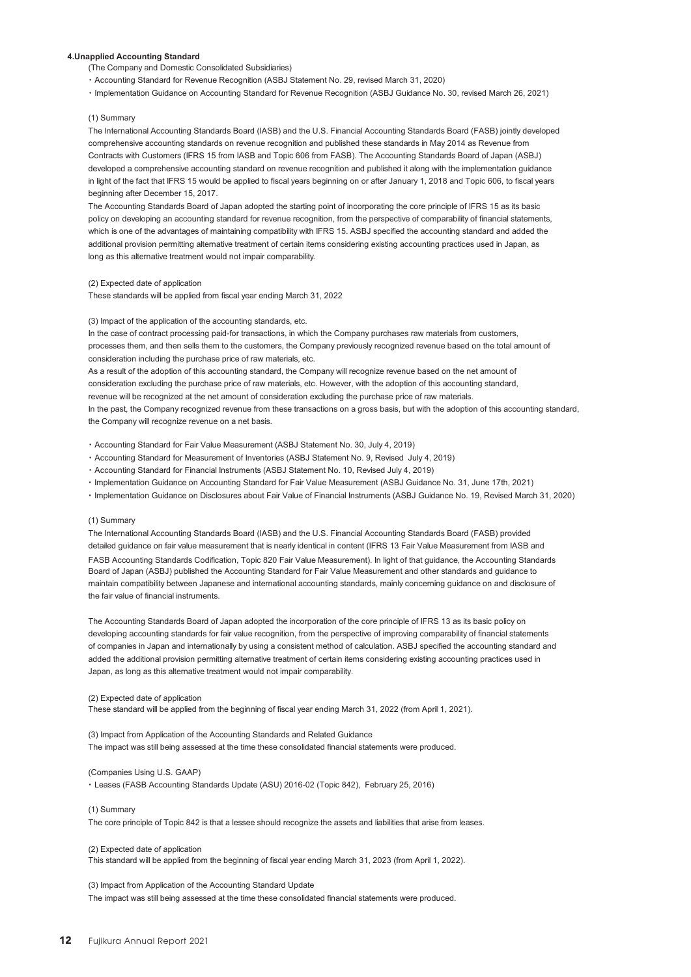#### **4.Unapplied Accounting Standard**

(The Company and Domestic Consolidated Subsidiaries)

- ・ Accounting Standard for Revenue Recognition (ASBJ Statement No. 29, revised March 31, 2020)
- ・ Implementation Guidance on Accounting Standard for Revenue Recognition (ASBJ Guidance No. 30, revised March 26, 2021)

#### (1) Summary

The International Accounting Standards Board (IASB) and the U.S. Financial Accounting Standards Board (FASB) jointly developed comprehensive accounting standards on revenue recognition and published these standards in May 2014 as Revenue from Contracts with Customers (IFRS 15 from IASB and Topic 606 from FASB). The Accounting Standards Board of Japan (ASBJ) developed a comprehensive accounting standard on revenue recognition and published it along with the implementation guidance in light of the fact that IFRS 15 would be applied to fiscal years beginning on or after January 1, 2018 and Topic 606, to fiscal years beginning after December 15, 2017.

The Accounting Standards Board of Japan adopted the starting point of incorporating the core principle of IFRS 15 as its basic policy on developing an accounting standard for revenue recognition, from the perspective of comparability of financial statements, which is one of the advantages of maintaining compatibility with IFRS 15. ASBJ specified the accounting standard and added the additional provision permitting alternative treatment of certain items considering existing accounting practices used in Japan, as long as this alternative treatment would not impair comparability.

#### (2) Expected date of application

These standards will be applied from fiscal year ending March 31, 2022

#### (3) Impact of the application of the accounting standards, etc.

In the case of contract processing paid-for transactions, in which the Company purchases raw materials from customers, processes them, and then sells them to the customers, the Company previously recognized revenue based on the total amount of consideration including the purchase price of raw materials, etc.

As a result of the adoption of this accounting standard, the Company will recognize revenue based on the net amount of consideration excluding the purchase price of raw materials, etc. However, with the adoption of this accounting standard, revenue will be recognized at the net amount of consideration excluding the purchase price of raw materials. In the past, the Company recognized revenue from these transactions on a gross basis, but with the adoption of this accounting standard,

the Company will recognize revenue on a net basis.

・ Accounting Standard for Fair Value Measurement (ASBJ Statement No. 30, July 4, 2019)

- ・ Accounting Standard for Measurement of Inventories (ASBJ Statement No. 9, Revised July 4, 2019)
- ・ Accounting Standard for Financial Instruments (ASBJ Statement No. 10, Revised July 4, 2019)
- ・ Implementation Guidance on Accounting Standard for Fair Value Measurement (ASBJ Guidance No. 31, June 17th, 2021)
- ・ Implementation Guidance on Disclosures about Fair Value of Financial Instruments (ASBJ Guidance No. 19, Revised March 31, 2020)

#### (1) Summary

The International Accounting Standards Board (IASB) and the U.S. Financial Accounting Standards Board (FASB) provided detailed guidance on fair value measurement that is nearly identical in content (IFRS 13 Fair Value Measurement from IASB and FASB Accounting Standards Codification, Topic 820 Fair Value Measurement). In light of that guidance, the Accounting Standards Board of Japan (ASBJ) published the Accounting Standard for Fair Value Measurement and other standards and guidance to maintain compatibility between Japanese and international accounting standards, mainly concerning guidance on and disclosure of the fair value of financial instruments.

The Accounting Standards Board of Japan adopted the incorporation of the core principle of IFRS 13 as its basic policy on developing accounting standards for fair value recognition, from the perspective of improving comparability of financial statements of companies in Japan and internationally by using a consistent method of calculation. ASBJ specified the accounting standard and added the additional provision permitting alternative treatment of certain items considering existing accounting practices used in Japan, as long as this alternative treatment would not impair comparability.

#### (2) Expected date of application

These standard will be applied from the beginning of fiscal year ending March 31, 2022 (from April 1, 2021).

#### (3) Impact from Application of the Accounting Standards and Related Guidance

The impact was still being assessed at the time these consolidated financial statements were produced.

#### (Companies Using U.S. GAAP)

・ Leases (FASB Accounting Standards Update (ASU) 2016-02 (Topic 842), February 25, 2016)

#### (1) Summary

The core principle of Topic 842 is that a lessee should recognize the assets and liabilities that arise from leases.

#### (2) Expected date of application

This standard will be applied from the beginning of fiscal year ending March 31, 2023 (from April 1, 2022).

#### (3) Impact from Application of the Accounting Standard Update

The impact was still being assessed at the time these consolidated financial statements were produced.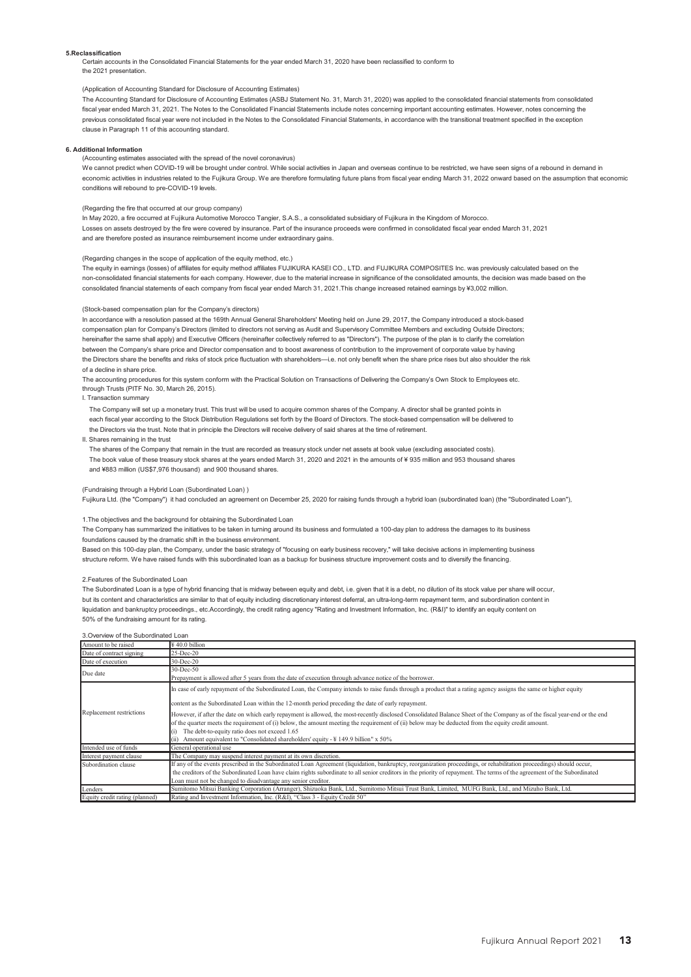#### **5.Reclassification**

Certain accounts in the Consolidated Financial Statements for the year ended March 31, 2020 have been reclassified to conform to the 2021 presentation.

#### (Application of Accounting Standard for Disclosure of Accounting Estimates)

The Accounting Standard for Disclosure of Accounting Estimates (ASBJ Statement No. 31, March 31, 2020) was applied to the consolidated financial statements from consolidated fiscal year ended March 31, 2021. The Notes to the Consolidated Financial Statements include notes concerning important accounting estimates. However, notes concerning the previous consolidated fiscal year were not included in the Notes to the Consolidated Financial Statements, in accordance with the transitional treatment specified in the exception clause in Paragraph 11 of this accounting standard.

#### **6. Additional Information**

(Accounting estimates associated with the spread of the novel coronavirus)

We cannot predict when COVID-19 will be brought under control. While social activities in Japan and overseas continue to be restricted, we have seen signs of a rebound in demand in economic activities in industries related to the Fujikura Group. We are therefore formulating future plans from fiscal year ending March 31, 2022 onward based on the assumption that economic conditions will rebound to pre-COVID-19 levels.

#### (Regarding the fire that occurred at our group company)

In May 2020, a fire occurred at Fujikura Automotive Morocco Tangier, S.A.S., a consolidated subsidiary of Fujikura in the Kingdom of Morocco. Losses on assets destroyed by the fire were covered by insurance. Part of the insurance proceeds were confirmed in consolidated fiscal year ended March 31, 2021 and are therefore posted as insurance reimbursement income under extraordinary gains.

#### (Regarding changes in the scope of application of the equity method, etc.)

The equity in earnings (losses) of affiliates for equity method affiliates FUJIKURA KASEI CO., LTD. and FUJIKURA COMPOSITES Inc. was previously calculated based on the non-consolidated financial statements for each company. However, due to the material increase in significance of the consolidated amounts, the decision was made based on the consolidated financial statements of each company from fiscal year ended March 31, 2021.This change increased retained earnings by ¥3,002 million.

#### (Stock-based compensation plan for the Company's directors)

In accordance with a resolution passed at the 169th Annual General Shareholders' Meeting held on June 29, 2017, the Company introduced a stock-based compensation plan for Company's Directors (limited to directors not serving as Audit and Supervisory Committee Members and excluding Outside Directors; hereinafter the same shall apply) and Executive Officers (hereinafter collectively referred to as "Directors"). The purpose of the plan is to clarify the correlation between the Company's share price and Director compensation and to boost awareness of contribution to the improvement of corporate value by having the Directors share the benefits and risks of stock price fluctuation with shareholders—i.e. not only benefit when the share price rises but also shoulder the risk of a decline in share price.

The accounting procedures for this system conform with the Practical Solution on Transactions of Delivering the Company's Own Stock to Employees etc. through Trusts (PITF No. 30, March 26, 2015).

#### I. Transaction summary

 The Company will set up a monetary trust. This trust will be used to acquire common shares of the Company. A director shall be granted points in each fiscal year according to the Stock Distribution Regulations set forth by the Board of Directors. The stock-based compensation will be delivered to the Directors via the trust. Note that in principle the Directors will receive delivery of said shares at the time of retirement.

#### II. Shares remaining in the trust

 The shares of the Company that remain in the trust are recorded as treasury stock under net assets at book value (excluding associated costs). The book value of these treasury stock shares at the years ended March 31, 2020 and 2021 in the amounts of ¥ 935 million and 953 thousand shares and ¥883 million (US\$7,976 thousand) and 900 thousand shares.

#### (Fundraising through a Hybrid Loan (Subordinated Loan) )

Fujikura Ltd. (the "Company") it had concluded an agreement on December 25, 2020 for raising funds through a hybrid loan (subordinated loan) (the "Subordinated Loan"),

#### 1.The objectives and the background for obtaining the Subordinated Loan

The Company has summarized the initiatives to be taken in turning around its business and formulated a 100-day plan to address the damages to its business foundations caused by the dramatic shift in the business environment.

Based on this 100-day plan, the Company, under the basic strategy of "focusing on early business recovery," will take decisive actions in implementing business structure reform. We have raised funds with this subordinated loan as a backup for business structure improvement costs and to diversify the financing.

#### 2.Features of the Subordinated Loan

The Subordinated Loan is a type of hybrid financing that is midway between equity and debt, i.e. given that it is a debt, no dilution of its stock value per share will occur, but its content and characteristics are similar to that of equity including discretionary interest deferral, an ultra-long-term repayment term, and subordination content in liquidation and bankruptcy proceedings., etc.Accordingly, the credit rating agency "Rating and Investment Information, Inc. (R&I)" to identify an equity content on 50% of the fundraising amount for its rating.

#### 3.Overview of the Subordinated Loan

| Amount to be raised            | $\frac{1}{2}$ 40.0 billion                                                                                                                                                 |
|--------------------------------|----------------------------------------------------------------------------------------------------------------------------------------------------------------------------|
| Date of contract signing       | 25-Dec-20                                                                                                                                                                  |
| Date of execution              | 30-Dec-20                                                                                                                                                                  |
| Due date                       | 30-Dec-50                                                                                                                                                                  |
|                                | Prepayment is allowed after 5 years from the date of execution through advance notice of the borrower.                                                                     |
|                                | In case of early repayment of the Subordinated Loan, the Company intends to raise funds through a product that a rating agency assigns the same or higher equity           |
|                                | content as the Subordinated Loan within the 12-month period preceding the date of early repayment.                                                                         |
| Replacement restrictions       | However, if after the date on which early repayment is allowed, the most-recently disclosed Consolidated Balance Sheet of the Company as of the fiscal year-end or the end |
|                                | of the quarter meets the requirement of (i) below, the amount meeting the requirement of (ii) below may be deducted from the equity credit amount.                         |
|                                | The debt-to-equity ratio does not exceed 1.65                                                                                                                              |
|                                | Amount equivalent to "Consolidated shareholders' equity - ¥ 149.9 billion" x 50%                                                                                           |
| Intended use of funds          | General operational use                                                                                                                                                    |
| Interest payment clause        | The Company may suspend interest payment at its own discretion.                                                                                                            |
| Subordination clause           | If any of the events prescribed in the Subordinated Loan Agreement (liquidation, bankruptcy, reorganization proceedings, or rehabilitation proceedings) should occur,      |
|                                | the creditors of the Subordinated Loan have claim rights subordinate to all senior creditors in the priority of repayment. The terms of the agreement of the Subordinated  |
|                                | Loan must not be changed to disadvantage any senior creditor.                                                                                                              |
| Lenders                        | Sumitomo Mitsui Banking Corporation (Arranger), Shizuoka Bank, Ltd., Sumitomo Mitsui Trust Bank, Limited, MUFG Bank, Ltd., and Mizuho Bank, Ltd.                           |
| Equity credit rating (planned) | Rating and Investment Information, Inc. (R&I), "Class 3 - Equity Credit 50"                                                                                                |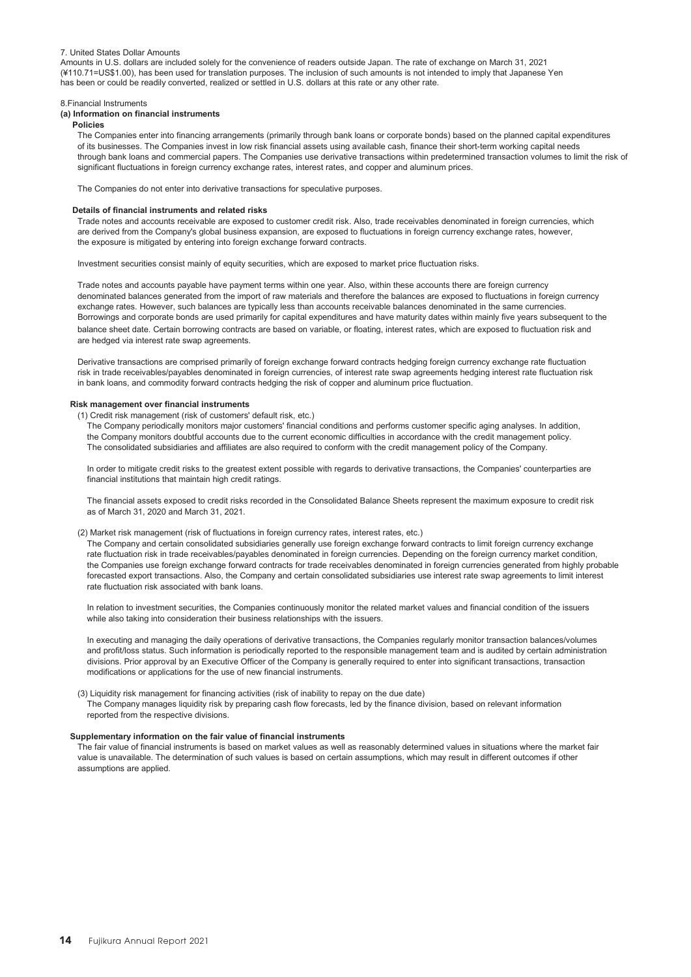#### 7. United States Dollar Amounts

Amounts in U.S. dollars are included solely for the convenience of readers outside Japan. The rate of exchange on March 31, 2021 (¥110.71=US\$1.00), has been used for translation purposes. The inclusion of such amounts is not intended to imply that Japanese Yen has been or could be readily converted, realized or settled in U.S. dollars at this rate or any other rate.

#### 8.Financial Instruments

#### **(a) Information on financial instruments**

#### **Policies**

The Companies enter into financing arrangements (primarily through bank loans or corporate bonds) based on the planned capital expenditures of its businesses. The Companies invest in low risk financial assets using available cash, finance their short-term working capital needs through bank loans and commercial papers. The Companies use derivative transactions within predetermined transaction volumes to limit the risk of significant fluctuations in foreign currency exchange rates, interest rates, and copper and aluminum prices.

The Companies do not enter into derivative transactions for speculative purposes.

#### **Details of financial instruments and related risks**

Trade notes and accounts receivable are exposed to customer credit risk. Also, trade receivables denominated in foreign currencies, which are derived from the Company's global business expansion, are exposed to fluctuations in foreign currency exchange rates, however, the exposure is mitigated by entering into foreign exchange forward contracts.

Investment securities consist mainly of equity securities, which are exposed to market price fluctuation risks.

Trade notes and accounts payable have payment terms within one year. Also, within these accounts there are foreign currency denominated balances generated from the import of raw materials and therefore the balances are exposed to fluctuations in foreign currency exchange rates. However, such balances are typically less than accounts receivable balances denominated in the same currencies. Borrowings and corporate bonds are used primarily for capital expenditures and have maturity dates within mainly five years subsequent to the balance sheet date. Certain borrowing contracts are based on variable, or floating, interest rates, which are exposed to fluctuation risk and are hedged via interest rate swap agreements.

Derivative transactions are comprised primarily of foreign exchange forward contracts hedging foreign currency exchange rate fluctuation risk in trade receivables/payables denominated in foreign currencies, of interest rate swap agreements hedging interest rate fluctuation risk in bank loans, and commodity forward contracts hedging the risk of copper and aluminum price fluctuation.

#### **Risk management over financial instruments**

(1) Credit risk management (risk of customers' default risk, etc.)

The Company periodically monitors major customers' financial conditions and performs customer specific aging analyses. In addition, the Company monitors doubtful accounts due to the current economic difficulties in accordance with the credit management policy. The consolidated subsidiaries and affiliates are also required to conform with the credit management policy of the Company.

In order to mitigate credit risks to the greatest extent possible with regards to derivative transactions, the Companies' counterparties are financial institutions that maintain high credit ratings.

The financial assets exposed to credit risks recorded in the Consolidated Balance Sheets represent the maximum exposure to credit risk as of March 31, 2020 and March 31, 2021.

#### (2) Market risk management (risk of fluctuations in foreign currency rates, interest rates, etc.)

The Company and certain consolidated subsidiaries generally use foreign exchange forward contracts to limit foreign currency exchange rate fluctuation risk in trade receivables/payables denominated in foreign currencies. Depending on the foreign currency market condition, the Companies use foreign exchange forward contracts for trade receivables denominated in foreign currencies generated from highly probable forecasted export transactions. Also, the Company and certain consolidated subsidiaries use interest rate swap agreements to limit interest rate fluctuation risk associated with bank loans.

In relation to investment securities, the Companies continuously monitor the related market values and financial condition of the issuers while also taking into consideration their business relationships with the issuers.

In executing and managing the daily operations of derivative transactions, the Companies regularly monitor transaction balances/volumes and profit/loss status. Such information is periodically reported to the responsible management team and is audited by certain administration divisions. Prior approval by an Executive Officer of the Company is generally required to enter into significant transactions, transaction modifications or applications for the use of new financial instruments.

(3) Liquidity risk management for financing activities (risk of inability to repay on the due date) The Company manages liquidity risk by preparing cash flow forecasts, led by the finance division, based on relevant information reported from the respective divisions.

#### **Supplementary information on the fair value of financial instruments**

The fair value of financial instruments is based on market values as well as reasonably determined values in situations where the market fair value is unavailable. The determination of such values is based on certain assumptions, which may result in different outcomes if other assumptions are applied.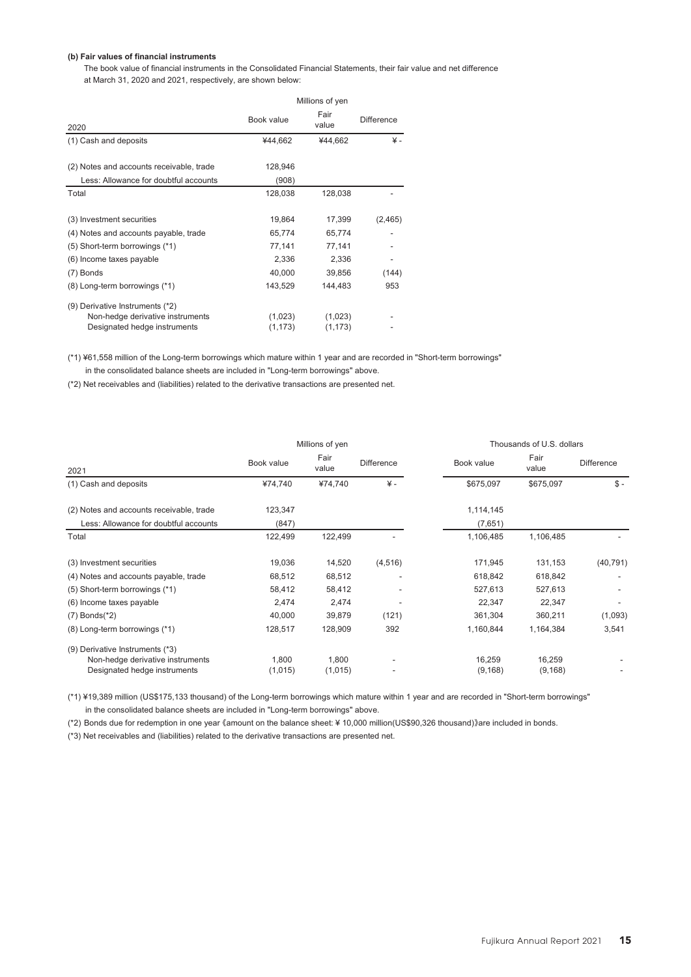#### **(b) Fair values of financial instruments**

The book value of financial instruments in the Consolidated Financial Statements, their fair value and net difference at March 31, 2020 and 2021, respectively, are shown below:

|                                                                                                     | Millions of yen     |                     |                   |  |
|-----------------------------------------------------------------------------------------------------|---------------------|---------------------|-------------------|--|
| 2020                                                                                                | Book value          | Fair<br>value       | <b>Difference</b> |  |
| (1) Cash and deposits                                                                               | ¥44,662             | ¥44,662             | ¥-                |  |
| (2) Notes and accounts receivable, trade                                                            | 128,946             |                     |                   |  |
| Less: Allowance for doubtful accounts                                                               | (908)               |                     |                   |  |
| Total                                                                                               | 128,038             | 128,038             |                   |  |
| (3) Investment securities                                                                           | 19,864              | 17,399              | (2, 465)          |  |
| (4) Notes and accounts payable, trade                                                               | 65,774              | 65,774              |                   |  |
| (5) Short-term borrowings (*1)                                                                      | 77,141              | 77,141              |                   |  |
| (6) Income taxes payable                                                                            | 2,336               | 2,336               |                   |  |
| (7) Bonds                                                                                           | 40,000              | 39,856              | (144)             |  |
| (8) Long-term borrowings (*1)                                                                       | 143,529             | 144.483             | 953               |  |
| (9) Derivative Instruments (*2)<br>Non-hedge derivative instruments<br>Designated hedge instruments | (1,023)<br>(1, 173) | (1,023)<br>(1, 173) |                   |  |
|                                                                                                     |                     |                     |                   |  |

(\*1) ¥61,558 million of the Long-term borrowings which mature within 1 year and are recorded in "Short-term borrowings" in the consolidated balance sheets are included in "Long-term borrowings" above.

(\*2) Net receivables and (liabilities) related to the derivative transactions are presented net.

|                                          |            | Millions of yen |                          |            | Thousands of U.S. dollars |                          |
|------------------------------------------|------------|-----------------|--------------------------|------------|---------------------------|--------------------------|
| 2021                                     | Book value | Fair<br>value   | <b>Difference</b>        | Book value | Fair<br>value             | <b>Difference</b>        |
| (1) Cash and deposits                    | ¥74,740    | ¥74,740         | ¥ -                      | \$675,097  | \$675,097                 | $$ -$                    |
| (2) Notes and accounts receivable, trade | 123,347    |                 |                          | 1,114,145  |                           |                          |
| Less: Allowance for doubtful accounts    | (847)      |                 |                          | (7,651)    |                           |                          |
| Total                                    | 122,499    | 122,499         |                          | 1,106,485  | 1,106,485                 |                          |
| (3) Investment securities                | 19,036     | 14,520          | (4, 516)                 | 171,945    | 131,153                   | (40, 791)                |
| (4) Notes and accounts payable, trade    | 68,512     | 68,512          | ٠                        | 618,842    | 618,842                   |                          |
| (5) Short-term borrowings (*1)           | 58,412     | 58,412          | ٠                        | 527,613    | 527,613                   |                          |
| (6) Income taxes payable                 | 2,474      | 2,474           | ٠                        | 22,347     | 22,347                    | $\overline{\phantom{a}}$ |
| $(7)$ Bonds $(*2)$                       | 40,000     | 39,879          | (121)                    | 361,304    | 360,211                   | (1,093)                  |
| (8) Long-term borrowings (*1)            | 128,517    | 128,909         | 392                      | 1,160,844  | 1,164,384                 | 3,541                    |
| (9) Derivative Instruments (*3)          |            |                 |                          |            |                           |                          |
| Non-hedge derivative instruments         | 1,800      | 1,800           | $\overline{\phantom{a}}$ | 16,259     | 16,259                    |                          |
| Designated hedge instruments             | (1,015)    | (1,015)         |                          | (9, 168)   | (9, 168)                  |                          |

(\*1) ¥19,389 million (US\$175,133 thousand) of the Long-term borrowings which mature within 1 year and are recorded in "Short-term borrowings" in the consolidated balance sheets are included in "Long-term borrowings" above.

(\*2) Bonds due for redemption in one year 《amount on the balance sheet: ¥ 10,000 million(US\$90,326 thousand)》are included in bonds.

(\*3) Net receivables and (liabilities) related to the derivative transactions are presented net.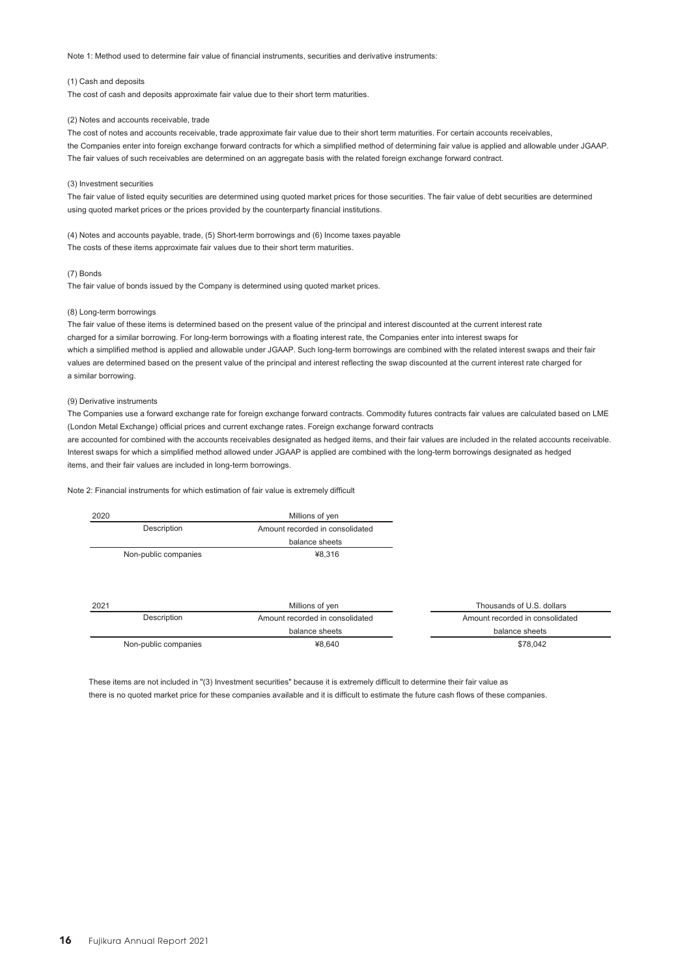Note 1: Method used to determine fair value of financial instruments, securities and derivative instruments:

#### (1) Cash and deposits

The cost of cash and deposits approximate fair value due to their short term maturities.

#### (2) Notes and accounts receivable, trade

The cost of notes and accounts receivable, trade approximate fair value due to their short term maturities. For certain accounts receivables, the Companies enter into foreign exchange forward contracts for which a simplified method of determining fair value is applied and allowable under JGAAP. The fair values of such receivables are determined on an aggregate basis with the related foreign exchange forward contract.

#### (3) Investment securities

The fair value of listed equity securities are determined using quoted market prices for those securities. The fair value of debt securities are determined using quoted market prices or the prices provided by the counterparty financial institutions.

(4) Notes and accounts payable, trade, (5) Short-term borrowings and (6) Income taxes payable The costs of these items approximate fair values due to their short term maturities.

#### (7) Bonds

The fair value of bonds issued by the Company is determined using quoted market prices.

#### (8) Long-term borrowings

The fair value of these items is determined based on the present value of the principal and interest discounted at the current interest rate charged for a similar borrowing. For long-term borrowings with a floating interest rate, the Companies enter into interest swaps for which a simplified method is applied and allowable under JGAAP. Such long-term borrowings are combined with the related interest swaps and their fair values are determined based on the present value of the principal and interest reflecting the swap discounted at the current interest rate charged for a similar borrowing.

#### (9) Derivative instruments

The Companies use a forward exchange rate for foreign exchange forward contracts. Commodity futures contracts fair values are calculated based on LME (London Metal Exchange) official prices and current exchange rates. Foreign exchange forward contracts

are accounted for combined with the accounts receivables designated as hedged items, and their fair values are included in the related accounts receivable. Interest swaps for which a simplified method allowed under JGAAP is applied are combined with the long-term borrowings designated as hedged items, and their fair values are included in long-term borrowings.

Note 2: Financial instruments for which estimation of fair value is extremely difficult

| 2020 |                      | Millions of yen                 |                                 |
|------|----------------------|---------------------------------|---------------------------------|
|      | Description          | Amount recorded in consolidated |                                 |
|      |                      | balance sheets                  |                                 |
|      | Non-public companies | ¥8,316                          |                                 |
|      |                      |                                 |                                 |
| 2021 |                      | Millions of yen                 | Thousands of U.S. dollars       |
|      | Description          | Amount recorded in consolidated | Amount recorded in consolidated |
|      |                      | balance sheets                  | balance sheets                  |
|      | Non-public companies | ¥8.640                          | \$78,042                        |

 These items are not included in "(3) Investment securities" because it is extremely difficult to determine their fair value as there is no quoted market price for these companies available and it is difficult to estimate the future cash flows of these companies.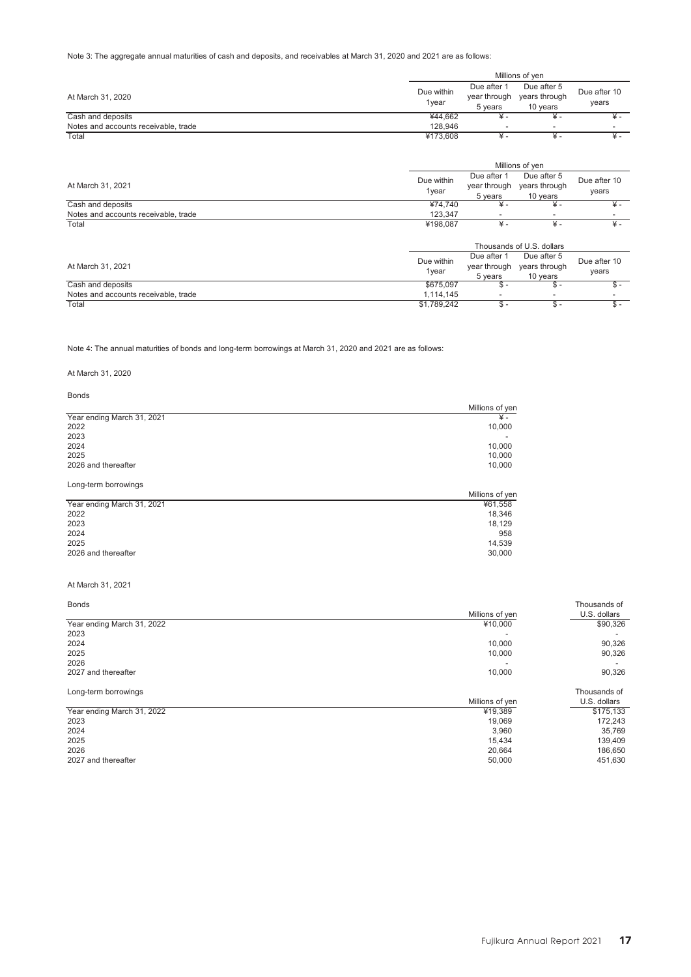Note 3: The aggregate annual maturities of cash and deposits, and receivables at March 31, 2020 and 2021 are as follows:

|                                      | Millions of ven     |                                        |                                          |                          |
|--------------------------------------|---------------------|----------------------------------------|------------------------------------------|--------------------------|
| At March 31, 2020                    | Due within<br>1year | Due after 1<br>year through<br>5 years | Due after 5<br>years through<br>10 years | Due after 10<br>years    |
| Cash and deposits                    | ¥44.662             |                                        |                                          |                          |
| Notes and accounts receivable, trade | 128.946             | $\overline{\phantom{0}}$               | $\overline{\phantom{0}}$                 | $\overline{\phantom{0}}$ |
| Total                                | ¥173.608            |                                        |                                          |                          |

|                                      | Millions of yen           |                                        |                                          |                       |  |  |
|--------------------------------------|---------------------------|----------------------------------------|------------------------------------------|-----------------------|--|--|
| At March 31, 2021                    | Due within<br>1year       | Due after 1<br>year through<br>5 years | Due after 5<br>years through<br>10 years | Due after 10<br>years |  |  |
| Cash and deposits                    | ¥74.740                   | ¥-                                     | ¥-                                       | ¥-                    |  |  |
| Notes and accounts receivable, trade | 123.347                   |                                        |                                          |                       |  |  |
| Total                                | ¥198.087                  | ¥-                                     | ¥-                                       | ¥ -                   |  |  |
|                                      |                           |                                        | Thousands of U.S. dollars                |                       |  |  |
| At March 31, 2021                    | Due within<br>$A + B = 0$ | Due after 1<br>year through            | Due after 5<br>years through             | Due after 10          |  |  |

| At March 31, 2021                    | _ _ _ _<br>1year | vear through | vears through | _ _ _ _ _ _ _ _ _ _<br>vears |
|--------------------------------------|------------------|--------------|---------------|------------------------------|
|                                      |                  | 5 years      | 10 years      |                              |
| Cash and deposits                    | \$675.097        |              |               |                              |
| Notes and accounts receivable, trade | 1.114.145        |              |               |                              |
| Total                                | \$1,789,242      |              |               |                              |
|                                      |                  |              |               |                              |

Note 4: The annual maturities of bonds and long-term borrowings at March 31, 2020 and 2021 are as follows:

#### At March 31, 2020

Bonds

|                            | Millions of yen |
|----------------------------|-----------------|
| Year ending March 31, 2021 | ¥ -             |
| 2022                       | 10,000          |
| 2023                       |                 |
| 2024                       | 10,000          |
| 2025                       | 10,000          |
| 2026 and thereafter        | 10,000          |
| Long-term borrowings       |                 |
|                            | Millions of yen |
| Year ending March 31, 2021 | ¥61,558         |
| 2022                       | 18,346          |
| 2023                       | 18,129          |
| 2024                       | 958             |
| 2025                       | 14,539          |
| 2026 and thereafter        | 30,000          |

#### At March 31, 2021

| <b>Bonds</b>               |                          | Thousands of             |
|----------------------------|--------------------------|--------------------------|
|                            | Millions of yen          | U.S. dollars             |
| Year ending March 31, 2022 | ¥10,000                  | \$90,326                 |
| 2023                       |                          |                          |
| 2024                       | 10,000                   | 90,326                   |
| 2025                       | 10,000                   | 90,326                   |
| 2026                       | $\overline{\phantom{a}}$ | $\overline{\phantom{a}}$ |
| 2027 and thereafter        | 10,000                   | 90,326                   |
| Long-term borrowings       |                          | Thousands of             |
|                            | Millions of yen          | U.S. dollars             |
| Year ending March 31, 2022 | ¥19,389                  | \$175,133                |
| 2023                       | 19,069                   | 172,243                  |
| 2024                       | 3,960                    | 35,769                   |
| 2025                       | 15,434                   | 139,409                  |
| 2026                       | 20,664                   | 186,650                  |
| 2027 and thereafter        | 50,000                   | 451,630                  |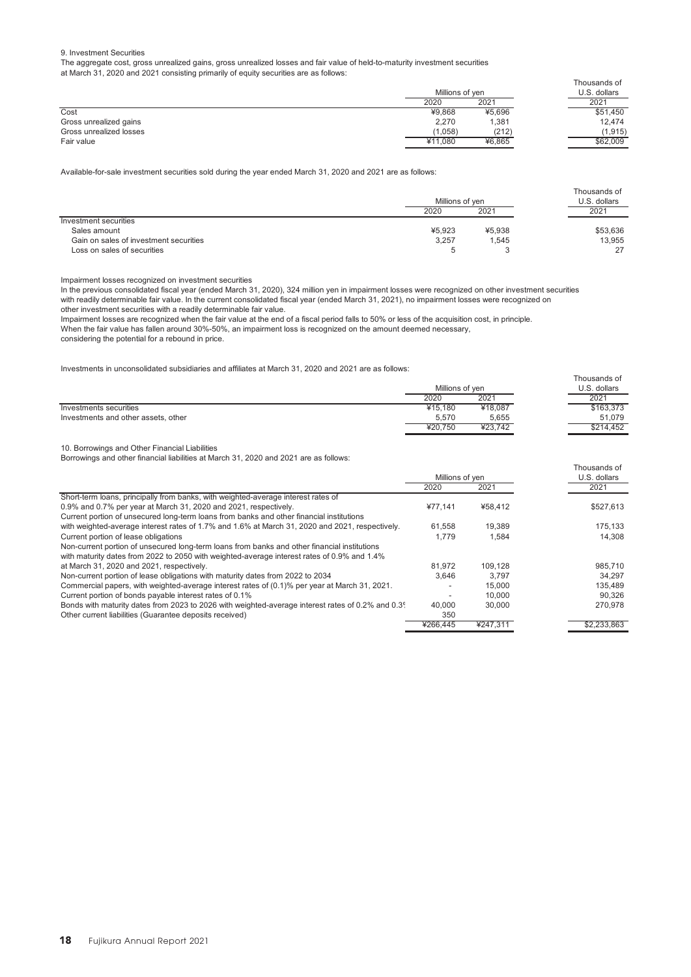#### 9. Investment Securities

The aggregate cost, gross unrealized gains, gross unrealized losses and fair value of held-to-maturity investment securities at March 31, 2020 and 2021 consisting primarily of equity securities are as follows:

Thousands of<br>U.S. dollars Millions of yen 2020 2021 2021 Cost ¥9,868 ¥5,696 \$51,450 Gross unrealized gains and the set of the control of the control of the control of the control of the control of the control of the control of the control of the control of the control of the control of the control of the Gross unrealized losses (1,058) (212) (1,915)<br>
Fair value **1,915**<br>
Fair value **1,916** Fair value ¥11,080 ¥6,865 \$62,009

Available-for-sale investment securities sold during the year ended March 31, 2020 and 2021 are as follows:

|                                        |                 |        | Thousands of |
|----------------------------------------|-----------------|--------|--------------|
|                                        | Millions of ven |        | U.S. dollars |
|                                        | 2020            | 2021   | 2021         |
| Investment securities                  |                 |        |              |
| Sales amount                           | ¥5.923          | ¥5,938 | \$53,636     |
| Gain on sales of investment securities | 3,257           | 1,545  | 13.955       |
| Loss on sales of securities            |                 |        | 27           |

Impairment losses recognized on investment securities

In the previous consolidated fiscal year (ended March 31, 2020), 324 million yen in impairment losses were recognized on other investment securities with readily determinable fair value. In the current consolidated fiscal year (ended March 31, 2021), no impairment losses were recognized on

other investment securities with a readily determinable fair value.

Impairment losses are recognized when the fair value at the end of a fiscal period falls to 50% or less of the acquisition cost, in principle. When the fair value has fallen around 30%-50%, an impairment loss is recognized on the amount deemed necessary,

considering the potential for a rebound in price.

Investments in unconsolidated subsidiaries and affiliates at March 31, 2020 and 2021 are as follows:

|                                     | Millions of ven |         | Thousands of<br>U.S. dollars |
|-------------------------------------|-----------------|---------|------------------------------|
|                                     | 2020            | 2021    | 2021                         |
| Investments securities              | ¥15.180         | ¥18.087 | \$163.373                    |
| Investments and other assets, other | 5.570           | 5.655   | 51.079                       |
|                                     | ¥20.750         | ¥23.742 | \$214.452                    |

10. Borrowings and Other Financial Liabilities

Borrowings and other financial liabilities at March 31, 2020 and 2021 are as follows:

|                                                                                                   |                 |          | Thousands of |
|---------------------------------------------------------------------------------------------------|-----------------|----------|--------------|
|                                                                                                   | Millions of yen |          | U.S. dollars |
|                                                                                                   | 2020            | 2021     | 2021         |
| Short-term loans, principally from banks, with weighted-average interest rates of                 |                 |          |              |
| 0.9% and 0.7% per year at March 31, 2020 and 2021, respectively.                                  | ¥77.141         | ¥58.412  | \$527,613    |
| Current portion of unsecured long-term loans from banks and other financial institutions          |                 |          |              |
| with weighted-average interest rates of 1.7% and 1.6% at March 31, 2020 and 2021, respectively.   | 61.558          | 19.389   | 175.133      |
| Current portion of lease obligations                                                              | 1.779           | 1.584    | 14.308       |
| Non-current portion of unsecured long-term loans from banks and other financial institutions      |                 |          |              |
| with maturity dates from 2022 to 2050 with weighted-average interest rates of 0.9% and 1.4%       |                 |          |              |
| at March 31, 2020 and 2021, respectively.                                                         | 81.972          | 109.128  | 985.710      |
| Non-current portion of lease obligations with maturity dates from 2022 to 2034                    | 3.646           | 3.797    | 34.297       |
| Commercial papers, with weighted-average interest rates of (0.1)% per year at March 31, 2021.     |                 | 15,000   | 135,489      |
| Current portion of bonds payable interest rates of 0.1%                                           |                 | 10.000   | 90.326       |
| Bonds with maturity dates from 2023 to 2026 with weighted-average interest rates of 0.2% and 0.39 | 40,000          | 30,000   | 270.978      |
| Other current liabilities (Guarantee deposits received)                                           | 350             |          |              |
|                                                                                                   | ¥266,445        | ¥247.311 | \$2,233,863  |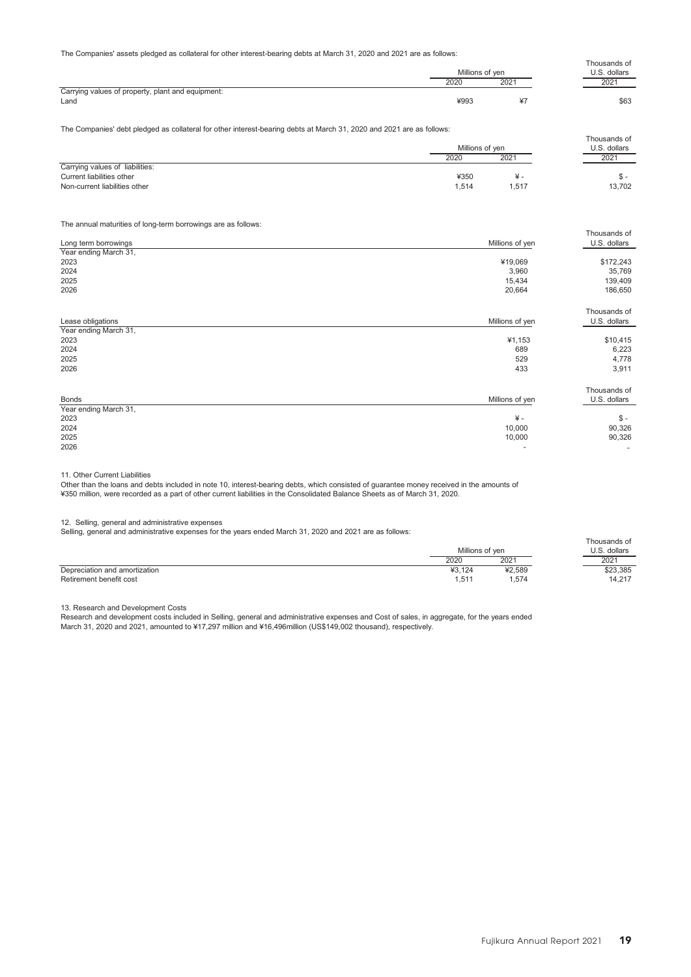The Companies' assets pledged as collateral for other interest-bearing debts at March 31, 2020 and 2021 are as follows:

| The companies assets proaged as condition on only microstracting asset at march of ESES and ESET are as remoted | Millions of ven |      | Thousands of<br>U.S. dollars |
|-----------------------------------------------------------------------------------------------------------------|-----------------|------|------------------------------|
|                                                                                                                 | 2020            | 2021 | 2021                         |
| Carrying values of property, plant and equipment:<br>Land                                                       | ¥993            |      | \$63                         |

The Companies' debt pledged as collateral for other interest-bearing debts at March 31, 2020 and 2021 are as follows:

|                                 | Millions of ven |       | Thousands of<br>U.S. dollars |
|---------------------------------|-----------------|-------|------------------------------|
|                                 | 2020            | 2021  | 2021                         |
| Carrying values of liabilities: |                 |       |                              |
| Current liabilities other       | ¥350            | ¥-    |                              |
| Non-current liabilities other   | 1,514           | 1.517 | 13,702                       |

The annual maturities of long-term borrowings are as follows:

| The annual maturities of long term benefings are as follows. |                 | Thousands of |
|--------------------------------------------------------------|-----------------|--------------|
| Long term borrowings                                         | Millions of yen | U.S. dollars |
| Year ending March 31,                                        |                 |              |
| 2023                                                         | ¥19,069         | \$172,243    |
| 2024                                                         | 3,960           | 35,769       |
| 2025                                                         | 15,434          | 139,409      |
| 2026                                                         | 20,664          | 186,650      |
|                                                              |                 | Thousands of |
| Lease obligations                                            | Millions of yen | U.S. dollars |
| Year ending March 31,                                        |                 |              |
| 2023                                                         | ¥1,153          | \$10,415     |
| 2024                                                         | 689             | 6,223        |
| 2025                                                         | 529             | 4,778        |
| 2026                                                         | 433             | 3,911        |
|                                                              |                 | Thousands of |
| <b>Bonds</b>                                                 | Millions of yen | U.S. dollars |
| Year ending March 31                                         |                 |              |

| Year ending March 31, |                          |        |
|-----------------------|--------------------------|--------|
| 2023                  | .≄ ≄                     | .৯ -   |
| 2024                  | 10,000                   | 90,326 |
| 2025                  | 10,000                   | 90,326 |
| 2026                  | $\overline{\phantom{a}}$ |        |

11. Other Current Liabilities

Other than the loans and debts included in note 10, interest-bearing debts, which consisted of guarantee money received in the amounts of ¥350 million, were recorded as a part of other current liabilities in the Consolidated Balance Sheets as of March 31, 2020.

12. Selling, general and administrative expenses

Selling, general and administrative expenses for the years ended March 31, 2020 and 2021 are as follows:

|                               |                 |        | i iluusallus ul  |  |
|-------------------------------|-----------------|--------|------------------|--|
|                               | Millions of ven |        | U.S. dollars     |  |
|                               | 2020            | 2021   | 202 <sup>2</sup> |  |
| Depreciation and amortization | ¥3,124          | ¥2,589 | \$23,385         |  |
| Retirement benefit cost       | .511            | .574   | 14,217           |  |
|                               |                 |        |                  |  |

13. Research and Development Costs

Research and development costs included in Selling, general and administrative expenses and Cost of sales, in aggregate, for the years ended March 31, 2020 and 2021, amounted to ¥17,297 million and ¥16,496million (US\$149,002 thousand), respectively.

Thousands of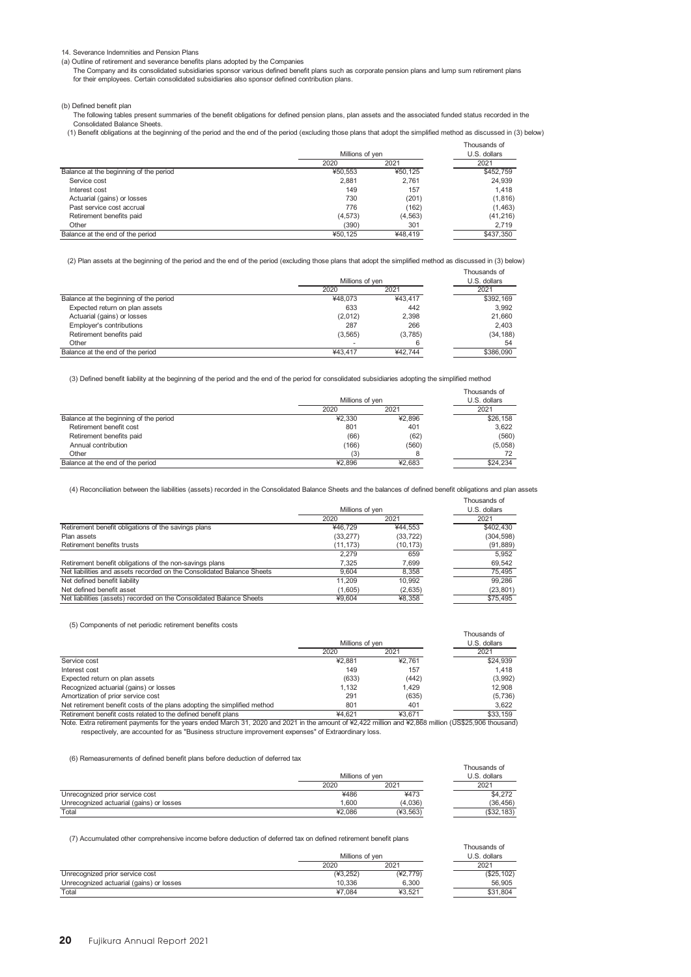14. Severance Indemnities and Pension Plans

(a) Outline of retirement and severance benefits plans adopted by the Companies

 The Company and its consolidated subsidiaries sponsor various defined benefit plans such as corporate pension plans and lump sum retirement plans for their employees. Certain consolidated subsidiaries also sponsor defined contribution plans.

(b) Defined benefit plan

 The following tables present summaries of the benefit obligations for defined pension plans, plan assets and the associated funded status recorded in the Consolidated Balance Sheets.

(1) Benefit obligations at the beginning of the period and the end of the period (excluding those plans that adopt the simplified method as discussed in (3) below)

|                                        |                 |          | Thousands of |
|----------------------------------------|-----------------|----------|--------------|
|                                        | Millions of yen |          | U.S. dollars |
|                                        | 2020            | 2021     | 2021         |
| Balance at the beginning of the period | ¥50.553         | ¥50.125  | \$452.759    |
| Service cost                           | 2.881           | 2.761    | 24,939       |
| Interest cost                          | 149             | 157      | 1.418        |
| Actuarial (gains) or losses            | 730             | (201)    | (1, 816)     |
| Past service cost accrual              | 776             | (162)    | (1, 463)     |
| Retirement benefits paid               | (4, 573)        | (4, 563) | (41, 216)    |
| Other                                  | (390)           | 301      | 2,719        |
| Balance at the end of the period       | ¥50.125         | ¥48.419  | \$437,350    |

(2) Plan assets at the beginning of the period and the end of the period (excluding those plans that adopt the simplified method as discussed in (3) below)

|                                        |                 |         | Thousands of |
|----------------------------------------|-----------------|---------|--------------|
|                                        | Millions of ven |         | U.S. dollars |
|                                        | 2020            | 2021    | 2021         |
| Balance at the beginning of the period | ¥48,073         | ¥43.417 | \$392.169    |
| Expected return on plan assets         | 633             | 442     | 3.992        |
| Actuarial (gains) or losses            | (2,012)         | 2.398   | 21.660       |
| Employer's contributions               | 287             | 266     | 2.403        |
| Retirement benefits paid               | (3, 565)        | (3,785) | (34, 188)    |
| Other                                  |                 |         | 54           |
| Balance at the end of the period       | ¥43.417         | ¥42.744 | \$386,090    |

(3) Defined benefit liability at the beginning of the period and the end of the period for consolidated subsidiaries adopting the simplified method

|                                        |                 |        | Thousands of |
|----------------------------------------|-----------------|--------|--------------|
|                                        | Millions of ven |        | U.S. dollars |
|                                        | 2020            | 2021   | 2021         |
| Balance at the beginning of the period | ¥2.330          | ¥2.896 | \$26,158     |
| Retirement benefit cost                | 801             | 401    | 3.622        |
| Retirement benefits paid               | (66)            | (62)   | (560)        |
| Annual contribution                    | (166)           | (560)  | (5,058)      |
| Other                                  | (3)             |        |              |
| Balance at the end of the period       | ¥2.896          | ¥2.683 | \$24,234     |

 (4) Reconciliation between the liabilities (assets) recorded in the Consolidated Balance Sheets and the balances of defined benefit obligations and plan assets Thousands of

|                                                                        | Millions of yen |           | U.S. dollars |  |
|------------------------------------------------------------------------|-----------------|-----------|--------------|--|
|                                                                        | 2020            | 2021      | 2021         |  |
| Retirement benefit obligations of the savings plans                    | ¥46.729         | ¥44.553   | \$402,430    |  |
| Plan assets                                                            | (33, 277)       | (33, 722) | (304, 598)   |  |
| Retirement benefits trusts                                             | (11, 173)       | (10, 173) | (91, 889)    |  |
|                                                                        | 2.279           | 659       | 5.952        |  |
| Retirement benefit obligations of the non-savings plans                | 7.325           | 7.699     | 69.542       |  |
| Net liabilities and assets recorded on the Consolidated Balance Sheets | 9.604           | 8.358     | 75.495       |  |
| Net defined benefit liability                                          | 11.209          | 10.992    | 99.286       |  |
| Net defined benefit asset                                              | (1,605)         | (2,635)   | (23, 801)    |  |
| Net liabilities (assets) recorded on the Consolidated Balance Sheets   | ¥9.604          | ¥8.358    | \$75.495     |  |

(5) Components of net periodic retirement benefits costs

|                                                                          |                                           |               | Thousands of |
|--------------------------------------------------------------------------|-------------------------------------------|---------------|--------------|
|                                                                          | Millions of ven                           |               | U.S. dollars |
|                                                                          | 2020                                      | 2021          | 2021         |
| Service cost                                                             | ¥2.881                                    | ¥2.761        | \$24.939     |
| Interest cost                                                            | 149                                       | 157           | 1.418        |
| Expected return on plan assets                                           | (633)                                     | (442)         | (3,992)      |
| Recognized actuarial (gains) or losses                                   | 1.132                                     | 1.429         | 12.908       |
| Amortization of prior service cost                                       | 291                                       | (635)         | (5,736)      |
| Net retirement benefit costs of the plans adopting the simplified method | 801                                       | 401           | 3.622        |
| Poticoment benefit costs related to the defined benefit plans            | $\mathsf{V}$ <sub>4</sub> $\mathsf{R}$ 21 | <b>V3 671</b> | C33150       |

933,159, 159, 1987, 1987, 1987, 1987, 1987, 1987, 1987, 1988, 1987, 1988, 1988, 1988, 1988, 1988, 19<br>Note. Extra retirement payments for the years ended March 31, 2020 and 2021 in the amount of ¥2,422 million and ¥2,868 respectively, are accounted for as "Business structure improvement expenses" of Extraordinary loss.

(6) Remeasurements of defined benefit plans before deduction of deferred tax

|                                          | Millions of ven |          | Thousands of<br>U.S. dollars |
|------------------------------------------|-----------------|----------|------------------------------|
|                                          | 2020            | 2021     | 2021                         |
| Unrecognized prior service cost          | ¥486            | ¥473     | \$4,272                      |
| Unrecognized actuarial (gains) or losses | 1.600           | (4,036)  | (36, 456)                    |
| Total                                    | ¥2.086          | (¥3,563) | ( \$32, 183)                 |

(7) Accumulated other comprehensive income before deduction of deferred tax on defined retirement benefit plans

|                                          | Millions of ven |            | Thousands of<br>U.S. dollars |
|------------------------------------------|-----------------|------------|------------------------------|
|                                          | 2020            | 2021       | 2021                         |
| Unrecognized prior service cost          | $(*3,252)$      | $(*2,779)$ | (\$25, 102)                  |
| Unrecognized actuarial (gains) or losses | 10.336          | 6.300      | 56.905                       |
| Total                                    | ¥7.084          | ¥3.521     | \$31.804                     |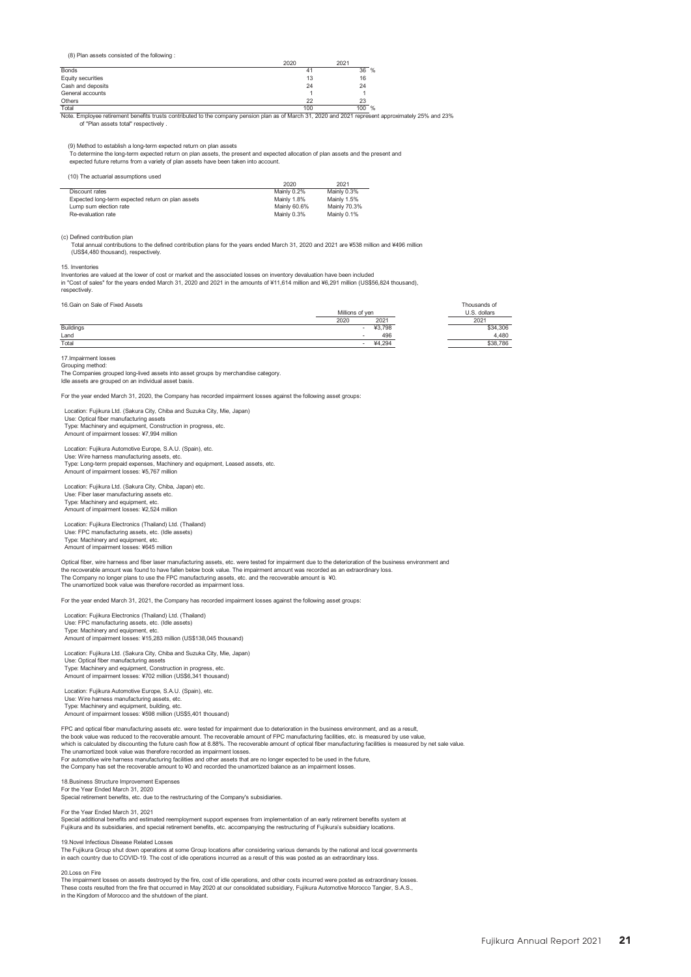(8) Plan assets consisted of the following :

|                                                                                                                                                     | 2020 | 2021    |  |
|-----------------------------------------------------------------------------------------------------------------------------------------------------|------|---------|--|
| <b>Bonds</b>                                                                                                                                        |      | 36 %    |  |
| Equity securities                                                                                                                                   |      | 16      |  |
| Cash and deposits                                                                                                                                   | 24   | 24      |  |
| General accounts                                                                                                                                    |      |         |  |
| Others                                                                                                                                              |      |         |  |
| Total                                                                                                                                               | 100  | $100\%$ |  |
| Note. Employee retirement benefits trusts contributed to the company pension plan as of March 31, 2020 and 2021 represent approximately 25% and 23% |      |         |  |

of "Plan assets total" respectively .

 (9) Method to establish a long-term expected return on plan assets To determine the long-term expected return on plan assets, the present and expected allocation of plan assets and the present and expected future returns from a variety of plan assets have been taken into account.

(10) The actuarial assumptions used

|                                                   | 2020         | 2021         |
|---------------------------------------------------|--------------|--------------|
| Discount rates                                    | Mainly 0.2%  | Mainly 0.3%  |
| Expected long-term expected return on plan assets | Mainly 1.8%  | Mainly 1.5%  |
| Lump sum election rate                            | Mainly 60.6% | Mainly 70.3% |
| Re-evaluation rate                                | Mainly 0.3%  | Mainly 0.1%  |

#### (c) Defined contribution plan

Total annual contributions to the defined contribution plans for the years ended March 31, 2020 and 2021 are ¥538 million and ¥496 million (US\$4,480 thousand), respectively.

#### 15. Inventories

Inventories are valued at the lower of cost or market and the associated losses on inventory devaluation have been included in "Cost of sales" for the years ended March 31, 2020 and 2021 in the amounts of ¥11,614 million and ¥6,291 million (US\$56,824 thousand), respectively.

#### 16.Gain on Sale of Fixed Assets Thousands of

|                  | Millions of ven          |        | .<br>U.S. dollars |
|------------------|--------------------------|--------|-------------------|
|                  | 2020                     | 2021   | 2021              |
| <b>Buildings</b> | $\overline{\phantom{0}}$ | ¥3,798 | \$34,306          |
| Land             |                          | 496    | 4,480             |
| Total            |                          | ¥4.294 | \$38,786          |

17.Impairment losses

Grouping method:

The Companies grouped long-lived assets into asset groups by merchandise category. Idle assets are grouped on an individual asset basis.

For the year ended March 31, 2020, the Company has recorded impairment losses against the following asset groups:

 Location: Fujikura Ltd. (Sakura City, Chiba and Suzuka City, Mie, Japan) Use: Optical fiber manufacturing assets Type: Machinery and equipment, Construction in progress, etc. Amount of impairment losses: ¥7,994 million

 Location: Fujikura Automotive Europe, S.A.U. (Spain), etc. Use: Wire harness manufacturing assets, etc. Type: Long-term prepaid expenses, Machinery and equipment, Leased assets, etc. Amount of impairment losses: ¥5,767 million

 Location: Fujikura Ltd. (Sakura City, Chiba, Japan) etc. Use: Fiber laser manufacturing assets etc. Type: Machinery and equipment, etc. Amount of impairment losses: ¥2,524 million

 Location: Fujikura Electronics (Thailand) Ltd. (Thailand) Use: FPC manufacturing assets, etc. (Idle assets) Type: Machinery and equipment, etc. Amount of impairment losses: ¥645 million

Optical fiber, wire harness and fiber laser manufacturing assets, etc. were tested for impairment due to the deterioration of the business environment and<br>the recoverable amount was found to have fallen below book value. T The unamortized book value was therefore recorded as impairment loss.

For the year ended March 31, 2021, the Company has recorded impairment losses against the following asset groups:

 Location: Fujikura Electronics (Thailand) Ltd. (Thailand) Use: FPC manufacturing assets, etc. (Idle assets) Type: Machinery and equipment, etc. Amount of impairment losses: ¥15,283 million (US\$138,045 thousand)

 Location: Fujikura Ltd. (Sakura City, Chiba and Suzuka City, Mie, Japan) Use: Optical fiber manufacturing assets Type: Machinery and equipment, Construction in progress, etc. Amount of impairment losses: ¥702 million (US\$6,341 thousand)

 Location: Fujikura Automotive Europe, S.A.U. (Spain), etc. Use: Wire harness manufacturing assets, etc. Type: Machinery and equipment, building, etc. Amount of impairment losses: ¥598 million (US\$5,401 thousand)

FPC and optical fiber manufacturing assets etc. were tested for impairment due to deterioration in the business environment, and as a result,<br>the book value was reduced to the recoverable amount. The recoverable amount of The unamortized book value was therefore recorded as impairment losses. For automotive wire harness manufacturing facilities and other assets that are no longer expected to be used in the future, the Company has set the recoverable amount to ¥0 and recorded the unamortized balance as an impairment losses.

18.Business Structure Improvement Expenses For the Year Ended March 31, 2020

Special retirement benefits, etc. due to the restructuring of the Company's subsidiaries.

#### For the Year Ended March 31, 2021

Special additional benefits and estimated reemployment support expenses from implementation of an early retirement benefits system at<br>Fujikura and its subsidiaries, and special retirement benefits, etc. accompanying the re

#### 19.Novel Infectious Disease Related Losses

The Fujikura Group shut down operations at some Group locations after considering various demands by the national and local governments<br>in each country due to COVID-19. The cost of idle operations incurred as a result of t

20.Loss on Fire The impairment losses on assets destroyed by the fire, cost of idle operations, and other costs incurred were posted as extraordinary losses. These costs resulted from the fire that occurred in May 2020 at our consolidated subsidiary, Fujikura Automotive Morocco Tangier, S.A.S., in the Kingdom of Morocco and the shutdown of the plant.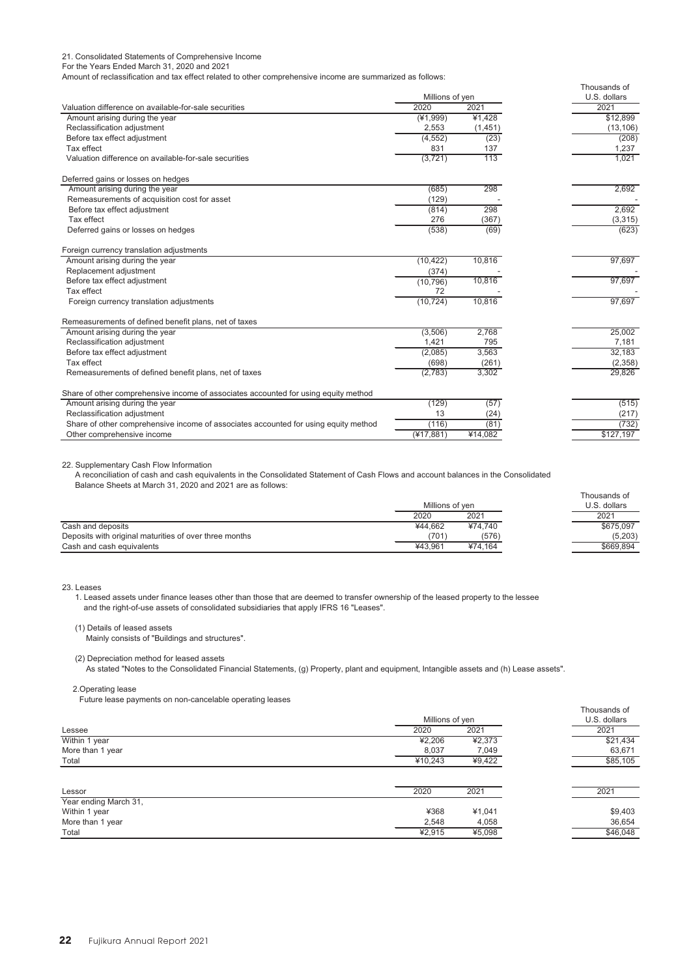#### 21. Consolidated Statements of Comprehensive Income

#### For the Years Ended March 31, 2020 and 2021

Amount of reclassification and tax effect related to other comprehensive income are summarized as follows:

|                                                                                     |                 |         | Thousands of |
|-------------------------------------------------------------------------------------|-----------------|---------|--------------|
|                                                                                     | Millions of yen |         | U.S. dollars |
| Valuation difference on available-for-sale securities                               | 2020            | 2021    | 2021         |
| Amount arising during the year                                                      | $(*1,999)$      | ¥1,428  | \$12,899     |
| Reclassification adjustment                                                         | 2.553           | (1,451) | (13, 106)    |
| Before tax effect adjustment                                                        | (4, 552)        | (23)    | (208)        |
| Tax effect                                                                          | 831             | 137     | 1,237        |
| Valuation difference on available-for-sale securities                               | (3, 721)        | 113     | 1,021        |
| Deferred gains or losses on hedges                                                  |                 |         |              |
| Amount arising during the year                                                      | (685)           | 298     | 2,692        |
| Remeasurements of acquisition cost for asset                                        | (129)           |         |              |
| Before tax effect adjustment                                                        | (814)           | 298     | 2,692        |
| Tax effect                                                                          | 276             | (367)   | (3, 315)     |
| Deferred gains or losses on hedges                                                  | (538)           | (69)    | (623)        |
| Foreign currency translation adjustments                                            |                 |         |              |
| Amount arising during the year                                                      | (10, 422)       | 10,816  | 97,697       |
| Replacement adjustment                                                              | (374)           |         |              |
| Before tax effect adjustment                                                        | (10, 796)       | 10,816  | 97,697       |
| Tax effect                                                                          | 72              |         |              |
| Foreign currency translation adjustments                                            | (10, 724)       | 10,816  | 97,697       |
| Remeasurements of defined benefit plans, net of taxes                               |                 |         |              |
| Amount arising during the year                                                      | (3,506)         | 2,768   | 25,002       |
| Reclassification adjustment                                                         | 1,421           | 795     | 7,181        |
| Before tax effect adjustment                                                        | (2,085)         | 3,563   | 32,183       |
| Tax effect                                                                          | (698)           | (261)   | (2,358)      |
| Remeasurements of defined benefit plans, net of taxes                               | (2,783)         | 3,302   | 29,826       |
| Share of other comprehensive income of associates accounted for using equity method |                 |         |              |
| Amount arising during the year                                                      | (129)           | (57)    | (515)        |
| Reclassification adjustment                                                         | 13              | (24)    | (217)        |
| Share of other comprehensive income of associates accounted for using equity method | (116)           | (81)    | (732)        |
| Other comprehensive income                                                          | $(*17,881)$     | ¥14,082 | \$127,197    |

22. Supplementary Cash Flow Information

 A reconciliation of cash and cash equivalents in the Consolidated Statement of Cash Flows and account balances in the Consolidated Balance Sheets at March 31, 2020 and 2021 are as follows:

|                                                        | Millions of ven |         | Thousands of<br>U.S. dollars |
|--------------------------------------------------------|-----------------|---------|------------------------------|
|                                                        | 2020            | 2021    | 2021                         |
| Cash and deposits                                      | ¥44.662         | ¥74.740 | \$675.097                    |
| Deposits with original maturities of over three months | (701)           | (576)   | (5,203)                      |
| Cash and cash equivalents                              | ¥43.961         | ¥74.164 | \$669.894                    |

#### 23. Leases

(1) Details of leased assets

Mainly consists of "Buildings and structures".

#### (2) Depreciation method for leased assets

As stated "Notes to the Consolidated Financial Statements, (g) Property, plant and equipment, Intangible assets and (h) Lease assets".

2.Operating lease

Future lease payments on non-cancelable operating leases

| <b>1</b> alarge loaded payments on non-cancelable operating loaded<br>Lessee | Millions of yen<br>2020 | Thousands of<br>U.S. dollars<br>2021 |          |  |
|------------------------------------------------------------------------------|-------------------------|--------------------------------------|----------|--|
| Within 1 year                                                                | ¥2,206                  | 2021<br>¥2,373                       | \$21,434 |  |
| More than 1 year                                                             | 8,037                   | 7,049                                | 63,671   |  |
| Total                                                                        | ¥10,243                 | 49,422                               | \$85,105 |  |
| Lessor                                                                       | 2020                    | 2021                                 | 2021     |  |
| Year ending March 31,                                                        |                         |                                      |          |  |
| Within 1 year                                                                | ¥368                    | ¥1,041                               | \$9,403  |  |
| More than 1 year                                                             | 2,548                   | 4,058                                | 36,654   |  |
| Total                                                                        | ¥2,915                  | ¥5,098                               | \$46,048 |  |

 <sup>1.</sup> Leased assets under finance leases other than those that are deemed to transfer ownership of the leased property to the lessee and the right-of-use assets of consolidated subsidiaries that apply IFRS 16 "Leases".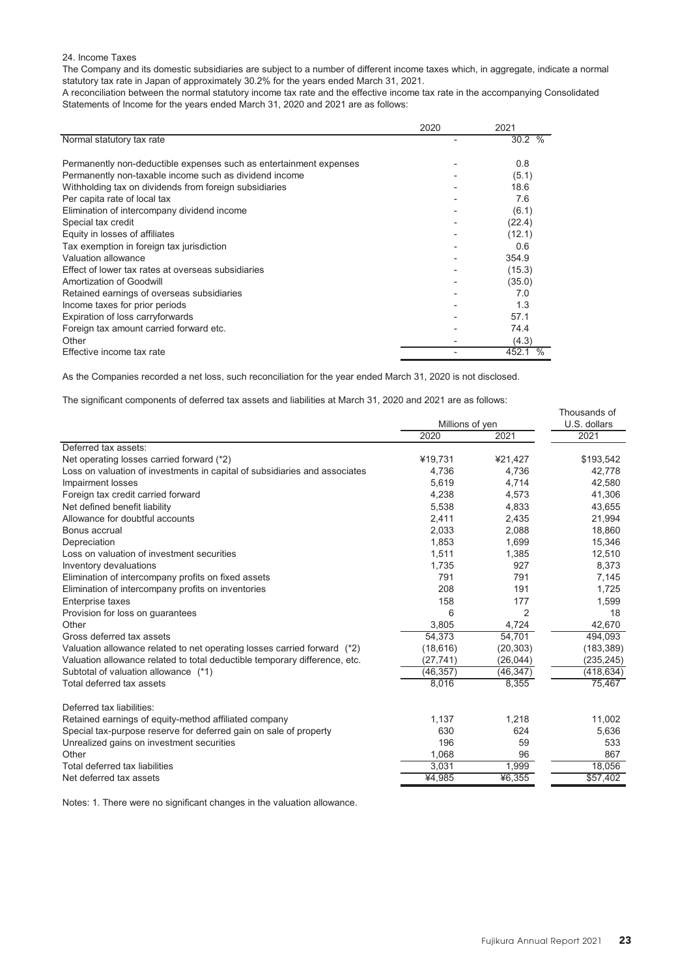#### 24. Income Taxes

The Company and its domestic subsidiaries are subject to a number of different income taxes which, in aggregate, indicate a normal statutory tax rate in Japan of approximately 30.2% for the years ended March 31, 2021.

A reconciliation between the normal statutory income tax rate and the effective income tax rate in the accompanying Consolidated Statements of Income for the years ended March 31, 2020 and 2021 are as follows:

|                                                                    | 2020 | 2021          |
|--------------------------------------------------------------------|------|---------------|
| Normal statutory tax rate                                          |      | 30.2%         |
| Permanently non-deductible expenses such as entertainment expenses |      | 0.8           |
| Permanently non-taxable income such as dividend income             |      | (5.1)         |
| Withholding tax on dividends from foreign subsidiaries             |      | 18.6          |
| Per capita rate of local tax                                       |      | 7.6           |
| Elimination of intercompany dividend income                        |      | (6.1)         |
| Special tax credit                                                 |      | (22.4)        |
| Equity in losses of affiliates                                     |      | (12.1)        |
| Tax exemption in foreign tax jurisdiction                          |      | 0.6           |
| Valuation allowance                                                |      | 354.9         |
| Effect of lower tax rates at overseas subsidiaries                 |      | (15.3)        |
| Amortization of Goodwill                                           |      | (35.0)        |
| Retained earnings of overseas subsidiaries                         |      | 7.0           |
| Income taxes for prior periods                                     |      | 1.3           |
| Expiration of loss carryforwards                                   |      | 57.1          |
| Foreign tax amount carried forward etc.                            |      | 74.4          |
| Other                                                              |      | (4.3)         |
| Effective income tax rate                                          |      | 452.1<br>$\%$ |

As the Companies recorded a net loss, such reconciliation for the year ended March 31, 2020 is not disclosed.

The significant components of deferred tax assets and liabilities at March 31, 2020 and 2021 are as follows:

|                                                                            |                 | Thousands of   |              |
|----------------------------------------------------------------------------|-----------------|----------------|--------------|
|                                                                            | Millions of yen |                | U.S. dollars |
|                                                                            | 2020            | 2021           | 2021         |
| Deferred tax assets:                                                       |                 |                |              |
| Net operating losses carried forward (*2)                                  | ¥19,731         | ¥21,427        | \$193,542    |
| Loss on valuation of investments in capital of subsidiaries and associates | 4,736           | 4.736          | 42,778       |
| Impairment losses                                                          | 5,619           | 4,714          | 42,580       |
| Foreign tax credit carried forward                                         | 4,238           | 4,573          | 41,306       |
| Net defined benefit liability                                              | 5,538           | 4,833          | 43,655       |
| Allowance for doubtful accounts                                            | 2,411           | 2,435          | 21,994       |
| Bonus accrual                                                              | 2,033           | 2,088          | 18,860       |
| Depreciation                                                               | 1,853           | 1,699          | 15,346       |
| Loss on valuation of investment securities                                 | 1,511           | 1,385          | 12,510       |
| Inventory devaluations                                                     | 1,735           | 927            | 8,373        |
| Elimination of intercompany profits on fixed assets                        | 791             | 791            | 7,145        |
| Elimination of intercompany profits on inventories                         | 208             | 191            | 1,725        |
| Enterprise taxes                                                           | 158             | 177            | 1,599        |
| Provision for loss on guarantees                                           | 6               | $\overline{2}$ | 18           |
| Other                                                                      | 3,805           | 4,724          | 42,670       |
| Gross deferred tax assets                                                  | 54,373          | 54,701         | 494,093      |
| Valuation allowance related to net operating losses carried forward (*2)   | (18, 616)       | (20, 303)      | (183, 389)   |
| Valuation allowance related to total deductible temporary difference, etc. | (27, 741)       | (26,044)       | (235,245)    |
| Subtotal of valuation allowance (*1)                                       | (46, 357)       | (46, 347)      | (418, 634)   |
| Total deferred tax assets                                                  | 8,016           | 8,355          | 75,467       |
| Deferred tax liabilities:                                                  |                 |                |              |
| Retained earnings of equity-method affiliated company                      | 1,137           | 1,218          | 11,002       |
| Special tax-purpose reserve for deferred gain on sale of property          | 630             | 624            | 5,636        |
| Unrealized gains on investment securities                                  | 196             | 59             | 533          |
| Other                                                                      | 1,068           | 96             | 867          |
| Total deferred tax liabilities                                             | 3,031           | 1,999          | 18,056       |
| Net deferred tax assets                                                    | ¥4.985          | ¥6,355         | \$57,402     |

Notes: 1. There were no significant changes in the valuation allowance.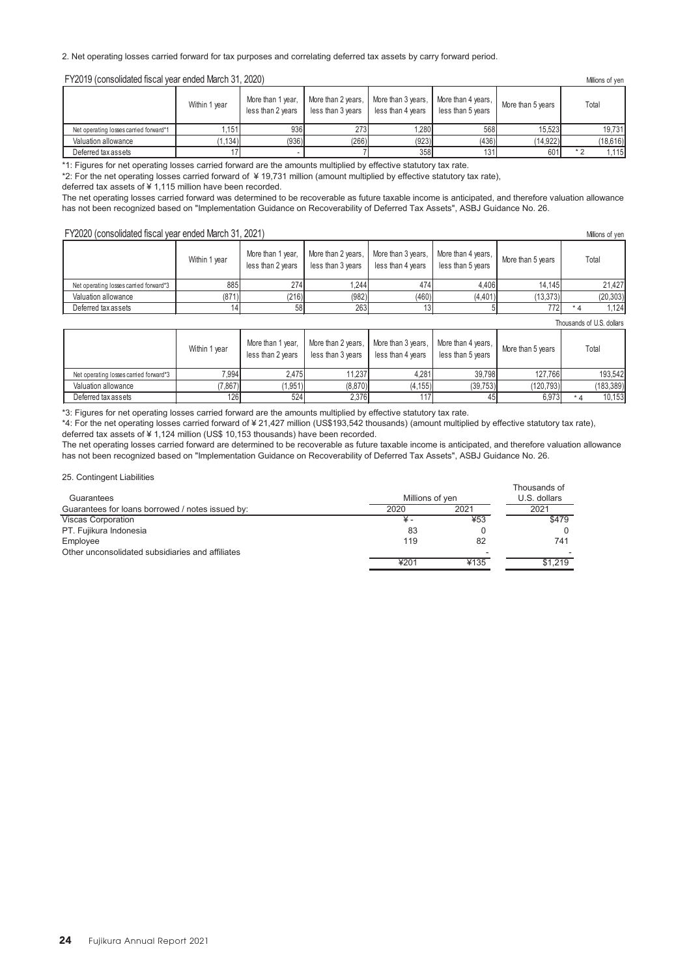#### 2. Net operating losses carried forward for tax purposes and correlating deferred tax assets by carry forward period.

| FY2019 (consolidated fiscal vear ended March 31, 2020)<br>Millions of yer |               |                                        |                                         |                                         |                                         |                   |  |           |  |  |  |
|---------------------------------------------------------------------------|---------------|----------------------------------------|-----------------------------------------|-----------------------------------------|-----------------------------------------|-------------------|--|-----------|--|--|--|
|                                                                           | Within 1 year | More than 1 year,<br>less than 2 years | More than 2 years,<br>less than 3 years | More than 3 years,<br>less than 4 years | More than 4 years.<br>less than 5 years | More than 5 years |  | Total     |  |  |  |
| Net operating losses carried forward*1                                    | 1.151         | 936                                    | 273                                     | .280 <sub>l</sub>                       | 568                                     | 15.523            |  | 19.731    |  |  |  |
| Valuation allowance                                                       | (1, 134)      | (936)                                  | (266)                                   | (923)                                   | (436)                                   | (14.922)          |  | (18, 616) |  |  |  |
| Deferred tax assets                                                       |               |                                        |                                         | 358                                     | 131                                     | 601               |  | 1.115     |  |  |  |

\*1: Figures for net operating losses carried forward are the amounts multiplied by effective statutory tax rate.

\*2: For the net operating losses carried forward of ¥ 19,731 million (amount multiplied by effective statutory tax rate),

deferred tax assets of ¥ 1,115 million have been recorded.

The net operating losses carried forward was determined to be recoverable as future taxable income is anticipated, and therefore valuation allowance has not been recognized based on "Implementation Guidance on Recoverability of Deferred Tax Assets", ASBJ Guidance No. 26.

#### FY2020 (consolidated fiscal year ended March 31, 2021) 38 and 2021 12 and 2021 12 and 2021 12 and 2021 12 and 2021 12 and 2021 12 and 2021 12 and 2021 12 and 2021 12 and 2021 12 and 2021 12 and 2021 12 and 2021 12 and 2021

|                                        | Within 1 year | More than 1 year,<br>less than 2 years | More than 2 years,<br>less than 3 years | More than 3 years,<br>less than 4 years | More than 4 years,<br>less than 5 years | More than 5 years | Total                  |
|----------------------------------------|---------------|----------------------------------------|-----------------------------------------|-----------------------------------------|-----------------------------------------|-------------------|------------------------|
| Net operating losses carried forward*3 | 885           | 274                                    | .244                                    | 474                                     | 4.406                                   | 14.145            | 21.427                 |
| Valuation allowance                    | (871)         | (216)                                  | (982)                                   | (460)                                   | (4.401)                                 | (13.373)          | (20, 303)              |
| Deferred tax assets                    |               | 58                                     | 263                                     | 13 <sub>1</sub>                         |                                         | 7721              | 1,124<br>$*$ $\Lambda$ |

Thousands of U.S. dollars

|                                        | Within 1 year | More than 1 year,<br>less than 2 years | More than 2 years,<br>less than 3 years | More than 3 years,<br>less than 4 years | More than 4 years,<br>less than 5 years | More than 5 years |               | Total      |
|----------------------------------------|---------------|----------------------------------------|-----------------------------------------|-----------------------------------------|-----------------------------------------|-------------------|---------------|------------|
| Net operating losses carried forward*3 | 7.994         | 2.475                                  | 11.237                                  | 4.281                                   | 39.798                                  | 127.766           |               | 193.542    |
| Valuation allowance                    | (7,867)       | (1,951)                                | (8,870)                                 | (4, 155)                                | (39, 753)                               | (120.793)         |               | (183, 389) |
| Deferred tax assets                    | 126           | 524                                    | 2.376                                   | 117                                     |                                         | 6,973             | $*$ $\Lambda$ | 10,153     |

\*3: Figures for net operating losses carried forward are the amounts multiplied by effective statutory tax rate.

\*4: For the net operating losses carried forward of ¥ 21,427 million (US\$193,542 thousands) (amount multiplied by effective statutory tax rate), deferred tax assets of ¥ 1,124 million (US\$ 10,153 thousands) have been recorded.

The net operating losses carried forward are determined to be recoverable as future taxable income is anticipated, and therefore valuation allowance has not been recognized based on "Implementation Guidance on Recoverability of Deferred Tax Assets", ASBJ Guidance No. 26.

25. Contingent Liabilities

|                                                  |                 |              | Thousands of |
|--------------------------------------------------|-----------------|--------------|--------------|
| Guarantees                                       | Millions of ven | U.S. dollars |              |
| Guarantees for loans borrowed / notes issued by: | 2020            | 2021         | 2021         |
| Viscas Corporation                               | ¥-              | ¥53          | \$479        |
| PT. Fujikura Indonesia                           | 83              |              |              |
| Employee                                         | 119             | 82           | 741          |
| Other unconsolidated subsidiaries and affiliates |                 |              |              |
|                                                  | ¥201            | ¥135         | \$1.219      |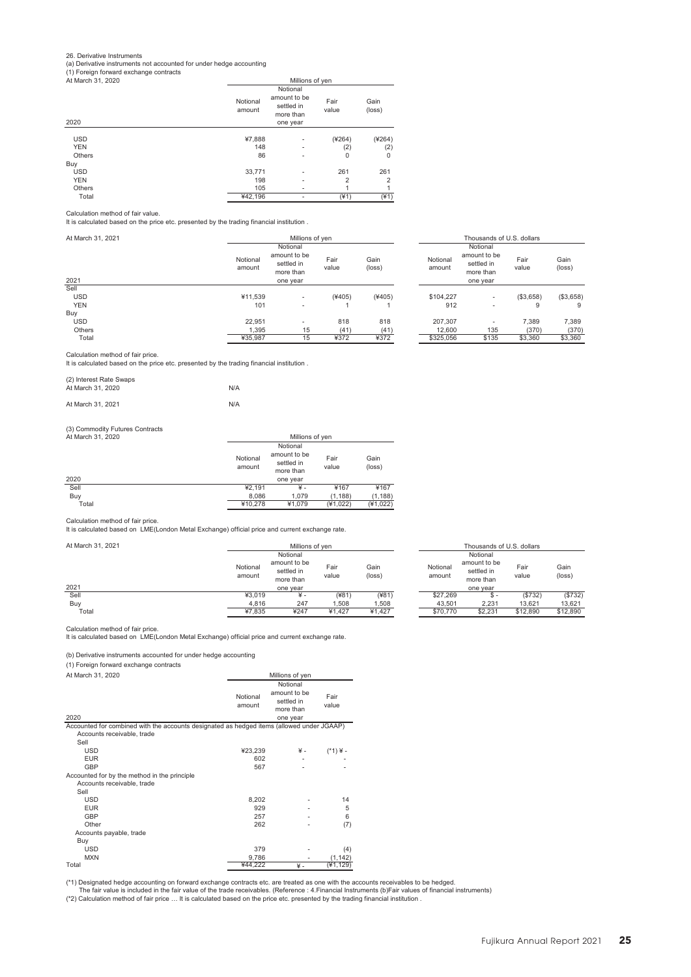#### 26. Derivative Instruments

(a) Derivative instruments not accounted for under hedge accounting<br>(1) Foreign forward exchange contracts<br>At March 31, 2020

| AL March 31, ZUZU | <b>IVIIIIIOIIS OF VELL</b> |                                                                 |                |                |  |  |  |
|-------------------|----------------------------|-----------------------------------------------------------------|----------------|----------------|--|--|--|
| 2020              | Notional<br>amount         | Notional<br>amount to be<br>settled in<br>more than<br>one year | Fair<br>value  | Gain<br>(loss) |  |  |  |
| <b>USD</b>        | ¥7,888                     |                                                                 | $(*264)$       | $(*264)$       |  |  |  |
|                   |                            | ٠                                                               |                |                |  |  |  |
| <b>YEN</b>        | 148                        | ۰                                                               | (2)            | (2)            |  |  |  |
| Others            | 86                         | ۰                                                               | 0              | 0              |  |  |  |
| Buy               |                            |                                                                 |                |                |  |  |  |
| <b>USD</b>        | 33,771                     | ٠                                                               | 261            | 261            |  |  |  |
| <b>YEN</b>        | 198                        | ۰                                                               | $\overline{c}$ | 2              |  |  |  |
| Others            | 105                        | ۰                                                               |                |                |  |  |  |
| Total             | ¥42,196                    | ۰                                                               | (41)           | (41)           |  |  |  |

Calculation method of fair value.

It is calculated based on the price etc. presented by the trading financial institution .

| At March 31, 2021 | Millions of yen    |                                                     |               |                | Thousands of U.S. dollars |                                                     |               |                |  |
|-------------------|--------------------|-----------------------------------------------------|---------------|----------------|---------------------------|-----------------------------------------------------|---------------|----------------|--|
|                   | Notional<br>amount | Notional<br>amount to be<br>settled in<br>more than | Fair<br>value | Gain<br>(loss) | Notional<br>amount        | Notional<br>amount to be<br>settled in<br>more than | Fair<br>value | Gain<br>(loss) |  |
| 2021              |                    | one year                                            |               |                |                           | one year                                            |               |                |  |
| Sell              |                    |                                                     |               |                |                           |                                                     |               |                |  |
| <b>USD</b>        | ¥11,539            | ۰                                                   | $(*405)$      | (¥405)         | \$104,227                 | ۰.                                                  | ( \$3,658)    | (\$3,658)      |  |
| <b>YEN</b>        | 101                | ۰                                                   |               |                | 912                       | ۰                                                   | 9             | 9              |  |
| Buy               |                    |                                                     |               |                |                           |                                                     |               |                |  |
| <b>USD</b>        | 22.951             | ۰                                                   | 818           | 818            | 207.307                   | ۰.                                                  | 7.389         | 7,389          |  |
| Others            | .395               | 15                                                  | (41)          | (41)           | 12,600                    | 135                                                 | (370)         | (370)          |  |
| Total             | ¥35.987            | 15                                                  | ¥372          | ¥372           | \$325,056                 | \$135                                               | \$3,360       | \$3,360        |  |

Calculation method of fair price. It is calculated based on the price etc. presented by the trading financial institution .

| (2) Interest Rate Swaps<br>At March 31, 2020 | N/A |
|----------------------------------------------|-----|
| At March 31, 2021                            | N/A |

#### (3) Commodity Futures Contracts

| At March 31, 2020 | Millions of yen    |                                         |               |                |  |  |
|-------------------|--------------------|-----------------------------------------|---------------|----------------|--|--|
|                   |                    | Notional                                |               |                |  |  |
|                   | Notional<br>amount | amount to be<br>settled in<br>more than | Fair<br>value | Gain<br>(loss) |  |  |
| 2020              |                    | one year                                |               |                |  |  |
| Sell              | ¥2.191             | ¥-                                      | ¥167          | ¥167           |  |  |
| Buy               | 8.086              | 1.079                                   | (1.188)       | (1, 188)       |  |  |
| Total             | ¥10.278            | ¥1.079                                  | $(*1,022)$    | $(*1,022)$     |  |  |

Calculation method of fair price. It is calculated based on LME(London Metal Exchange) official price and current exchange rate.

| At March 31, 2021 | Millions of ven    |                                         |               |                | Thousands of U.S. dollars |                                         |               |                |
|-------------------|--------------------|-----------------------------------------|---------------|----------------|---------------------------|-----------------------------------------|---------------|----------------|
|                   |                    | Notional                                |               |                |                           | Notional                                |               |                |
|                   | Notional<br>amount | amount to be<br>settled in<br>more than | Fair<br>value | Gain<br>(loss) | Notional<br>amount        | amount to be<br>settled in<br>more than | Fair<br>value | Gain<br>(loss) |
| 2021              |                    | one year                                |               |                |                           | one year                                |               |                |
| Sell              | ¥3.019             | ¥ -                                     | (¥81)         | (481)          | \$27,269                  | .৯ -                                    | (S732)        | (\$732)        |
| Buy               | 4.816              | 247                                     | .508          | .508           | 43.501                    | 2.231                                   | 13.621        | 13,621         |
| Total             | ¥7.835             | ¥247                                    | ¥1.427        | ¥1.427         | \$70,770                  | \$2,231                                 | \$12,890      | \$12,890       |

Calculation method of fair price. It is calculated based on LME(London Metal Exchange) official price and current exchange rate.

(b) Derivative instruments accounted for under hedge accounting

(1) Foreign forward exchange contracts

| At March 31, 2020                                                                         | Millions of yen    |                                                     |               |  |  |
|-------------------------------------------------------------------------------------------|--------------------|-----------------------------------------------------|---------------|--|--|
| 2020                                                                                      | Notional<br>amount | Notional<br>amount to be<br>settled in<br>more than | Fair<br>value |  |  |
| Accounted for combined with the accounts designated as hedged items (allowed under JGAAP) |                    | one year                                            |               |  |  |
| Accounts receivable, trade<br>Sell                                                        |                    |                                                     |               |  |  |
| <b>USD</b>                                                                                | ¥23,239            | ¥-                                                  | $(*1)$ ¥ -    |  |  |
| <b>EUR</b>                                                                                | 602                |                                                     |               |  |  |
| GBP                                                                                       | 567                |                                                     |               |  |  |
| Accounted for by the method in the principle                                              |                    |                                                     |               |  |  |
| Accounts receivable, trade                                                                |                    |                                                     |               |  |  |
| Sell                                                                                      |                    |                                                     |               |  |  |
| <b>USD</b>                                                                                | 8.202              |                                                     | 14            |  |  |
| <b>EUR</b>                                                                                | 929                |                                                     | 5             |  |  |
| GBP                                                                                       | 257                |                                                     | 6             |  |  |
| Other                                                                                     | 262                |                                                     | (7)           |  |  |
| Accounts payable, trade                                                                   |                    |                                                     |               |  |  |
| Buy                                                                                       |                    |                                                     |               |  |  |
| <b>USD</b>                                                                                | 379                |                                                     | (4)           |  |  |
| <b>MXN</b>                                                                                | 9,786              |                                                     | (1, 142)      |  |  |
| Total                                                                                     | ¥44,222            | ¥-                                                  | (¥1.129)      |  |  |

(\*1) Designated hedge accounting on forward exchange contracts etc. are treated as one with the accounts receivables to be hedged.<br>The fair value is included in the fair value of the trade receivables. (Reference : 4.Finan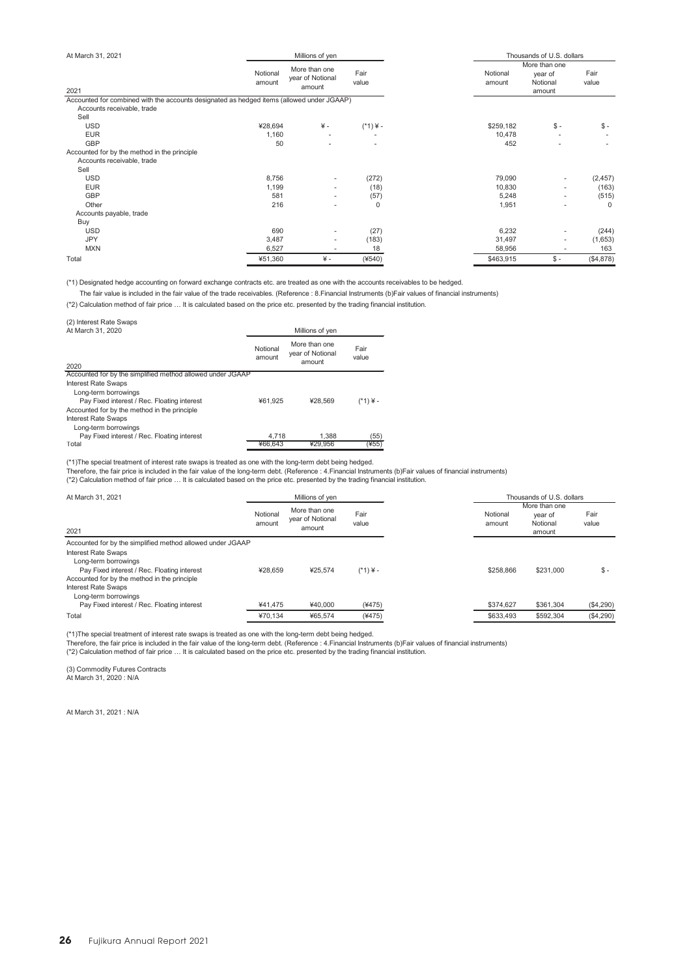| At March 31, 2021                                                                         |                    | Millions of yen                             |                          |                    | Thousands of U.S. dollars                      |               |  |
|-------------------------------------------------------------------------------------------|--------------------|---------------------------------------------|--------------------------|--------------------|------------------------------------------------|---------------|--|
| 2021                                                                                      | Notional<br>amount | More than one<br>year of Notional<br>amount | Fair<br>value            | Notional<br>amount | More than one<br>year of<br>Notional<br>amount | Fair<br>value |  |
| Accounted for combined with the accounts designated as hedged items (allowed under JGAAP) |                    |                                             |                          |                    |                                                |               |  |
| Accounts receivable, trade                                                                |                    |                                             |                          |                    |                                                |               |  |
| Sell                                                                                      |                    |                                             |                          |                    |                                                |               |  |
| <b>USD</b>                                                                                | ¥28,694            | ¥-                                          | $(*1)$ ¥ -               | \$259,182          | $S -$                                          | $$ -$         |  |
| <b>EUR</b>                                                                                | 1,160              | ٠                                           | $\overline{\phantom{a}}$ | 10,478             | $\overline{\phantom{a}}$                       |               |  |
| GBP                                                                                       | 50                 | ٠                                           | ٠                        | 452                | $\overline{\phantom{a}}$                       | $\mathbf{r}$  |  |
| Accounted for by the method in the principle                                              |                    |                                             |                          |                    |                                                |               |  |
| Accounts receivable, trade                                                                |                    |                                             |                          |                    |                                                |               |  |
| Sell                                                                                      |                    |                                             |                          |                    |                                                |               |  |
| <b>USD</b>                                                                                | 8,756              | ٠                                           | (272)                    | 79.090             | $\overline{\phantom{a}}$                       | (2, 457)      |  |
| <b>EUR</b>                                                                                | 1,199              | ۰                                           | (18)                     | 10,830             | $\mathbf{r}$                                   | (163)         |  |
| GBP                                                                                       | 581                | ۰                                           | (57)                     | 5,248              |                                                | (515)         |  |
| Other                                                                                     | 216                | ۰                                           | $\mathbf 0$              | 1,951              | ٠                                              | $\Omega$      |  |
| Accounts payable, trade                                                                   |                    |                                             |                          |                    |                                                |               |  |
| Buy                                                                                       |                    |                                             |                          |                    |                                                |               |  |
| <b>USD</b>                                                                                | 690                | ۰                                           | (27)                     | 6,232              | ٠                                              | (244)         |  |
| <b>JPY</b>                                                                                | 3,487              | ٠                                           | (183)                    | 31,497             | $\sim$                                         | (1,653)       |  |
| <b>MXN</b>                                                                                | 6,527              |                                             | 18                       | 58,956             |                                                | 163           |  |
| Total                                                                                     | ¥51,360            | ¥ -                                         | $(*540)$                 | \$463,915          | $$ -$                                          | (\$4,878)     |  |

(\*1) Designated hedge accounting on forward exchange contracts etc. are treated as one with the accounts receivables to be hedged.

The fair value is included in the fair value of the trade receivables. (Reference : 8.Financial Instruments (b)Fair values of financial instruments)

(\*2) Calculation method of fair price … It is calculated based on the price etc. presented by the trading financial institution.

| (2) Interest Rate Swaps<br>At March 31, 2020                                                |                    | Millions of yen                             |               |
|---------------------------------------------------------------------------------------------|--------------------|---------------------------------------------|---------------|
| 2020                                                                                        | Notional<br>amount | More than one<br>year of Notional<br>amount | Fair<br>value |
| Accounted for by the simplified method allowed under JGAAP                                  |                    |                                             |               |
| <b>Interest Rate Swaps</b><br>Long-term borrowings                                          | ¥61.925            | ¥28.569                                     |               |
| Pay Fixed interest / Rec. Floating interest<br>Accounted for by the method in the principle |                    |                                             | (*1) ¥ -      |
| Interest Rate Swaps<br>Long-term borrowings                                                 |                    |                                             |               |
| Pay Fixed interest / Rec. Floating interest                                                 | 4.718              | 1.388                                       | (55)          |
| Total                                                                                       | ¥66.643            | ¥29.956                                     | (¥55)         |
|                                                                                             |                    |                                             |               |

(\*1)The special treatment of interest rate swaps is treated as one with the long-term debt being hedged.<br>Therefore, the fair price is included in the fair value of the long-term debt. (Reference : 4.Financial of son<br>(\*2) C

| At March 31, 2021                                                                                                                                                                                                                                                                                                    | Millions of yen    |                                             |                        |                        | Thousands of U.S. dollars                      |       |
|----------------------------------------------------------------------------------------------------------------------------------------------------------------------------------------------------------------------------------------------------------------------------------------------------------------------|--------------------|---------------------------------------------|------------------------|------------------------|------------------------------------------------|-------|
| 2021                                                                                                                                                                                                                                                                                                                 | Notional<br>amount | More than one<br>year of Notional<br>amount | Fair<br>value          | Notional<br>amount     | More than one<br>vear of<br>Notional<br>amount | value |
| Accounted for by the simplified method allowed under JGAAP<br><b>Interest Rate Swaps</b><br>Long-term borrowings<br>Pay Fixed interest / Rec. Floating interest<br>Accounted for by the method in the principle<br><b>Interest Rate Swaps</b><br>Long-term borrowings<br>Pay Fixed interest / Rec. Floating interest | ¥28.659<br>¥41,475 | ¥25.574<br>¥40.000                          | $(*1)$ ¥ -<br>$(*475)$ | \$258,866<br>\$374,627 | \$231,000<br>\$361,304                         |       |
| Total                                                                                                                                                                                                                                                                                                                | ¥70.134            | ¥65.574                                     | $(*475)$               | \$633,493              | \$592,304                                      |       |

(\*1)The special treatment of interest rate swaps is treated as one with the long-term debt being hedged.<br>Therefore, the fair price is included in the fair value of the long-term debt. (Reference : 4.Financial of son<br>(\*2) C

(3) Commodity Futures Contracts At March 31, 2020 : N/A

At March 31, 2021 : N/A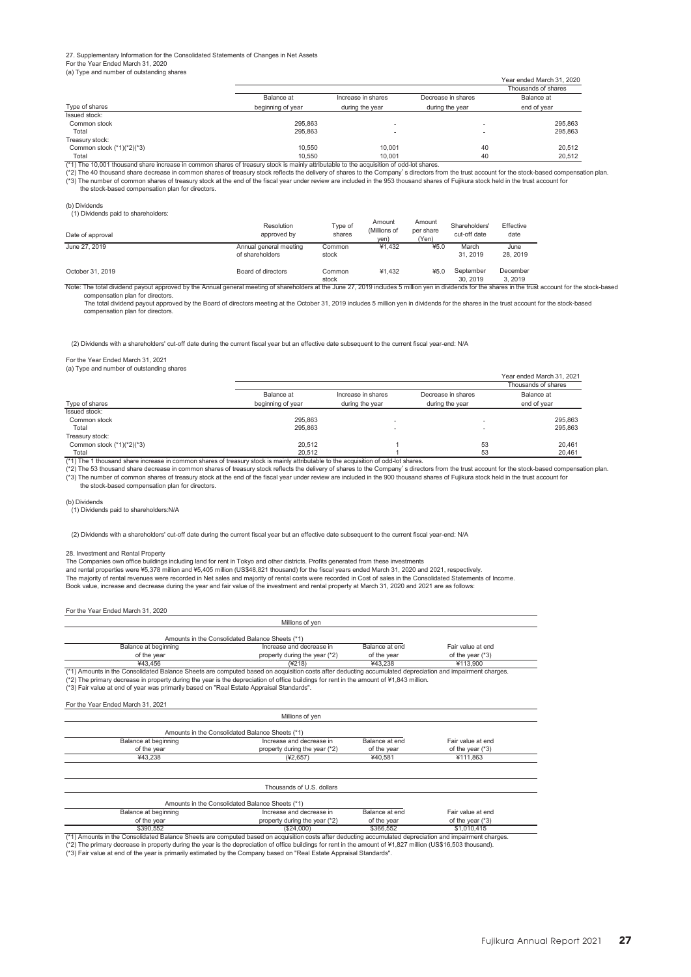#### 27. Supplementary Information for the Consolidated Statements of Changes in Net Assets

For the Year Ended March 31, 2020 (a) Type and number of outstanding shares

| .<br>. .                  |                   |                    |                    | Year ended March 31, 2020 |
|---------------------------|-------------------|--------------------|--------------------|---------------------------|
|                           |                   |                    |                    | Thousands of shares       |
|                           | Balance at        | Increase in shares | Decrease in shares | Balance at                |
| Type of shares            | beginning of year | during the year    | during the year    | end of year               |
| Issued stock:             |                   |                    |                    |                           |
| Common stock              | 295.863           |                    |                    | 295.863                   |
| Total                     | 295.863           |                    |                    | 295,863                   |
| Treasury stock:           |                   |                    |                    |                           |
| Common stock (*1)(*2)(*3) | 10.550            | 10.001             | 40                 | 20.512                    |
| Total                     | 10.550            | 10.001             | 40                 | 20,512                    |

Total (1,001 thousand share increase in common shares of treasury stock is main) a 10,550<br>(\*1) The 10,001 thousand share increase in common shares of treasury stock is mainly attributable to the acquistion of odd-lot share (\*3) The number of common shares of treasury stock at the end of the fiscal year under review are included in the 953 thousand shares of Fujikura stock held in the trust account for

the stock-based compensation plan for directors.

#### (b) Dividends

(1) Dividends paid to shareholders:

| Date of approval | Resolution<br>approved by                 | Type of<br>shares | Amount<br>(Millions of<br>yen) | Amount<br>per share<br>'Yen) | Shareholders'<br>cut-off date | Effective<br>date  |
|------------------|-------------------------------------------|-------------------|--------------------------------|------------------------------|-------------------------------|--------------------|
| June 27, 2019    | Annual general meeting<br>of shareholders | Common<br>stock   | ¥1.432                         | 45.0                         | March<br>31, 2019             | June<br>28, 2019   |
| October 31, 2019 | Board of directors                        | Common<br>stock   | ¥1.432                         | 45.0                         | September<br>30.2019          | December<br>3.2019 |

stock Note: The total dividend payout approved by the Annual general meeting of shareholders at the June 27, 2019 includes 5 million yen in dividends for the shares in the trust account for the stock-based 30, 2019 3, 2019 compensation plan for directors.

 The total dividend payout approved by the Board of directors meeting at the October 31, 2019 includes 5 million yen in dividends for the shares in the trust account for the stock-based compensation plan for directors.

(2) Dividends with a shareholders' cut-off date during the current fiscal year but an effective date subsequent to the current fiscal year-end: N/A

#### For the Year Ended March 31, 2021

(a) Type and number of outstanding shares

| (a) Type and number of outstanding shares |                   |                    |                    |                           |
|-------------------------------------------|-------------------|--------------------|--------------------|---------------------------|
|                                           |                   |                    |                    | Year ended March 31, 2021 |
|                                           |                   |                    |                    | Thousands of shares       |
|                                           | Balance at        | Increase in shares | Decrease in shares | Balance at                |
| Type of shares                            | beginning of year | during the year    | during the year    | end of year               |
| Issued stock:                             |                   |                    |                    |                           |
| Common stock                              | 295.863           |                    |                    | 295.863                   |
| Total                                     | 295.863           |                    |                    | 295,863                   |
| Treasury stock:                           |                   |                    |                    |                           |
| Common stock (*1)(*2)(*3)                 | 20.512            |                    | 53                 | 20.461                    |
| Total                                     | 20.512            |                    | 53                 | 20,461                    |
| $\cdots$<br>.                             | --                |                    |                    |                           |

Total<br>(\*1) The 1 thousand share increase in common shares of treasury stock is mainly attimutable to the acquisition of odd-lot shares.<br>(\*2) The 53 thousand share decrease in common shares of treasury stock reflects the de the stock-based compensation plan for directors.

#### (b) Dividends

(1) Dividends paid to shareholders:N/A

(2) Dividends with a shareholders' cut-off date during the current fiscal year but an effective date subsequent to the current fiscal year-end: N/A

#### 28. Investment and Rental Property

The Companies own office buildings including land for rent in Tokyo and other districts. Profits generated from these investments and rental properties were ¥5,378 million and ¥5,405 million (US\$48,821 thousand) for the fiscal years ended March 31, 2020 and 2021, respectively.<br>The majority of rental revenues were recorded in Net sales and majority o Book value, increase and decrease during the year and fair value of the investment and rental property at March 31, 2020 and 2021 are as follows:

For the Year Ended March 31, 2020

|                                                                                                                                                                   | Millions of ven                                 |                |                    |
|-------------------------------------------------------------------------------------------------------------------------------------------------------------------|-------------------------------------------------|----------------|--------------------|
|                                                                                                                                                                   | Amounts in the Consolidated Balance Sheets (*1) |                |                    |
| Balance at beginning                                                                                                                                              | Increase and decrease in                        | Balance at end | Fair value at end  |
| of the year                                                                                                                                                       | property during the year (*2)                   | of the year    | of the year $(*3)$ |
| ¥43.456                                                                                                                                                           | (4218)                                          | ¥43.238        | ¥113,900           |
| (*1) Amounte in the Consolidated Relates Shoots are computed based on acquisition costs ofter deducting acquisition detailed depressiotion and impoirment charges |                                                 |                |                    |

(\*1) Amounts in the Consolidated Balance Sheets are computed based on acquisition costs after deducting accumulated depreciation and impairment charges.<br>(\*2) The primary decrease in property during the year is the deprecia

#### For the Year Ended March 31, 2021

|                      | Millions of yen                                 |                |                   |
|----------------------|-------------------------------------------------|----------------|-------------------|
|                      | Amounts in the Consolidated Balance Sheets (*1) |                |                   |
| Balance at beginning | Increase and decrease in                        | Balance at end | Fair value at end |
| of the year          | property during the year (*2)                   | of the year    | of the year (*3)  |
| ¥43,238              | (42, 657)                                       | ¥40,581        | ¥111,863          |
|                      | Thousands of U.S. dollars                       |                |                   |
|                      |                                                 |                |                   |
|                      | Amounts in the Consolidated Balance Sheets (*1) |                |                   |
| Balance at beginning | Increase and decrease in                        | Balance at end | Fair value at end |
| of the year          | property during the year (*2)                   | of the year    | of the year (*3)  |

\$390,552 (\$24,000) \$366,552 \$1,010,415 (\*1) Amounts in the Consolidated Balance Sheets are computed based on acquisition costs after deducting accumulated depreciation and impairment charges. (\*2) The primary decrease in property during the year is the depreciation of office buildings for rent in the amount of ¥1,827 million (US\$16,503 thousand).<br>(\*3) Fair value at end of the year is primarily estimated by the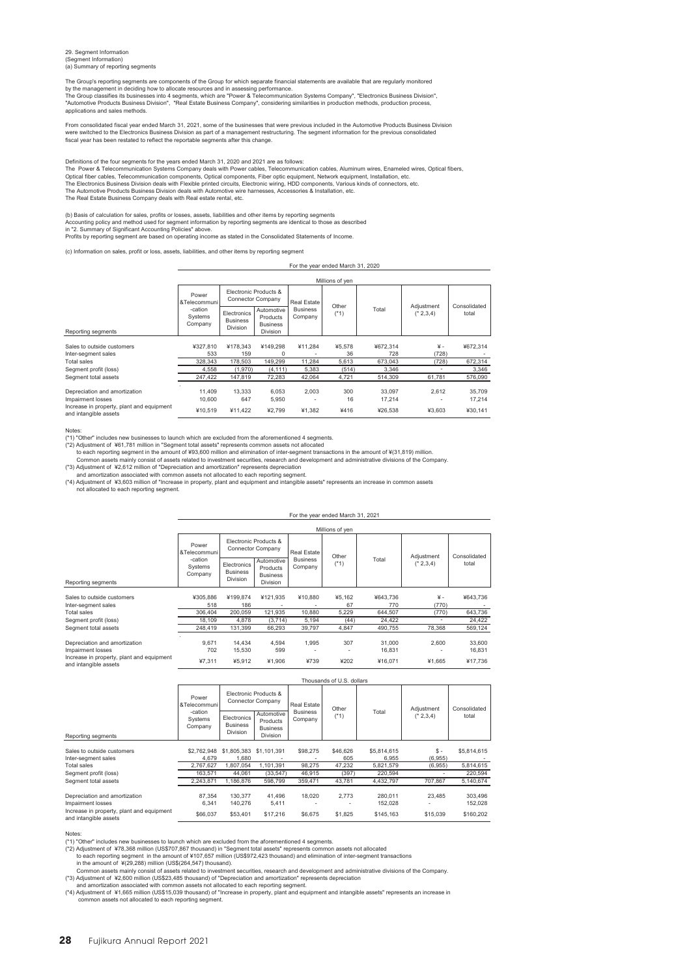29. Segment Information (Segment Information) (a) Summary of reporting segments

The Group's reporting segments are components of the Group for which separate financial statements are available that are regularly monitored<br>by the management in deciding how to allocate resources and in assessing perform applications and sales methods.

From consolidated fiscal year ended March 31, 2021, some of the businesses that were previous included in the Automotive Products Business Division were switched to the Electronics Business Division as part of a management restructuring. The segment information for the previous consolidated<br>fiscal year has been restated to reflect the reportable segments after this ch

Definitions of the four segments for the years ended March 31, 2020 and 2021 are as follows: The Power & Telecommunication Systems Company deals with Power cables, Telecommunication cables, Aluminum wires, Enameled wires, Optical fibers,<br>Optical fiber cables, Telecommunication components, Optical components, Fiber

(b) Basis of calculation for sales, profits or losses, assets, liabilities and other items by reporting segments Accounting policy and method used for segment information by reporting segments are identical to those as described in "2. Summary of Significant Accounting Policies" above. Profits by reporting segment are based on operating income as stated in the Consolidated Statements of Income

(c) Information on sales, profit or loss, assets, liabilities, and other items by reporting segment

#### For the year ended March 31, 2020

|                                                                    | Millions of yen               |                                                   |                                                              |                            |        |          |             |              |  |  |
|--------------------------------------------------------------------|-------------------------------|---------------------------------------------------|--------------------------------------------------------------|----------------------------|--------|----------|-------------|--------------|--|--|
|                                                                    | Power<br>&Telecommuni         | Electronic Products &<br><b>Connector Company</b> |                                                              | Real Estate                | Other  |          | Adiustment  | Consolidated |  |  |
| Reporting segments                                                 | -cation<br>Systems<br>Company | Electronics<br><b>Business</b><br>Division        | Automotive<br>Products<br><b>Business</b><br><b>Division</b> | <b>Business</b><br>Company | $(*1)$ | Total    | $(* 2,3,4)$ | total        |  |  |
|                                                                    |                               |                                                   |                                                              |                            |        |          |             |              |  |  |
| Sales to outside customers                                         | ¥327.810                      | ¥178.343                                          | ¥149.298                                                     | ¥11.284                    | ¥5,578 | ¥672.314 | ¥-          | ¥672,314     |  |  |
| Inter-segment sales                                                | 533                           | 159                                               | $\Omega$                                                     |                            | 36     | 728      | 728)        |              |  |  |
| Total sales                                                        | 328.343                       | 178,503                                           | 149,299                                                      | 11,284                     | 5,613  | 673,043  | (728)       | 672,314      |  |  |
| Segment profit (loss)                                              | 4,558                         | (1,970)                                           | (4, 111)                                                     | 5,383                      | (514)  | 3,346    |             | 3,346        |  |  |
| Segment total assets                                               | 247.422                       | 147.819                                           | 72.283                                                       | 42.064                     | 4,721  | 514.309  | 61,781      | 576,090      |  |  |
| Depreciation and amortization                                      | 11.409                        | 13.333                                            | 6,053                                                        | 2,003                      | 300    | 33.097   | 2.612       | 35,709       |  |  |
| Impairment losses                                                  | 10.600                        | 647                                               | 5,950                                                        |                            | 16     | 17.214   |             | 17,214       |  |  |
| Increase in property, plant and equipment<br>and intangible assets | ¥10.519                       | ¥11.422                                           | ¥2.799                                                       | ¥1.382                     | ¥416   | ¥26.538  | ¥3.603      | ¥30.141      |  |  |

Notes:<br>(\*1) "Other" includes new businesses to launch which are excluded from the aforementioned 4 segments.<br>(\*2) Adjustment of ¥61,781 million in "Segment total assets" represents common assets not allocated<br>to each repor

(\*3) Adjustment of ¥2,612 million of "Depreciation and amortization" represents depreciation

and amortization associated with common assets not allocated to each reporting segment.<br>(\*4) Adjustment of ¥3,603 million of "Increase in property, plant and equipment and intangible assets" represents an increase in commo

|                                                                    |                               | For the year ended March 31, 2021          |                                                           |                            |                           |                  |             |                  |  |  |
|--------------------------------------------------------------------|-------------------------------|--------------------------------------------|-----------------------------------------------------------|----------------------------|---------------------------|------------------|-------------|------------------|--|--|
|                                                                    | Millions of yen               |                                            |                                                           |                            |                           |                  |             |                  |  |  |
|                                                                    | Power<br>&Telecommuni         |                                            | Electronic Products &<br>Connector Company<br>Real Estate |                            | Other                     |                  | Adjustment  | Consolidated     |  |  |
| Reporting segments                                                 | -cation<br>Systems<br>Company | Electronics<br><b>Business</b><br>Division | Automotive<br>Products<br><b>Business</b><br>Division     | <b>Business</b><br>Company | $(*1)$                    | Total            | $(* 2,3,4)$ | total            |  |  |
| Sales to outside customers                                         | ¥305.886                      | ¥199.874                                   | ¥121.935                                                  | ¥10.880                    | ¥5.162                    | ¥643.736         | $\angle$ -  | ¥643,736         |  |  |
| Inter-segment sales                                                | 518                           | 186                                        |                                                           | $\overline{\phantom{a}}$   | 67                        | 770              | (770)       |                  |  |  |
| Total sales                                                        | 306,404                       | 200,059                                    | 121,935                                                   | 10,880                     | 5,229                     | 644,507          | (770)       | 643,736          |  |  |
| Segment profit (loss)                                              | 18.109                        | 4.878                                      | (3,714)                                                   | 5,194                      | (44)                      | 24,422           | ٠           | 24,422           |  |  |
| Segment total assets                                               | 248.419                       | 131.399                                    | 66.293                                                    | 39.797                     | 4.847                     | 490.755          | 78.368      | 569,124          |  |  |
| Depreciation and amortization<br>Impairment losses                 | 9,671<br>702                  | 14.434<br>15,530                           | 4,594<br>599                                              | 1,995                      | 307<br>٠                  | 31,000<br>16,831 | 2,600       | 33,600<br>16,831 |  |  |
| Increase in property, plant and equipment<br>and intangible assets | ¥7,311                        | ¥5,912                                     | ¥1,906                                                    | ¥739                       | ¥202                      | ¥16,071          | ¥1,665      | ¥17,736          |  |  |
|                                                                    |                               |                                            |                                                           |                            | Thousands of U.S. dollars |                  |             |                  |  |  |
|                                                                    |                               |                                            |                                                           |                            |                           |                  |             |                  |  |  |

|                                                                    | Power<br>&Telecommuni         | Flectronic Products &<br><b>Connector Company</b> |                                                              | Real Estate                | Other    |                    | Adjustment  | Consolidated       |
|--------------------------------------------------------------------|-------------------------------|---------------------------------------------------|--------------------------------------------------------------|----------------------------|----------|--------------------|-------------|--------------------|
| Reporting segments                                                 | -cation<br>Systems<br>Company | Electronics<br><b>Business</b><br><b>Division</b> | Automotive<br>Products<br><b>Business</b><br><b>Division</b> | <b>Business</b><br>Company | (*1)     | Total              | $(* 2,3,4)$ | total              |
| Sales to outside customers                                         | \$2,762,948                   | \$1,805,383 \$1,101,391                           |                                                              | \$98,275                   | \$46,626 | \$5,814,615        | $S -$       | \$5,814,615        |
| Inter-segment sales                                                | 4.679                         | 1.680                                             |                                                              | ٠                          | 605      | 6.955              | (6,955)     |                    |
| Total sales                                                        | 2.767.627                     | 1.807.054                                         | 1.101.391                                                    | 98.275                     | 47,232   | 5,821,579          | (6,955)     | 5,814,615          |
| Segment profit (loss)                                              | 163,571                       | 44.061                                            | (33, 547)                                                    | 46,915                     | (397)    | 220,594            |             | 220,594            |
| Seament total assets                                               | 2.243.871                     | 1.186.876                                         | 598.799                                                      | 359.471                    | 43.781   | 4.432.797          | 707.867     | 5,140,674          |
| Depreciation and amortization<br>Impairment losses                 | 87.354<br>6.341               | 130.377<br>140.276                                | 41.496<br>5,411                                              | 18,020                     | 2,773    | 280.011<br>152.028 | 23.485      | 303,496<br>152.028 |
| Increase in property, plant and equipment<br>and intangible assets | \$66,037                      | \$53,401                                          | \$17,216                                                     | \$6,675                    | \$1,825  | \$145,163          | \$15,039    | \$160,202          |

Notes:<br>
(\*1) "Other" includes new businesses to launch which are excluded from the aforementioned 4 segments.<br>
(\*2) Adjustment of ¥78,368 million (US\$707,867 thousand) in "Segment total assets" represents common assets not

(\*3) Adjustment of ¥2,600 million (US\$23,485 thousand) of "Depreciation and amortization" represents depreciation<br>and amortization associated with common assets not allocated to each reporting segment.<br>(\*4) Adjustment of common assets not allocated to each reporting segment.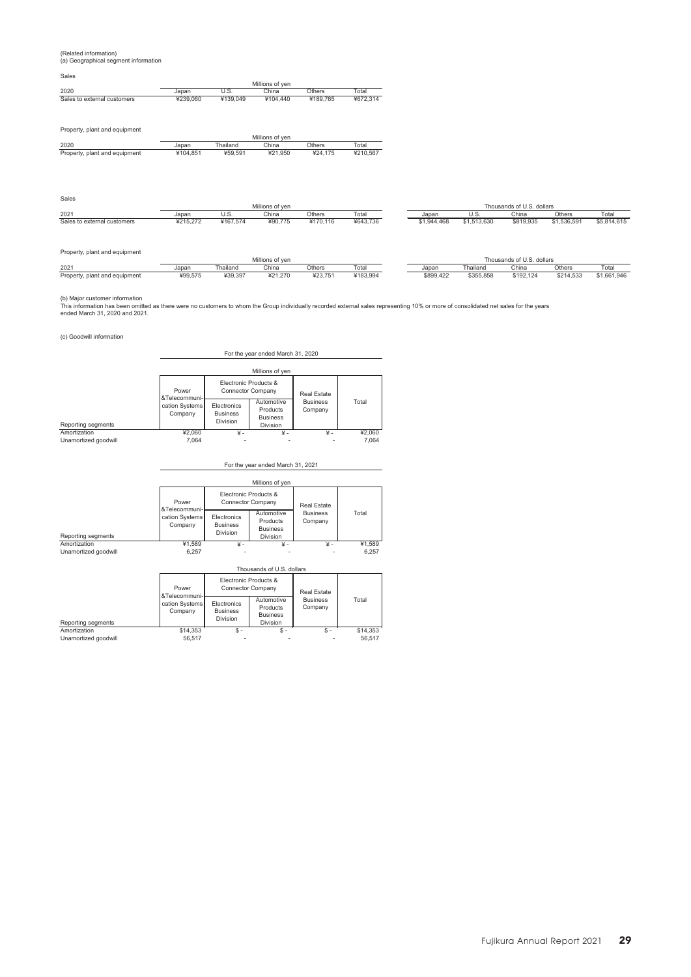(Related information) (a) Geographical segment information

Sales

| odico                       |          |          | Millions of ven |               |          |
|-----------------------------|----------|----------|-----------------|---------------|----------|
| 2020                        | Japan    |          | China           | <b>Others</b> | Total    |
| Sales to external customers | ¥239.060 | ¥139.049 | ¥104.440        | ¥189.765      | ¥672.314 |

Property, plant and equipment

|                               | Millions of ven |          |         |               |          |  |  |  |
|-------------------------------|-----------------|----------|---------|---------------|----------|--|--|--|
| 2020                          | Japan           | Thailand | China   | <b>Others</b> | Total    |  |  |  |
| Property, plant and equipment | ¥104.851        | ¥59.591  | ¥21.950 | ¥24.175       | ¥210.567 |  |  |  |

| Sales                       |          |                 |         |          |          |  |                           |             |           |             |             |
|-----------------------------|----------|-----------------|---------|----------|----------|--|---------------------------|-------------|-----------|-------------|-------------|
|                             |          | Millions of ven |         |          |          |  | Thousands of U.S. dollars |             |           |             |             |
| 2021                        | Japan    | U.S.            | China   | Others   | Total    |  | Japan                     | U.S.        | China     | Others      | Total       |
| Sales to external customers | ¥215.272 | ¥167.574        | ¥90.775 | ¥170.116 | ¥643.736 |  | \$1,944,468               | \$1,513,630 | \$819,935 | \$1,536,591 | \$5,814,615 |
|                             |          |                 |         |          |          |  |                           |             |           |             |             |
|                             |          |                 |         |          |          |  |                           |             |           |             |             |

| Property, plant and equipment |         |          |                 |         |          |           |           |                           |           |             |
|-------------------------------|---------|----------|-----------------|---------|----------|-----------|-----------|---------------------------|-----------|-------------|
|                               |         |          | Millions of ven |         |          |           |           | Thousands of U.S. dollars |           |             |
| 2021                          | Japan   | Thailanc | China           | Others  | Total    | Japan     | Thailand  | China                     | Others    | Total       |
| Property, plant and equipment | ¥99.575 | ¥39.397  | ¥21.270         | ¥23.751 | ¥183.994 | \$899.422 | \$355.858 | \$192.124                 | \$214.533 | \$1,661,946 |

(b) Major customer information<br>This information has been omitted as there were no customers to whom the Group individually recorded external sales representing 10% or more of consolidated net sales for the years<br>ended Marc

#### (c) Goodwill information

|                                      |                                            | For the year ended March 31, 2020<br>Millions of yen |                                                       |                            |                 |  |  |  |  |
|--------------------------------------|--------------------------------------------|------------------------------------------------------|-------------------------------------------------------|----------------------------|-----------------|--|--|--|--|
|                                      |                                            |                                                      |                                                       |                            |                 |  |  |  |  |
|                                      | Power                                      | <b>Electronic Products &amp;</b>                     | Connector Company                                     | Real Estate                |                 |  |  |  |  |
| Reporting segments                   | &Telecommuni-<br>cation Systems<br>Company | Electronics<br><b>Business</b><br><b>Division</b>    | Automotive<br>Products<br><b>Business</b><br>Division | <b>Business</b><br>Company | Total           |  |  |  |  |
| Amortization<br>Unamortized goodwill | ¥2.060<br>7.064                            | ¥-                                                   | ¥-                                                    | ¥-                         | ¥2,060<br>7.064 |  |  |  |  |

For the year ended March 31, 2021

|                      |                           | Millions of ven                            |                                                       |                                                  |        |  |  |  |  |
|----------------------|---------------------------|--------------------------------------------|-------------------------------------------------------|--------------------------------------------------|--------|--|--|--|--|
|                      | Power<br>&Telecommuni-    |                                            | Electronic Products &<br><b>Connector Company</b>     | <b>Real Estate</b><br><b>Business</b><br>Company |        |  |  |  |  |
| Reporting segments   | cation Systems<br>Company | Electronics<br><b>Business</b><br>Division | Automotive<br>Products<br><b>Business</b><br>Division |                                                  | Total  |  |  |  |  |
| Amortization         | ¥1.589                    | ¥-                                         | ¥-                                                    | ¥-                                               | ¥1.589 |  |  |  |  |
| Unamortized goodwill | 6.257                     |                                            |                                                       |                                                  | 6.257  |  |  |  |  |

|                      |                           | Thousands of U.S. dollars                  |                                                              |                            |          |  |  |  |  |
|----------------------|---------------------------|--------------------------------------------|--------------------------------------------------------------|----------------------------|----------|--|--|--|--|
|                      | Power<br>&Telecommuni-    |                                            | <b>Electronic Products &amp;</b><br><b>Connector Company</b> | <b>Real Estate</b>         |          |  |  |  |  |
| Reporting segments   | cation Systems<br>Company | Electronics<br><b>Business</b><br>Division | Automotive<br>Products<br><b>Business</b><br>Division        | <b>Business</b><br>Company | Total    |  |  |  |  |
| Amortization         | \$14,353                  | \$ -                                       | \$ -                                                         | $s -$                      | \$14.353 |  |  |  |  |
| Unamortized goodwill | 56.517                    |                                            |                                                              |                            | 56.517   |  |  |  |  |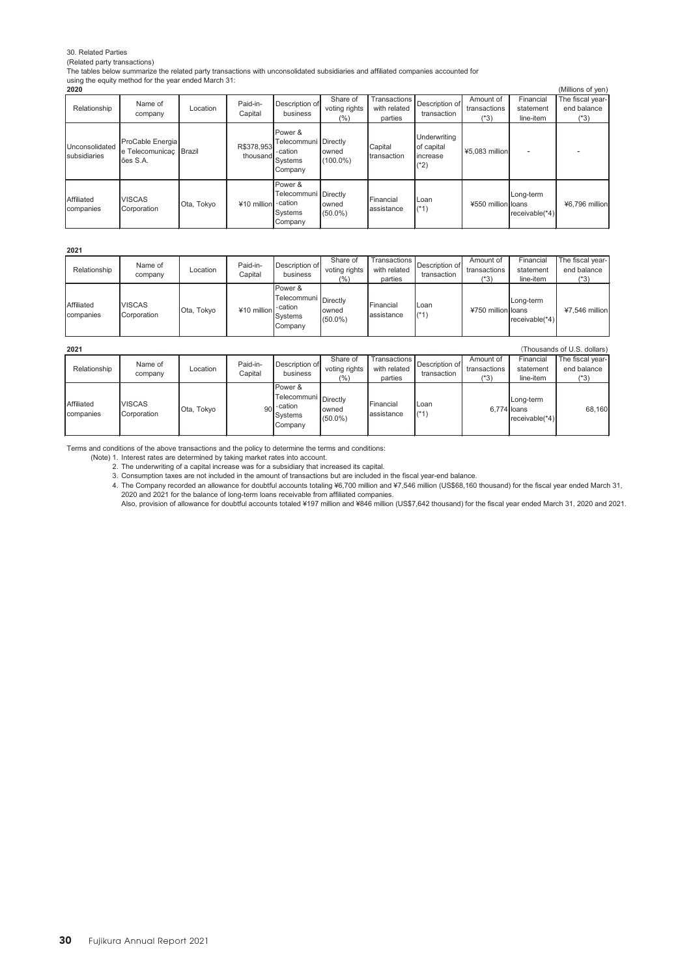| 30. Related Parties       |  |
|---------------------------|--|
| (Related party transactio |  |

(Related party transactions) The tables below summarize the related party transactions with unconsolidated subsidiaries and affiliated companies accounted for

using the equity method for the year ended March 31:

| 2020                           |                                                        |            |                        |                                                                   |                                  |                                         |                                                       |                                   |                                     | (Millions of yen)                       |
|--------------------------------|--------------------------------------------------------|------------|------------------------|-------------------------------------------------------------------|----------------------------------|-----------------------------------------|-------------------------------------------------------|-----------------------------------|-------------------------------------|-----------------------------------------|
| Relationship                   | Name of<br>company                                     | Location   | Paid-in-<br>Capital    | Description of<br>business                                        | Share of<br>voting rights<br>(%) | Transactions<br>with related<br>parties | Description of<br>transaction                         | Amount of<br>transactions<br>(*3) | Financial<br>statement<br>line-item | The fiscal year-<br>end balance<br>(*3) |
| Unconsolidated<br>subsidiaries | ProCable Energia<br>e Telecomunicaç Brazil<br>ões S.A. |            | R\$378,953<br>thousand | Power &<br>Telecommuni Directly<br>- cation<br>Systems<br>Company | lowned<br>$(100.0\%)$            | Capital<br>transaction                  | <b>Underwriting</b><br>of capital<br>increase<br>(*2) | ¥5.083 million                    |                                     |                                         |
| Affiliated<br>companies        | <b>VISCAS</b><br>Corporation                           | Ota, Tokyo | ¥10 million            | Power &<br>Telecommuni Directly<br>-cation<br>Systems<br>Company  | owned<br>$(50.0\%)$              | Financial<br>assistance                 | Loan<br>$(*1)$                                        | ¥550 million loans                | Long-term<br>$receivable(*4)$       | ¥6,796 million                          |

**2021**

| Relationship            | Name of<br>company           | Location   | Paid-in-<br>Capital | Description of<br>business                                        | Share of<br>voting rights<br>(%) | Transactions<br>with related<br>parties | Description of<br>transaction | Amount of<br>transactions<br>$( *3)$ | Financial<br>statement<br>line-item       | The fiscal year-<br>end balance<br>(*3) |
|-------------------------|------------------------------|------------|---------------------|-------------------------------------------------------------------|----------------------------------|-----------------------------------------|-------------------------------|--------------------------------------|-------------------------------------------|-----------------------------------------|
| Affiliated<br>companies | <b>VISCAS</b><br>Corporation | Ota, Tokvo | ¥10 million         | Power &<br>Telecommuni Directly<br>- cation<br>Systems<br>Company | lowned<br>$(50.0\%)$             | Financial<br>assistance                 | Loan<br>$(*1)$                | ¥750 million loans                   | Long-term<br>$receivable$ <sup>(*4)</sup> | ¥7.546 million                          |

| 2021                             |                              |            |                     |                                                                   |                                  |                                                  |                               |                                     |                                     | (Thousands of U.S. dollars)                |
|----------------------------------|------------------------------|------------|---------------------|-------------------------------------------------------------------|----------------------------------|--------------------------------------------------|-------------------------------|-------------------------------------|-------------------------------------|--------------------------------------------|
| Relationship                     | Name of<br>company           | Location   | Paid-in-<br>Capital | Description of<br>business                                        | Share of<br>voting rights<br>(%) | Transactions <b>I</b><br>with related<br>parties | Description of<br>transaction | Amount of<br>transactions<br>$(*3)$ | Financial<br>statement<br>line-item | The fiscal year-<br>end balance<br>$( *3)$ |
| Affiliated<br><b>I</b> companies | <b>VISCAS</b><br>Corporation | Ota, Tokyo | 90                  | Power &<br>Telecommuni Directly<br>- cation<br>Systems<br>Company | lowned<br>$(50.0\%)$             | Financial<br>assistance                          | <b>ILoan</b><br>$(1^*1)$      | $6.774$ loans                       | Long-term<br>$receivable(*4)$       | 68,160                                     |

Terms and conditions of the above transactions and the policy to determine the terms and conditions:

Note) 1. Interest rates are determined by taking market rates into account.<br>2. The underwriting of a capital increase was for a subsidiary that increased its capital.<br>3. Consumption taxes are not included in the amount of

4. The Company recorded an allowance for doubtful accounts totaling ¥6,700 million and ¥7,546 million (US\$68,160 thousand) for the fiscal year ended March 31, 2020 and 2021 for the balance of long-term loans receivable from affiliated companies.

Also, provision of allowance for doubtful accounts totaled ¥197 million and ¥846 million (US\$7,642 thousand) for the fiscal year ended March 31, 2020 and 2021. P.29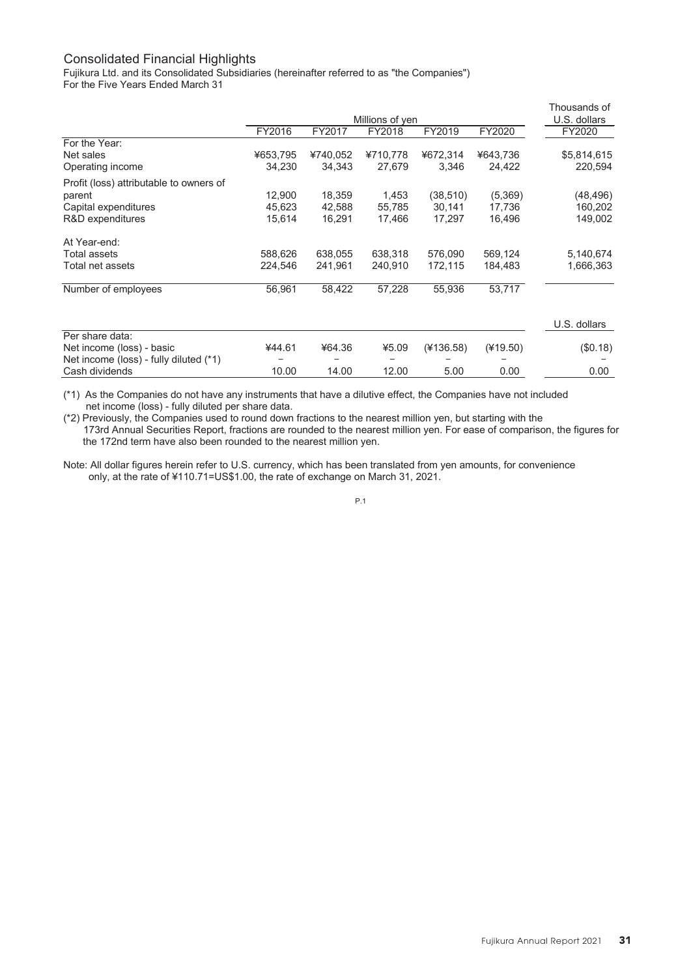### Consolidated Financial Highlights

Fujikura Ltd. and its Consolidated Subsidiaries (hereinafter referred to as "the Companies") For the Five Years Ended March 31

|                                         |          |          |                 |             |            | Thousands of |
|-----------------------------------------|----------|----------|-----------------|-------------|------------|--------------|
|                                         |          |          | Millions of yen |             |            | U.S. dollars |
|                                         | FY2016   | FY2017   | FY2018          | FY2019      | FY2020     | FY2020       |
| For the Year:                           |          |          |                 |             |            |              |
| Net sales                               | ¥653,795 | ¥740,052 | ¥710,778        | ¥672,314    | ¥643,736   | \$5,814,615  |
| Operating income                        | 34,230   | 34,343   | 27,679          | 3,346       | 24,422     | 220,594      |
| Profit (loss) attributable to owners of |          |          |                 |             |            |              |
| parent                                  | 12,900   | 18,359   | 1,453           | (38, 510)   | (5,369)    | (48,496)     |
| Capital expenditures                    | 45,623   | 42,588   | 55,785          | 30,141      | 17,736     | 160,202      |
| R&D expenditures                        | 15,614   | 16,291   | 17,466          | 17,297      | 16,496     | 149,002      |
| At Year-end:                            |          |          |                 |             |            |              |
| Total assets                            | 588,626  | 638,055  | 638,318         | 576,090     | 569,124    | 5,140,674    |
| Total net assets                        | 224,546  | 241,961  | 240,910         | 172,115     | 184,483    | 1,666,363    |
| Number of employees                     | 56,961   | 58,422   | 57,228          | 55,936      | 53,717     |              |
|                                         |          |          |                 |             |            | U.S. dollars |
| Per share data:                         |          |          |                 |             |            |              |
| Net income (loss) - basic               | ¥44.61   | ¥64.36   | ¥5.09           | $(*136.58)$ | $(*19.50)$ | (\$0.18)     |
| Net income (loss) - fully diluted (*1)  |          |          |                 |             |            |              |
| Cash dividends                          | 10.00    | 14.00    | 12.00           | 5.00        | 0.00       | 0.00         |

(\*1) As the Companies do not have any instruments that have a dilutive effect, the Companies have not included net income (loss) - fully diluted per share data.

(\*2) Previously, the Companies used to round down fractions to the nearest million yen, but starting with the 173rd Annual Securities Report, fractions are rounded to the nearest million yen. For ease of comparison, the figures for the 172nd term have also been rounded to the nearest million yen.

Note: All dollar figures herein refer to U.S. currency, which has been translated from yen amounts, for convenience only, at the rate of ¥110.71=US\$1.00, the rate of exchange on March 31, 2021.

P.1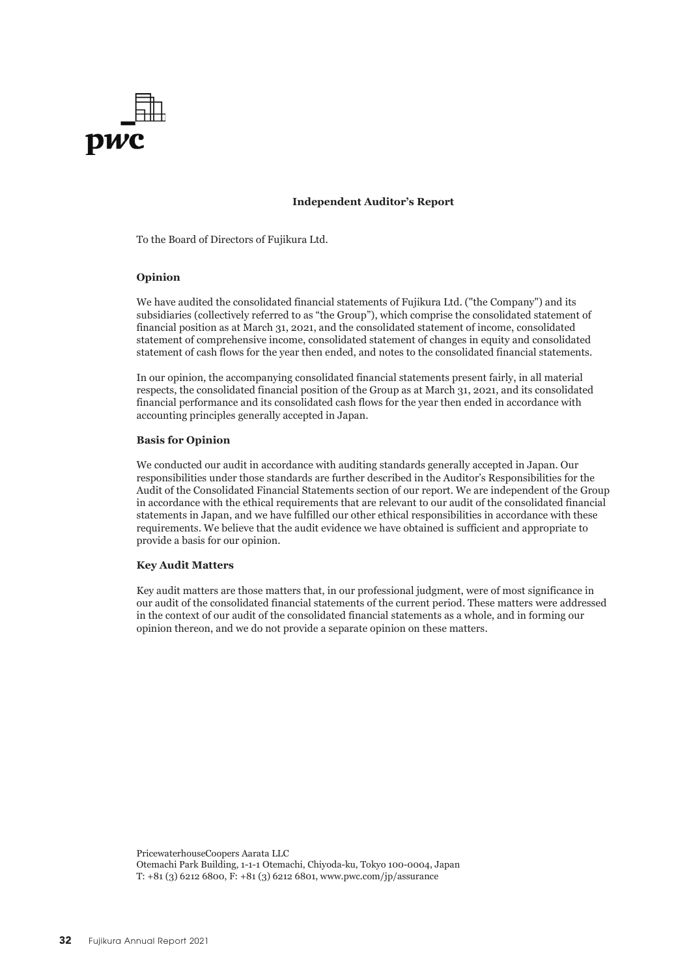

#### **Independent Auditor's Report**

To the Board of Directors of Fujikura Ltd.

#### **Opinion**

We have audited the consolidated financial statements of Fujikura Ltd. ("the Company") and its subsidiaries (collectively referred to as "the Group"), which comprise the consolidated statement of financial position as at March 31, 2021, and the consolidated statement of income, consolidated statement of comprehensive income, consolidated statement of changes in equity and consolidated statement of cash flows for the year then ended, and notes to the consolidated financial statements.

In our opinion, the accompanying consolidated financial statements present fairly, in all material respects, the consolidated financial position of the Group as at March 31, 2021, and its consolidated financial performance and its consolidated cash flows for the year then ended in accordance with accounting principles generally accepted in Japan.

#### **Basis for Opinion**

We conducted our audit in accordance with auditing standards generally accepted in Japan. Our responsibilities under those standards are further described in the Auditor's Responsibilities for the Audit of the Consolidated Financial Statements section of our report. We are independent of the Group in accordance with the ethical requirements that are relevant to our audit of the consolidated financial statements in Japan, and we have fulfilled our other ethical responsibilities in accordance with these requirements. We believe that the audit evidence we have obtained is sufficient and appropriate to provide a basis for our opinion.

#### **Key Audit Matters**

Key audit matters are those matters that, in our professional judgment, were of most significance in our audit of the consolidated financial statements of the current period. These matters were addressed in the context of our audit of the consolidated financial statements as a whole, and in forming our opinion thereon, and we do not provide a separate opinion on these matters.

PricewaterhouseCoopers Aarata LLC Otemachi Park Building, 1-1-1 Otemachi, Chiyoda-ku, Tokyo 100-0004, Japan T: +81 (3) 6212 6800, F: +81 (3) 6212 6801, www.pwc.com/jp/assurance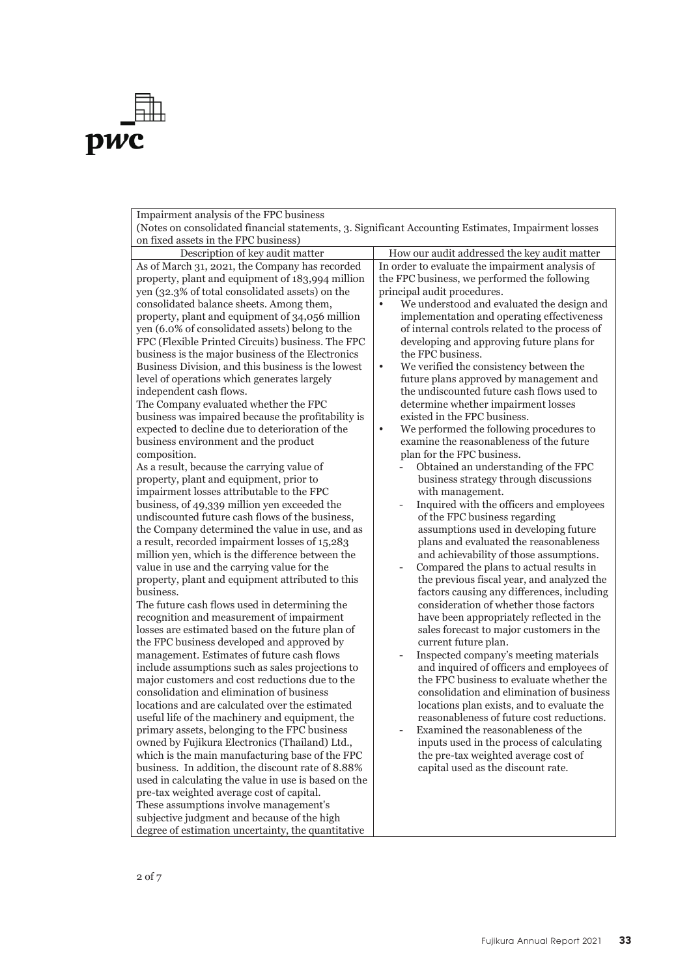

 $\mathbf{r}$ 

| Impairment analysis of the FPC business                                                             |                                                                                         |  |  |  |  |  |  |
|-----------------------------------------------------------------------------------------------------|-----------------------------------------------------------------------------------------|--|--|--|--|--|--|
| (Notes on consolidated financial statements, 3. Significant Accounting Estimates, Impairment losses |                                                                                         |  |  |  |  |  |  |
| on fixed assets in the FPC business)                                                                |                                                                                         |  |  |  |  |  |  |
| Description of key audit matter                                                                     | How our audit addressed the key audit matter                                            |  |  |  |  |  |  |
| As of March 31, 2021, the Company has recorded                                                      | In order to evaluate the impairment analysis of                                         |  |  |  |  |  |  |
| property, plant and equipment of 183,994 million                                                    | the FPC business, we performed the following                                            |  |  |  |  |  |  |
| yen (32.3% of total consolidated assets) on the                                                     | principal audit procedures.                                                             |  |  |  |  |  |  |
| consolidated balance sheets. Among them,                                                            | We understood and evaluated the design and                                              |  |  |  |  |  |  |
| property, plant and equipment of 34,056 million                                                     | implementation and operating effectiveness                                              |  |  |  |  |  |  |
| yen (6.0% of consolidated assets) belong to the                                                     | of internal controls related to the process of                                          |  |  |  |  |  |  |
| FPC (Flexible Printed Circuits) business. The FPC                                                   | developing and approving future plans for                                               |  |  |  |  |  |  |
| business is the major business of the Electronics                                                   | the FPC business.                                                                       |  |  |  |  |  |  |
| Business Division, and this business is the lowest                                                  | We verified the consistency between the<br>$\bullet$                                    |  |  |  |  |  |  |
| level of operations which generates largely                                                         | future plans approved by management and                                                 |  |  |  |  |  |  |
| independent cash flows.                                                                             | the undiscounted future cash flows used to                                              |  |  |  |  |  |  |
| The Company evaluated whether the FPC                                                               | determine whether impairment losses                                                     |  |  |  |  |  |  |
| business was impaired because the profitability is                                                  | existed in the FPC business.                                                            |  |  |  |  |  |  |
| expected to decline due to deterioration of the                                                     | We performed the following procedures to<br>$\bullet$                                   |  |  |  |  |  |  |
| business environment and the product                                                                | examine the reasonableness of the future                                                |  |  |  |  |  |  |
| composition.                                                                                        | plan for the FPC business.                                                              |  |  |  |  |  |  |
| As a result, because the carrying value of                                                          | Obtained an understanding of the FPC                                                    |  |  |  |  |  |  |
| property, plant and equipment, prior to                                                             | business strategy through discussions                                                   |  |  |  |  |  |  |
| impairment losses attributable to the FPC                                                           | with management.                                                                        |  |  |  |  |  |  |
| business, of 49,339 million yen exceeded the                                                        | Inquired with the officers and employees                                                |  |  |  |  |  |  |
| undiscounted future cash flows of the business,                                                     | of the FPC business regarding                                                           |  |  |  |  |  |  |
| the Company determined the value in use, and as                                                     | assumptions used in developing future                                                   |  |  |  |  |  |  |
| a result, recorded impairment losses of 15,283                                                      | plans and evaluated the reasonableness                                                  |  |  |  |  |  |  |
| million yen, which is the difference between the                                                    | and achievability of those assumptions.                                                 |  |  |  |  |  |  |
| value in use and the carrying value for the                                                         | Compared the plans to actual results in                                                 |  |  |  |  |  |  |
| property, plant and equipment attributed to this                                                    | the previous fiscal year, and analyzed the                                              |  |  |  |  |  |  |
| business.                                                                                           | factors causing any differences, including                                              |  |  |  |  |  |  |
| The future cash flows used in determining the                                                       | consideration of whether those factors                                                  |  |  |  |  |  |  |
| recognition and measurement of impairment                                                           | have been appropriately reflected in the                                                |  |  |  |  |  |  |
| losses are estimated based on the future plan of                                                    | sales forecast to major customers in the                                                |  |  |  |  |  |  |
| the FPC business developed and approved by                                                          | current future plan.                                                                    |  |  |  |  |  |  |
| management. Estimates of future cash flows                                                          | Inspected company's meeting materials                                                   |  |  |  |  |  |  |
| include assumptions such as sales projections to                                                    | and inquired of officers and employees of                                               |  |  |  |  |  |  |
| major customers and cost reductions due to the<br>consolidation and elimination of business         | the FPC business to evaluate whether the<br>consolidation and elimination of business   |  |  |  |  |  |  |
| locations and are calculated over the estimated                                                     |                                                                                         |  |  |  |  |  |  |
|                                                                                                     | locations plan exists, and to evaluate the<br>reasonableness of future cost reductions. |  |  |  |  |  |  |
| useful life of the machinery and equipment, the                                                     | Examined the reasonableness of the                                                      |  |  |  |  |  |  |
| primary assets, belonging to the FPC business<br>owned by Fujikura Electronics (Thailand) Ltd.,     |                                                                                         |  |  |  |  |  |  |
| which is the main manufacturing base of the FPC                                                     | inputs used in the process of calculating<br>the pre-tax weighted average cost of       |  |  |  |  |  |  |
| business. In addition, the discount rate of 8.88%                                                   | capital used as the discount rate.                                                      |  |  |  |  |  |  |
| used in calculating the value in use is based on the                                                |                                                                                         |  |  |  |  |  |  |
| pre-tax weighted average cost of capital.                                                           |                                                                                         |  |  |  |  |  |  |
| These assumptions involve management's                                                              |                                                                                         |  |  |  |  |  |  |
| subjective judgment and because of the high                                                         |                                                                                         |  |  |  |  |  |  |
|                                                                                                     |                                                                                         |  |  |  |  |  |  |
| degree of estimation uncertainty, the quantitative                                                  |                                                                                         |  |  |  |  |  |  |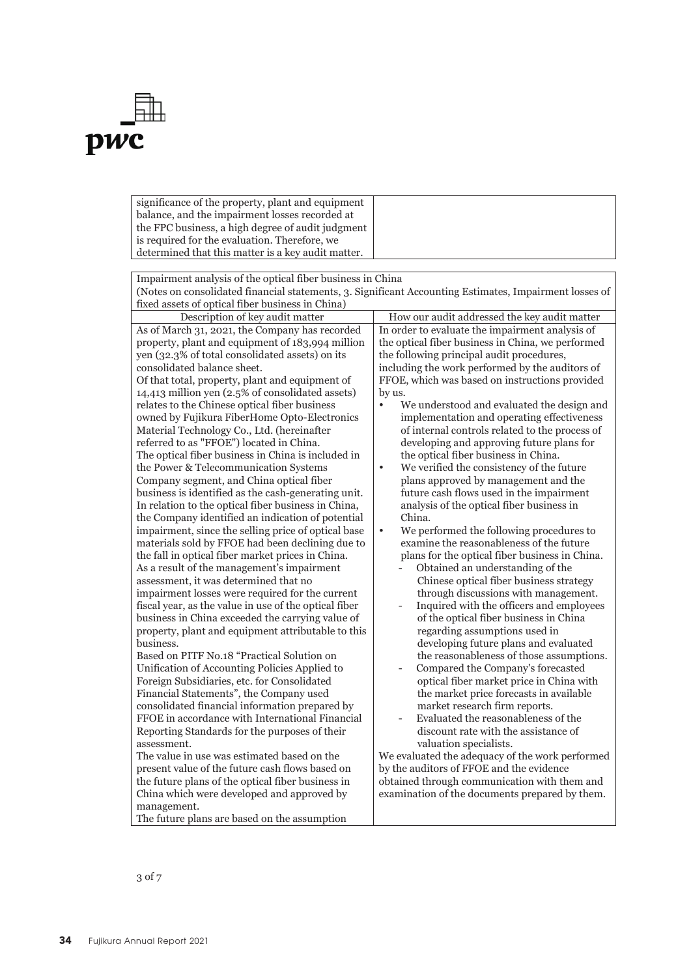

| significance of the property, plant and equipment  |  |
|----------------------------------------------------|--|
| balance, and the impairment losses recorded at     |  |
| the FPC business, a high degree of audit judgment  |  |
| is required for the evaluation. Therefore, we      |  |
| determined that this matter is a key audit matter. |  |

| Impairment analysis of the optical fiber business in China                                        |                                                                                                        |
|---------------------------------------------------------------------------------------------------|--------------------------------------------------------------------------------------------------------|
|                                                                                                   | (Notes on consolidated financial statements, 3. Significant Accounting Estimates, Impairment losses of |
| fixed assets of optical fiber business in China)                                                  |                                                                                                        |
| Description of key audit matter                                                                   | How our audit addressed the key audit matter                                                           |
| As of March 31, 2021, the Company has recorded                                                    | In order to evaluate the impairment analysis of                                                        |
| property, plant and equipment of 183,994 million                                                  | the optical fiber business in China, we performed                                                      |
| yen (32.3% of total consolidated assets) on its                                                   | the following principal audit procedures,                                                              |
| consolidated balance sheet.                                                                       | including the work performed by the auditors of                                                        |
| Of that total, property, plant and equipment of                                                   | FFOE, which was based on instructions provided                                                         |
| 14,413 million yen (2.5% of consolidated assets)                                                  | by us.                                                                                                 |
| relates to the Chinese optical fiber business                                                     | $\bullet$<br>We understood and evaluated the design and                                                |
| owned by Fujikura FiberHome Opto-Electronics                                                      | implementation and operating effectiveness                                                             |
| Material Technology Co., Ltd. (hereinafter                                                        | of internal controls related to the process of                                                         |
| referred to as "FFOE") located in China.                                                          | developing and approving future plans for                                                              |
| The optical fiber business in China is included in                                                | the optical fiber business in China.                                                                   |
| the Power & Telecommunication Systems                                                             | We verified the consistency of the future<br>$\bullet$                                                 |
| Company segment, and China optical fiber                                                          | plans approved by management and the                                                                   |
| business is identified as the cash-generating unit.                                               | future cash flows used in the impairment                                                               |
| In relation to the optical fiber business in China,                                               | analysis of the optical fiber business in                                                              |
| the Company identified an indication of potential                                                 | China.                                                                                                 |
| impairment, since the selling price of optical base                                               | We performed the following procedures to<br>$\bullet$                                                  |
| materials sold by FFOE had been declining due to                                                  | examine the reasonableness of the future                                                               |
| the fall in optical fiber market prices in China.                                                 | plans for the optical fiber business in China.                                                         |
| As a result of the management's impairment                                                        | Obtained an understanding of the                                                                       |
| assessment, it was determined that no                                                             | Chinese optical fiber business strategy                                                                |
| impairment losses were required for the current                                                   | through discussions with management.                                                                   |
| fiscal year, as the value in use of the optical fiber                                             | Inquired with the officers and employees                                                               |
| business in China exceeded the carrying value of                                                  | of the optical fiber business in China                                                                 |
| property, plant and equipment attributable to this<br>business.                                   | regarding assumptions used in                                                                          |
|                                                                                                   | developing future plans and evaluated                                                                  |
| Based on PITF No.18 "Practical Solution on                                                        | the reasonableness of those assumptions.                                                               |
| Unification of Accounting Policies Applied to                                                     | Compared the Company's forecasted                                                                      |
| Foreign Subsidiaries, etc. for Consolidated                                                       | optical fiber market price in China with                                                               |
| Financial Statements", the Company used                                                           | the market price forecasts in available<br>market research firm reports.                               |
| consolidated financial information prepared by<br>FFOE in accordance with International Financial | Evaluated the reasonableness of the                                                                    |
|                                                                                                   | discount rate with the assistance of                                                                   |
| Reporting Standards for the purposes of their<br>assessment.                                      | valuation specialists.                                                                                 |
| The value in use was estimated based on the                                                       | We evaluated the adequacy of the work performed                                                        |
| present value of the future cash flows based on                                                   | by the auditors of FFOE and the evidence                                                               |
| the future plans of the optical fiber business in                                                 | obtained through communication with them and                                                           |
| China which were developed and approved by                                                        | examination of the documents prepared by them.                                                         |
| management.                                                                                       |                                                                                                        |
| The future plans are based on the assumption                                                      |                                                                                                        |
|                                                                                                   |                                                                                                        |

3 of 7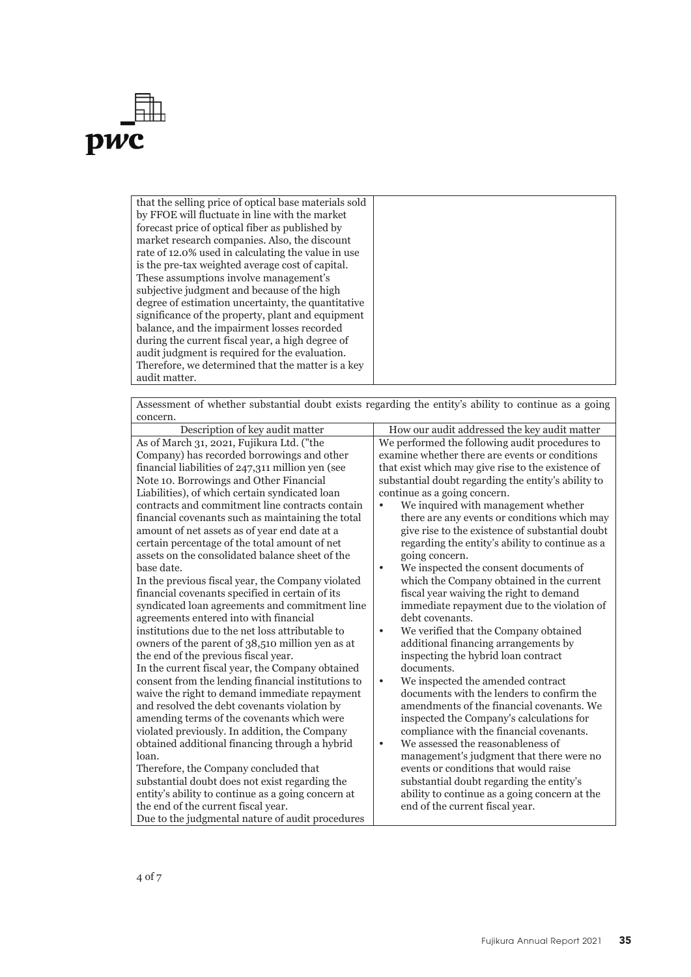

that the selling price of optical base materials sold by FFOE will fluctuate in line with the market forecast price of optical fiber as published by market research companies. Also, the discount rate of 12.0% used in calculating the value in use is the pre-tax weighted average cost of capital. These assumptions involve management's subjective judgment and because of the high degree of estimation uncertainty, the quantitative significance of the property, plant and equipment balance, and the impairment losses recorded during the current fiscal year, a high degree of audit judgment is required for the evaluation. Therefore, we determined that the matter is a key audit matter.

Assessment of whether substantial doubt exists regarding the entity's ability to continue as a going concern.

Description of key audit matter How our audit addressed the key audit matter As of March 31, 2021, Fujikura Ltd. ("the Company) has recorded borrowings and other financial liabilities of 247,311 million yen (see Note 10. Borrowings and Other Financial Liabilities), of which certain syndicated loan contracts and commitment line contracts contain financial covenants such as maintaining the total amount of net assets as of year end date at a certain percentage of the total amount of net assets on the consolidated balance sheet of the base date.

In the previous fiscal year, the Company violated financial covenants specified in certain of its syndicated loan agreements and commitment line agreements entered into with financial institutions due to the net loss attributable to owners of the parent of 38,510 million yen as at the end of the previous fiscal year.

In the current fiscal year, the Company obtained consent from the lending financial institutions to waive the right to demand immediate repayment and resolved the debt covenants violation by amending terms of the covenants which were violated previously. In addition, the Company obtained additional financing through a hybrid loan.

Therefore, the Company concluded that substantial doubt does not exist regarding the entity's ability to continue as a going concern at the end of the current fiscal year. Due to the judgmental nature of audit procedures

We performed the following audit procedures to examine whether there are events or conditions that exist which may give rise to the existence of substantial doubt regarding the entity's ability to continue as a going concern.

- We inquired with management whether there are any events or conditions which may give rise to the existence of substantial doubt regarding the entity's ability to continue as a going concern.
- We inspected the consent documents of which the Company obtained in the current fiscal year waiving the right to demand immediate repayment due to the violation of debt covenants.
- We verified that the Company obtained additional financing arrangements by inspecting the hybrid loan contract documents.
- We inspected the amended contract documents with the lenders to confirm the amendments of the financial covenants. We inspected the Company's calculations for compliance with the financial covenants.
- We assessed the reasonableness of management's judgment that there were no events or conditions that would raise substantial doubt regarding the entity's ability to continue as a going concern at the end of the current fiscal year.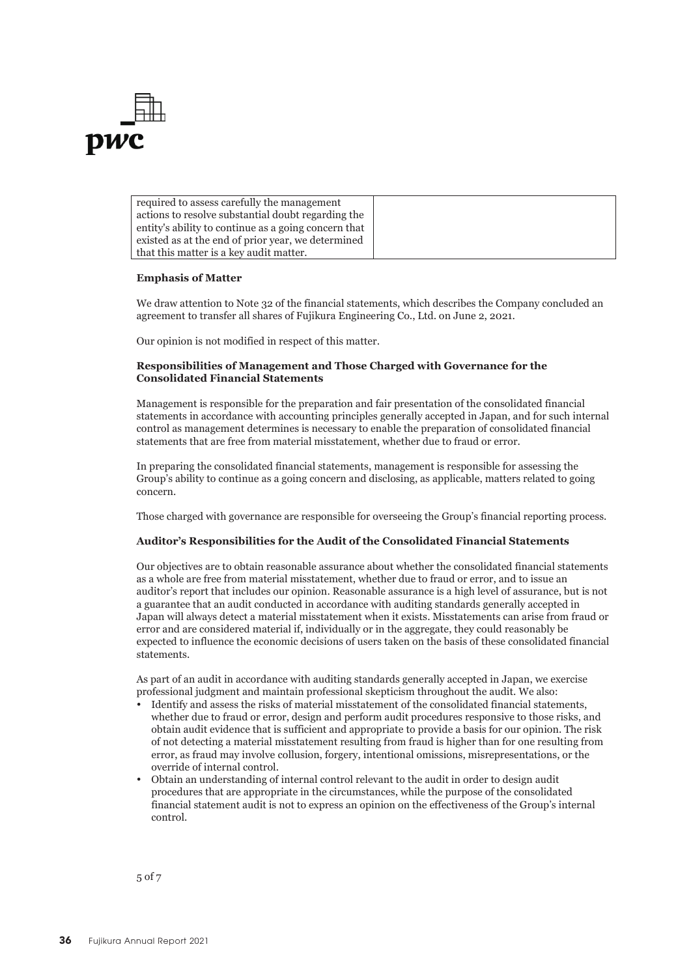

| required to assess carefully the management          |  |
|------------------------------------------------------|--|
| actions to resolve substantial doubt regarding the   |  |
| entity's ability to continue as a going concern that |  |
| existed as at the end of prior year, we determined   |  |
| that this matter is a key audit matter.              |  |

#### **Emphasis of Matter**

We draw attention to Note 32 of the financial statements, which describes the Company concluded an agreement to transfer all shares of Fujikura Engineering Co., Ltd. on June 2, 2021.

Our opinion is not modified in respect of this matter.

#### **Responsibilities of Management and Those Charged with Governance for the Consolidated Financial Statements**

Management is responsible for the preparation and fair presentation of the consolidated financial statements in accordance with accounting principles generally accepted in Japan, and for such internal control as management determines is necessary to enable the preparation of consolidated financial statements that are free from material misstatement, whether due to fraud or error.

In preparing the consolidated financial statements, management is responsible for assessing the Group's ability to continue as a going concern and disclosing, as applicable, matters related to going concern.

Those charged with governance are responsible for overseeing the Group's financial reporting process.

#### **Auditor's Responsibilities for the Audit of the Consolidated Financial Statements**

Our objectives are to obtain reasonable assurance about whether the consolidated financial statements as a whole are free from material misstatement, whether due to fraud or error, and to issue an auditor's report that includes our opinion. Reasonable assurance is a high level of assurance, but is not a guarantee that an audit conducted in accordance with auditing standards generally accepted in Japan will always detect a material misstatement when it exists. Misstatements can arise from fraud or error and are considered material if, individually or in the aggregate, they could reasonably be expected to influence the economic decisions of users taken on the basis of these consolidated financial statements.

As part of an audit in accordance with auditing standards generally accepted in Japan, we exercise professional judgment and maintain professional skepticism throughout the audit. We also:

- Identify and assess the risks of material misstatement of the consolidated financial statements, whether due to fraud or error, design and perform audit procedures responsive to those risks, and obtain audit evidence that is sufficient and appropriate to provide a basis for our opinion. The risk of not detecting a material misstatement resulting from fraud is higher than for one resulting from error, as fraud may involve collusion, forgery, intentional omissions, misrepresentations, or the override of internal control.
- Obtain an understanding of internal control relevant to the audit in order to design audit procedures that are appropriate in the circumstances, while the purpose of the consolidated financial statement audit is not to express an opinion on the effectiveness of the Group's internal control.

5 of 7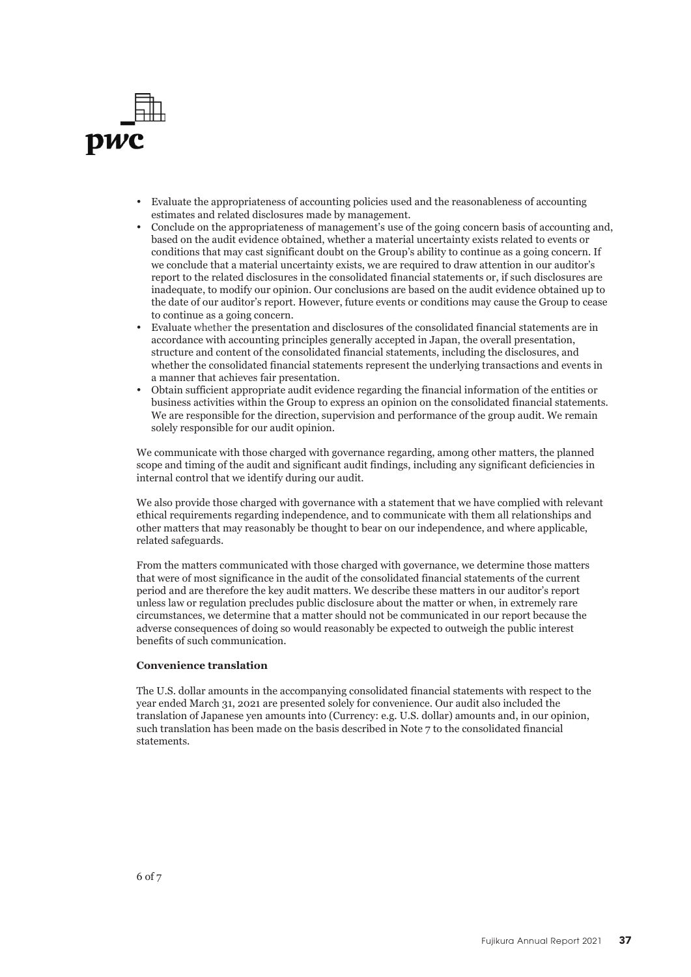

- Evaluate the appropriateness of accounting policies used and the reasonableness of accounting estimates and related disclosures made by management.
- Conclude on the appropriateness of management's use of the going concern basis of accounting and, based on the audit evidence obtained, whether a material uncertainty exists related to events or conditions that may cast significant doubt on the Group's ability to continue as a going concern. If we conclude that a material uncertainty exists, we are required to draw attention in our auditor's report to the related disclosures in the consolidated financial statements or, if such disclosures are inadequate, to modify our opinion. Our conclusions are based on the audit evidence obtained up to the date of our auditor's report. However, future events or conditions may cause the Group to cease to continue as a going concern.
- Evaluate whether the presentation and disclosures of the consolidated financial statements are in accordance with accounting principles generally accepted in Japan, the overall presentation, structure and content of the consolidated financial statements, including the disclosures, and whether the consolidated financial statements represent the underlying transactions and events in a manner that achieves fair presentation.
- Obtain sufficient appropriate audit evidence regarding the financial information of the entities or business activities within the Group to express an opinion on the consolidated financial statements. We are responsible for the direction, supervision and performance of the group audit. We remain solely responsible for our audit opinion.

We communicate with those charged with governance regarding, among other matters, the planned scope and timing of the audit and significant audit findings, including any significant deficiencies in internal control that we identify during our audit.

We also provide those charged with governance with a statement that we have complied with relevant ethical requirements regarding independence, and to communicate with them all relationships and other matters that may reasonably be thought to bear on our independence, and where applicable, related safeguards.

From the matters communicated with those charged with governance, we determine those matters that were of most significance in the audit of the consolidated financial statements of the current period and are therefore the key audit matters. We describe these matters in our auditor's report unless law or regulation precludes public disclosure about the matter or when, in extremely rare circumstances, we determine that a matter should not be communicated in our report because the adverse consequences of doing so would reasonably be expected to outweigh the public interest benefits of such communication.

#### **Convenience translation**

The U.S. dollar amounts in the accompanying consolidated financial statements with respect to the year ended March 31, 2021 are presented solely for convenience. Our audit also included the translation of Japanese yen amounts into (Currency: e.g. U.S. dollar) amounts and, in our opinion, such translation has been made on the basis described in Note 7 to the consolidated financial statements.